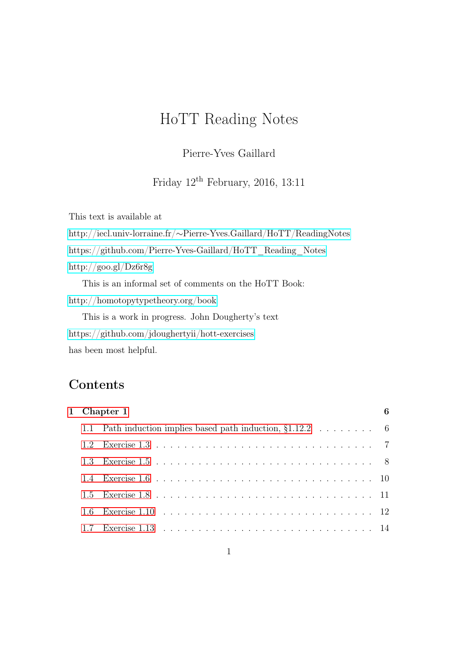# HoTT Reading Notes

Pierre-Yves Gaillard

Friday  $12<sup>th</sup>$  February, 2016, 13:11

This text is available at http://iecl.univ-lorraine.fr/∼[Pierre-Yves.Gaillard/HoTT/ReadingNotes](http://iecl.univ-lorraine.fr/~Pierre-Yves.Gaillard/HoTT/ReadingNotes) [https://github.com/Pierre-Yves-Gaillard/HoTT\\_Reading\\_Notes](https://github.com/Pierre-Yves-Gaillard/HoTT_Reading_Notes) <http://goo.gl/Dz6r8g> This is an informal set of comments on the HoTT Book: <http://homotopytypetheory.org/book> This is a work in progress. John Dougherty's text <https://github.com/jdoughertyii/hott-exercises>

has been most helpful.

# Contents

|     | 1 Chapter 1                                                                        |  |
|-----|------------------------------------------------------------------------------------|--|
|     | 1.1 Path induction implies based path induction, $\S1.12.2 \ldots \ldots \ldots$ 6 |  |
| 1.2 |                                                                                    |  |
|     |                                                                                    |  |
|     |                                                                                    |  |
|     |                                                                                    |  |
|     |                                                                                    |  |
|     |                                                                                    |  |
|     |                                                                                    |  |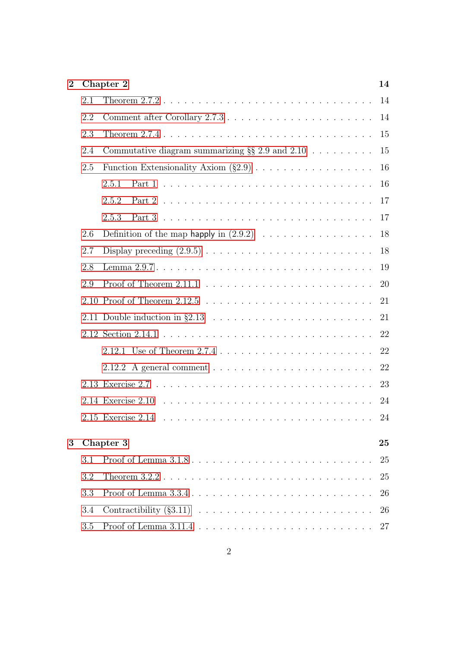| $\overline{2}$ |     | Chapter 2                                             | 14       |
|----------------|-----|-------------------------------------------------------|----------|
|                | 2.1 |                                                       | 14       |
|                | 2.2 |                                                       | 14       |
|                | 2.3 |                                                       | 15       |
|                | 2.4 | Commutative diagram summarizing $\S\S 2.9$ and $2.10$ | 15       |
|                | 2.5 |                                                       | 16       |
|                |     | 2.5.1                                                 | 16       |
|                |     | 2.5.2                                                 | 17       |
|                |     | 2.5.3                                                 | 17       |
|                | 2.6 |                                                       | 18       |
|                | 2.7 |                                                       | 18       |
|                | 2.8 |                                                       | 19       |
|                | 2.9 |                                                       | 20       |
|                |     |                                                       | 21       |
|                |     |                                                       | 21       |
|                |     |                                                       | 22       |
|                |     |                                                       | 22       |
|                |     |                                                       | 22       |
|                |     |                                                       | 23       |
|                |     |                                                       | 24       |
|                |     |                                                       | 24       |
| 3              |     | Chapter 3                                             | $\bf 25$ |
|                | 3.1 |                                                       | 25       |
|                | 3.2 |                                                       | 25       |
|                |     |                                                       |          |
|                | 3.3 |                                                       | 26       |
|                | 3.4 |                                                       | 26       |
|                | 3.5 |                                                       | 27       |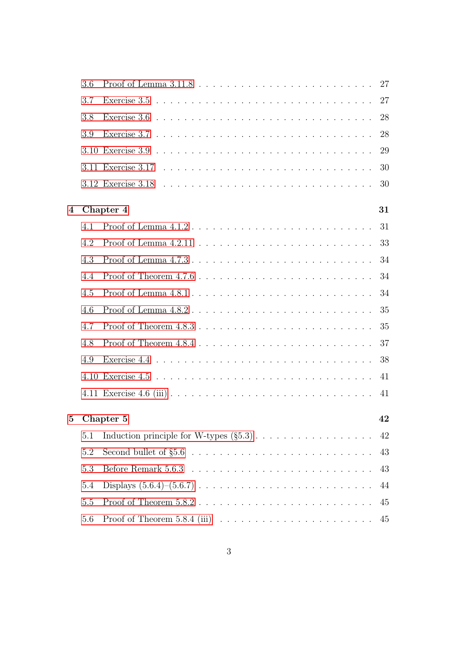|                  | 3.6 |                                                                                 | 27 |
|------------------|-----|---------------------------------------------------------------------------------|----|
|                  | 3.7 |                                                                                 | 27 |
|                  | 3.8 |                                                                                 | 28 |
|                  | 3.9 |                                                                                 | 28 |
|                  |     |                                                                                 | 29 |
|                  |     |                                                                                 | 30 |
|                  |     |                                                                                 | 30 |
| $\boldsymbol{4}$ |     | Chapter 4                                                                       | 31 |
|                  | 4.1 |                                                                                 | 31 |
|                  | 4.2 |                                                                                 | 33 |
|                  | 4.3 |                                                                                 | 34 |
|                  | 4.4 |                                                                                 | 34 |
|                  | 4.5 |                                                                                 | 34 |
|                  | 4.6 |                                                                                 | 35 |
|                  | 4.7 |                                                                                 | 35 |
|                  | 4.8 |                                                                                 | 37 |
|                  | 4.9 |                                                                                 | 38 |
|                  |     |                                                                                 | 41 |
|                  |     |                                                                                 | 41 |
| $\bf{5}$         |     | Chapter 5                                                                       | 42 |
|                  | 5.1 |                                                                                 | 42 |
|                  | 5.2 |                                                                                 | 43 |
|                  | 5.3 |                                                                                 | 43 |
|                  | 5.4 |                                                                                 | 44 |
|                  | 5.5 |                                                                                 | 45 |
|                  | 5.6 | Proof of Theorem 5.8.4 (iii) $\ldots \ldots \ldots \ldots \ldots \ldots \ldots$ | 45 |
|                  |     |                                                                                 |    |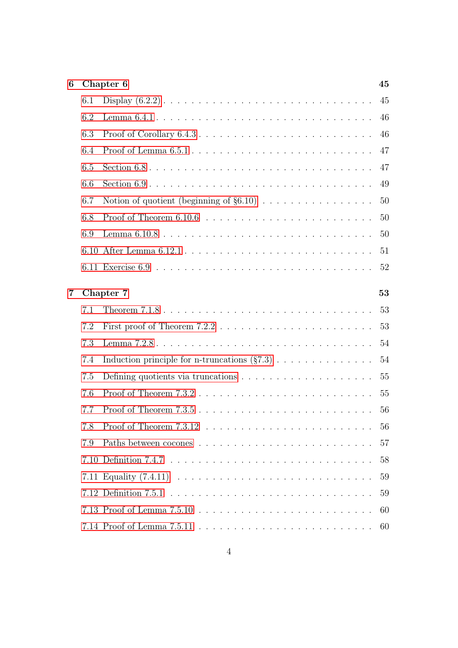| 6 |      | Chapter 6                                                                                  | 45 |
|---|------|--------------------------------------------------------------------------------------------|----|
|   | 6.1  |                                                                                            | 45 |
|   | 6.2  |                                                                                            | 46 |
|   | 6.3  |                                                                                            | 46 |
|   | 6.4  |                                                                                            | 47 |
|   | 6.5  |                                                                                            | 47 |
|   | 6.6  |                                                                                            | 49 |
|   | 6.7  |                                                                                            | 50 |
|   | 6.8  |                                                                                            | 50 |
|   | 6.9  |                                                                                            | 50 |
|   | 6.10 |                                                                                            | 51 |
|   |      |                                                                                            | 52 |
| 7 |      | Chapter 7                                                                                  | 53 |
|   | 7.1  |                                                                                            | 53 |
|   | 7.2  |                                                                                            | 53 |
|   | 7.3  |                                                                                            | 54 |
|   | 7.4  | Induction principle for n-truncations $(\S 7.3) \ldots \ldots \ldots \ldots$               | 54 |
|   | 7.5  | Defining quotients via truncations $\ldots \ldots \ldots \ldots \ldots \ldots$             | 55 |
|   | 7.6  | Proof of Theorem $7.3.2\ldots\ldots\ldots\ldots\ldots\ldots\ldots\ldots\ldots\ldots\ldots$ | 55 |
|   | 7.7  |                                                                                            | 56 |
|   |      |                                                                                            | 56 |
|   | 7.9  |                                                                                            | 57 |
|   |      |                                                                                            | 58 |
|   |      |                                                                                            | 59 |
|   |      |                                                                                            | 59 |
|   |      |                                                                                            | 60 |
|   |      |                                                                                            | 60 |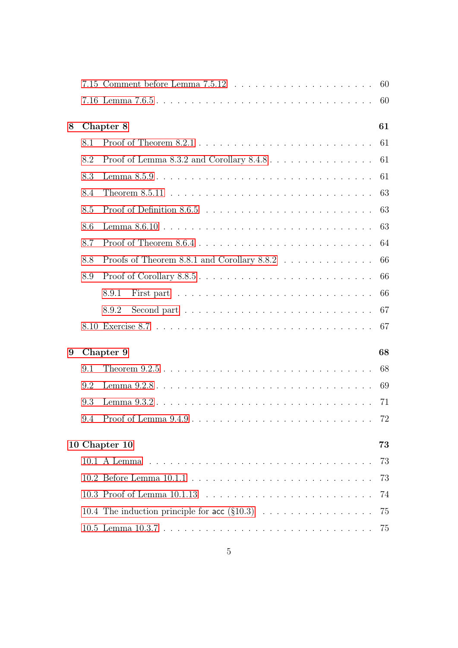|               |                 |                                                                                               | 60         |  |  |  |  |
|---------------|-----------------|-----------------------------------------------------------------------------------------------|------------|--|--|--|--|
| 8             |                 | 61<br>Chapter 8                                                                               |            |  |  |  |  |
|               | 8.1             |                                                                                               | 61         |  |  |  |  |
|               | 8.2             | Proof of Lemma 8.3.2 and Corollary $8.4.8 \ldots \ldots \ldots \ldots \ldots$                 | 61         |  |  |  |  |
|               | 8.3             |                                                                                               | 61         |  |  |  |  |
|               | 8.4             | Theorem 8.5.11 $\ldots \ldots \ldots \ldots \ldots \ldots \ldots \ldots \ldots \ldots \ldots$ | 63         |  |  |  |  |
|               | 8.5             |                                                                                               | 63         |  |  |  |  |
|               | 8.6             |                                                                                               | 63         |  |  |  |  |
|               | 8.7             |                                                                                               | 64         |  |  |  |  |
|               | 8.8             | Proofs of Theorem 8.8.1 and Corollary 8.8.2                                                   | 66         |  |  |  |  |
|               | 8.9             | Proof of Corollary 8.8.5                                                                      | 66         |  |  |  |  |
|               |                 | 8.9.1                                                                                         | 66         |  |  |  |  |
|               |                 | 8.9.2                                                                                         | 67         |  |  |  |  |
|               |                 |                                                                                               | 67         |  |  |  |  |
| 9             | Chapter 9<br>68 |                                                                                               |            |  |  |  |  |
|               | 9.1             |                                                                                               | 68         |  |  |  |  |
|               | 9.2             |                                                                                               | 69         |  |  |  |  |
|               | 9.3             |                                                                                               |            |  |  |  |  |
|               | 9.4             |                                                                                               |            |  |  |  |  |
| 10 Chapter 10 |                 |                                                                                               | ${\bf 73}$ |  |  |  |  |
|               |                 |                                                                                               | 73         |  |  |  |  |
|               |                 |                                                                                               | 73         |  |  |  |  |
|               |                 |                                                                                               | 74         |  |  |  |  |
|               |                 | 10.4 The induction principle for acc $(\S10.3)$                                               | 75         |  |  |  |  |
|               |                 |                                                                                               |            |  |  |  |  |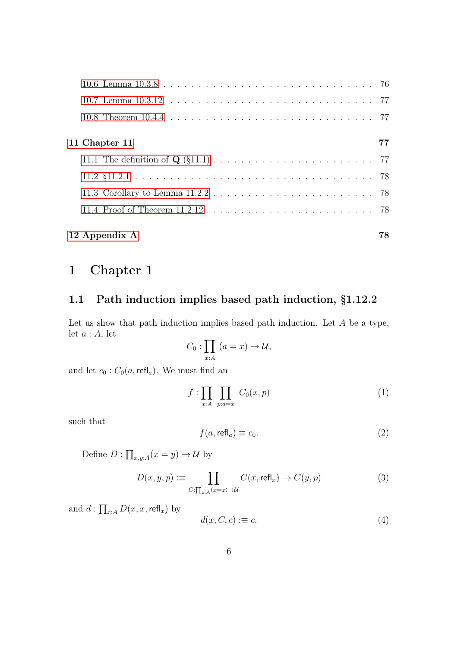| 12 Appendix A                                                                               | 78 |
|---------------------------------------------------------------------------------------------|----|
|                                                                                             |    |
| 11.3 Corollary to Lemma $11.2.2 \ldots \ldots \ldots \ldots \ldots \ldots \ldots \ldots$ 78 |    |
|                                                                                             |    |
|                                                                                             |    |
| 11 Chapter 11                                                                               | 77 |
|                                                                                             |    |
|                                                                                             |    |
|                                                                                             |    |

# <span id="page-5-0"></span>1 Chapter 1

## <span id="page-5-1"></span>1.1 Path induction implies based path induction, §1.12.2

Let us show that path induction implies based path induction. Let  $A$  be a type, let  $a : A$ , let

$$
C_0: \prod_{x:A} (a=x) \to \mathcal{U},
$$

and let  $c_0$ :  $C_0(a, \text{refl}_a)$ . We must find an

<span id="page-5-2"></span>
$$
f: \prod_{x:A} \prod_{p:a=x} C_0(x,p) \tag{1}
$$

such that

<span id="page-5-4"></span>
$$
f(a, \text{refl}_a) \equiv c_0. \tag{2}
$$

Define  $D: \prod_{x,y:A} (x=y) \to \mathcal{U}$  by

<span id="page-5-3"></span>
$$
D(x, y, p) := \prod_{C:\prod_{z:A}(x=z)\to\mathcal{U}} C(x, \text{refl}_x) \to C(y, p)
$$
(3)

and  $d: \prod_{x:A} D(x,x,\mathsf{refl}_x)$  by

<span id="page-5-5"></span>
$$
d(x, C, c) := c. \tag{4}
$$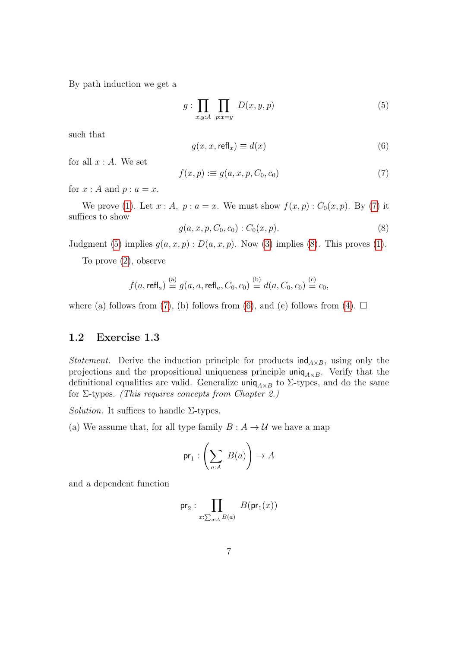By path induction we get a

<span id="page-6-2"></span>
$$
g: \prod_{x,y:A} \prod_{p:x=y} D(x,y,p) \tag{5}
$$

such that

<span id="page-6-4"></span>
$$
g(x, x, \text{refl}_x) \equiv d(x) \tag{6}
$$

for all  $x : A$ . We set

<span id="page-6-1"></span>
$$
f(x,p) := g(a,x,p,C_0,c_0)
$$
\n<sup>(7)</sup>

for  $x : A$  and  $p : a = x$ .

We prove [\(1\)](#page-5-2). Let  $x : A$ ,  $p : a = x$ . We must show  $f(x, p) : C_0(x, p)$ . By [\(7\)](#page-6-1) it suffices to show

<span id="page-6-3"></span>
$$
g(a, x, p, C_0, c_0): C_0(x, p). \tag{8}
$$

Judgment [\(5\)](#page-6-2) implies  $g(a, x, p) : D(a, x, p)$ . Now [\(3\)](#page-5-3) implies [\(8\)](#page-6-3). This proves [\(1\)](#page-5-2).

To prove [\(2\)](#page-5-4), observe

$$
f(a, \text{refl}_a) \stackrel{\text{(a)}}{\equiv} g(a, a, \text{refl}_a, C_0, c_0) \stackrel{\text{(b)}}{\equiv} d(a, C_0, c_0) \stackrel{\text{(c)}}{\equiv} c_0,
$$

where (a) follows from [\(7\)](#page-6-1), (b) follows from [\(6\)](#page-6-4), and (c) follows from [\(4\)](#page-5-5).  $\Box$ 

#### <span id="page-6-0"></span>1.2 Exercise 1.3

*Statement.* Derive the induction principle for products  $ind_{A\times B}$ , using only the projections and the propositional uniqueness principle  $\text{uniq}_{A\times B}$ . Verify that the definitional equalities are valid. Generalize uniq<sub>A×B</sub> to  $\Sigma$ -types, and do the same for  $\Sigma$ -types. *(This requires concepts from Chapter 2.)* 

Solution. It suffices to handle  $\Sigma$ -types.

(a) We assume that, for all type family  $B : A \to U$  we have a map

$$
\mathsf{pr}_1 : \left(\sum_{a:A} \ B(a)\right) \to A
$$

and a dependent function

$$
\text{pr}_2: \prod_{x:\sum_{a:A}B(a)}B(\text{pr}_1(x))
$$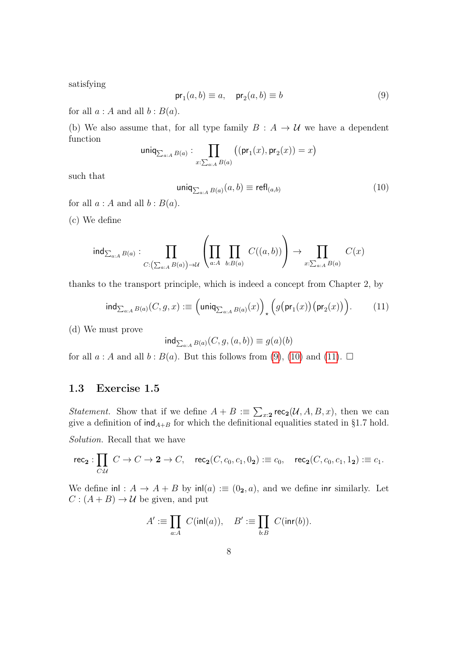satisfying

<span id="page-7-1"></span>
$$
\mathsf{pr}_1(a,b) \equiv a, \quad \mathsf{pr}_2(a,b) \equiv b \tag{9}
$$

for all  $a : A$  and all  $b : B(a)$ .

(b) We also assume that, for all type family  $B : A \rightarrow U$  we have a dependent function

$$
\mathsf{uniq}_{\sum_{a:A}B(a)}: \prod_{x:\sum_{a:A}B(a)} \big((\mathsf{pr}_1(x),\mathsf{pr}_2(x))=x\big)
$$

such that

<span id="page-7-2"></span>
$$
\text{uniq}_{\sum_{a:A} B(a)}(a,b) \equiv \text{refl}_{(a,b)} \tag{10}
$$

for all  $a : A$  and all  $b : B(a)$ .

(c) We define

$$
\operatorname{ind}_{\sum_{a:A}B(a)}: \prod_{C:\left(\sum_{a:A}B(a)\right)\to \mathcal{U}}\left(\prod_{a:A}\prod_{b:B(a)}C((a,b))\right)\to \prod_{x:\sum_{a:A}B(a)}C(x)
$$

thanks to the transport principle, which is indeed a concept from Chapter 2, by

<span id="page-7-3"></span>
$$
\operatorname{ind}_{\sum_{a:A} B(a)}(C,g,x) := \left(\operatorname{uniq}_{\sum_{a:A} B(a)}(x)\right)_\star \left(g\big(\operatorname{pr}_1(x)\big)\big(\operatorname{pr}_2(x)\big)\right). \tag{11}
$$

(d) We must prove

$$
\text{ind}_{\sum_{a:A} B(a)}(C, g, (a, b)) \equiv g(a)(b)
$$

for all  $a : A$  and all  $b : B(a)$ . But this follows from [\(9\)](#page-7-1), [\(10\)](#page-7-2) and [\(11\)](#page-7-3).  $\square$ 

#### <span id="page-7-0"></span>1.3 Exercise 1.5

*Statement.* Show that if we define  $A + B := \sum_{x \in \mathbf{Z}} \mathsf{rec}_{\mathbf{Z}}(\mathcal{U}, A, B, x)$ , then we can give a definition of  $\text{ind}_{A+B}$  for which the definitional equalities stated in §1.7 hold.

Solution. Recall that we have

$$
\mathsf{rec}_2: \prod_{C:\mathcal{U}} C \to C \to 2 \to C, \quad \mathsf{rec}_2(C, c_0, c_1, 0_2) := c_0, \quad \mathsf{rec}_2(C, c_0, c_1, 1_2) := c_1.
$$

We define inl :  $A \rightarrow A + B$  by inl(a) : $\equiv (0_2, a)$ , and we define inr similarly. Let  $C: (A + B) \rightarrow \mathcal{U}$  be given, and put

$$
A' := \prod_{a:A} C(\text{inl}(a)), \quad B' := \prod_{b:B} C(\text{inr}(b)).
$$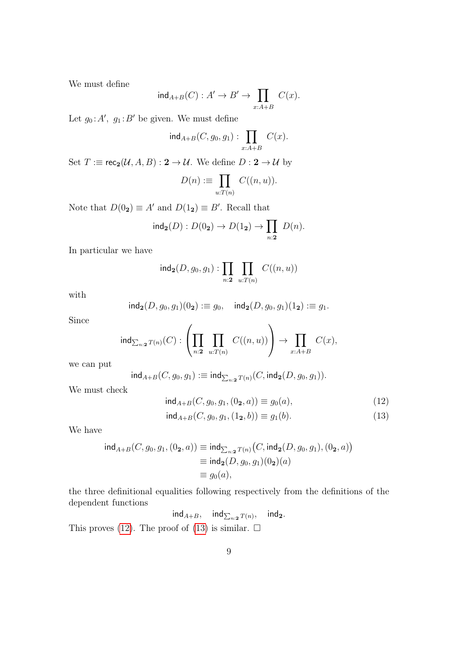We must define

$$
\operatorname{ind}_{A+B}(C): A'\to B'\to \prod_{x:A+B} C(x).
$$

Let  $g_0: A', g_1: B'$  be given. We must define

$$
\operatorname{ind}_{A+B}(C,g_0,g_1): \prod_{x:A+B} C(x).
$$

Set  $T := \text{rec}_2(\mathcal{U}, A, B) : 2 \to \mathcal{U}$ . We define  $D : 2 \to \mathcal{U}$  by

$$
D(n) := \prod_{u:T(n)} C((n,u)).
$$

Note that  $D(0_2) \equiv A'$  and  $D(1_2) \equiv B'$ . Recall that

$$
\mathsf{ind}_{\mathbf{2}}(D): D(0_{\mathbf{2}}) \to D(1_{\mathbf{2}}) \to \prod_{n:\mathbf{2}} D(n).
$$

In particular we have

$$
ind_2(D, g_0, g_1) : \prod_{n:2} \prod_{u:T(n)} C((n, u))
$$

with

$$
ind_2(D, g_0, g_1)(0_2) := g_0
$$
,  $ind_2(D, g_0, g_1)(1_2) := g_1$ .

Since

$$
\operatorname{ind}_{\sum_{n:2} T(n)}(C): \left(\prod_{n:2}\ \prod_{u:T(n)}\ C((n,u))\right)\to \prod_{x:A+B}\ C(x),
$$

we can put

$$
ind_{A+B}(C, g_0, g_1) := ind_{\sum_{n:2} T(n)}(C, ind_2(D, g_0, g_1)).
$$

We must check

<span id="page-8-0"></span>
$$
\text{ind}_{A+B}(C, g_0, g_1, (0_2, a)) \equiv g_0(a),\tag{12}
$$

<span id="page-8-1"></span>
$$
\text{ind}_{A+B}(C, g_0, g_1, (1_2, b)) \equiv g_1(b). \tag{13}
$$

We have

$$
\begin{aligned} \text{ind}_{A+B}(C,g_0,g_1,(0_{\mathbf{2}},a)) &\equiv \text{ind}_{\sum_{n:2}T(n)}\big(C,\text{ind}_{\mathbf{2}}(D,g_0,g_1),(0_{\mathbf{2}},a)\big) \\ &\equiv \text{ind}_{\mathbf{2}}(D,g_0,g_1)(0_{\mathbf{2}})(a) \\ &\equiv g_0(a), \end{aligned}
$$

the three definitional equalities following respectively from the definitions of the dependent functions

> $\mathsf{ind}_{A+B}$ ,  $\mathsf{ind}_{\sum_{n:2} T(n)}$  $ind_2$ .

This proves [\(12\)](#page-8-0). The proof of [\(13\)](#page-8-1) is similar.  $\Box$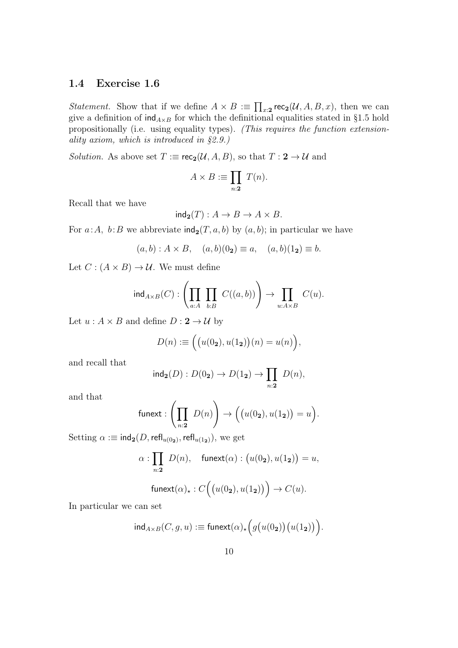#### <span id="page-9-0"></span>1.4 Exercise 1.6

*Statement.* Show that if we define  $A \times B := \prod_{x:2} \text{rec}_2(\mathcal{U}, A, B, x)$ , then we can give a definition of  $\text{ind}_{A\times B}$  for which the definitional equalities stated in §1.5 hold propositionally (i.e. using equality types). (This requires the function extensionality axiom, which is introduced in §2.9.)

*Solution.* As above set  $T := \mathsf{rec}_2(\mathcal{U}, A, B)$ , so that  $T : 2 \to \mathcal{U}$  and

$$
A \times B := \prod_{n:2} T(n).
$$

Recall that we have

$$
\mathrm{ind}_{\mathbf{2}}(T): A \to B \to A \times B.
$$

For  $a:A$ ,  $b:B$  we abbreviate  $\text{ind}_2(T, a, b)$  by  $(a, b)$ ; in particular we have

 $(a, b) : A \times B, \quad (a, b)(0_2) \equiv a, \quad (a, b)(1_2) \equiv b.$ 

Let  $C : (A \times B) \rightarrow U$ . We must define

$$
\operatorname{ind}_{A \times B}(C) : \left( \prod_{a: A} \prod_{b: B} C((a, b)) \right) \to \prod_{u: A \times B} C(u).
$$

Let  $u : A \times B$  and define  $D : 2 \rightarrow U$  by

$$
D(n) := ((u(02), u(12))(n) = u(n)),
$$

and recall that

$$
\mathrm{ind}_{\mathbf{2}}(D): D(0_{\mathbf{2}}) \to D(1_{\mathbf{2}}) \to \prod_{n:\mathbf{2}} D(n),
$$

and that

$$
\mathsf{funext} : \left(\prod_{n:2} D(n)\right) \to \left(\big(u(0_2), u(1_2)\big) = u\right).
$$

Setting  $\alpha :\equiv \mathsf{ind}_{\bf 2}(D,\mathsf{refl}_{u(0_{\bf 2})},\mathsf{refl}_{u(1_{\bf 2})}),$  we get

$$
\alpha: \prod_{n:2} D(n), \quad \text{funext}(\alpha): \big(u(0_2), u(1_2)\big) = u,
$$
  
funext
$$
(\alpha)_\star: C\Big(\big(u(0_2), u(1_2)\big)\Big) \to C(u).
$$

In particular we can set

$$
\mathsf{ind}_{A \times B}(C, g, u) := \mathsf{funext}(\alpha)_\star \Big( g\big(u(0_2)\big)\big(u(1_2)\big)\Big).
$$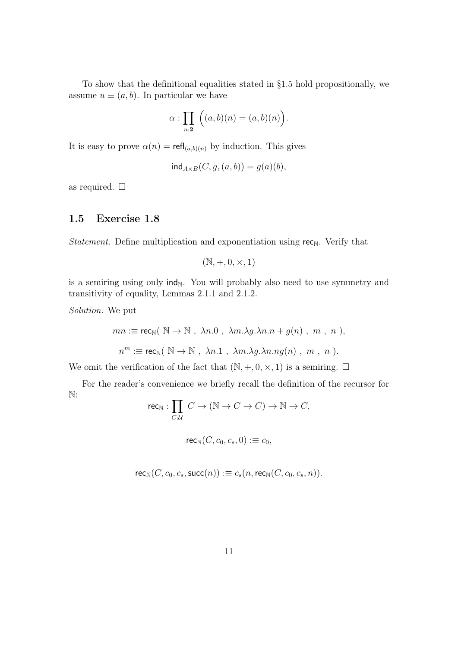To show that the definitional equalities stated in §1.5 hold propositionally, we assume  $u \equiv (a, b)$ . In particular we have

$$
\alpha : \prod_{n:2} \Big( (a,b)(n) = (a,b)(n) \Big).
$$

It is easy to prove  $\alpha(n) = \text{refl}_{(a,b)(n)}$  by induction. This gives

$$
\mathsf{ind}_{A \times B}(C, g, (a, b)) = g(a)(b),
$$

as required.  $\square$ 

#### <span id="page-10-0"></span>1.5 Exercise 1.8

*Statement*. Define multiplication and exponentiation using  $rec_N$ . Verify that

$$
(\mathbb{N}, +, 0, \times, 1)
$$

is a semiring using only  $\text{ind}_{N}$ . You will probably also need to use symmetry and transitivity of equality, Lemmas 2.1.1 and 2.1.2.

Solution. We put

$$
mn := \text{rec}_{\mathbb{N}}(\mathbb{N} \to \mathbb{N}, \lambda n.0, \lambda m. \lambda g. \lambda n.n + g(n), m, n),
$$
  

$$
n^m := \text{rec}_{\mathbb{N}}(\mathbb{N} \to \mathbb{N}, \lambda n.1, \lambda m. \lambda g. \lambda n.ng(n), m, n).
$$

We omit the verification of the fact that  $(N, +, 0, \times, 1)$  is a semiring.  $\Box$ 

For the reader's convenience we briefly recall the definition of the recursor for N:

rec<sub>N</sub> : 
$$
\prod_{C:\mathcal{U}} C \to (\mathbb{N} \to C \to C) \to \mathbb{N} \to C
$$
,

$$
\mathsf{rec}_{\mathbb{N}}(C,c_0,c_s,0): \equiv c_0,
$$

$$
\mathsf{rec}_{\mathbb{N}}(C, c_0, c_s, \mathsf{succ}(n)) \vcentcolon\equiv c_s(n, \mathsf{rec}_{\mathbb{N}}(C, c_0, c_s, n)).
$$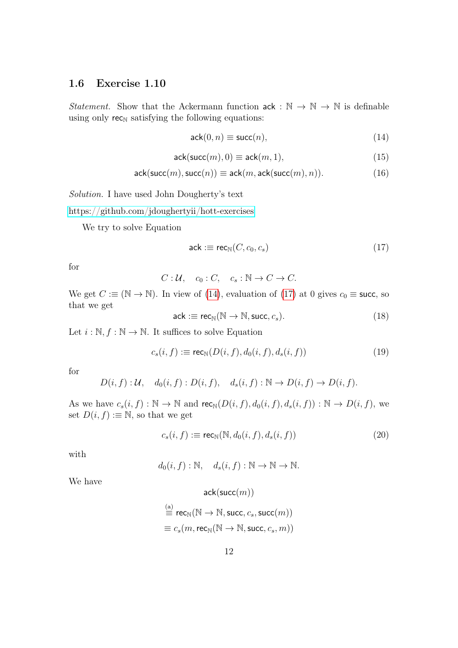#### <span id="page-11-0"></span>1.6 Exercise 1.10

Statement. Show that the Ackermann function  $ack : \mathbb{N} \to \mathbb{N} \to \mathbb{N}$  is definable using only  $\mathsf{rec}_{\mathbb{N}}$  satisfying the following equations:

<span id="page-11-1"></span>
$$
ack(0, n) \equiv succ(n), \tag{14}
$$

<span id="page-11-5"></span>
$$
ack(succ(m),0) \equiv ack(m,1), \qquad (15)
$$

<span id="page-11-6"></span>
$$
ack(succ(m),succ(n)) \equiv ack(m,ack(succ(m),n)). \tag{16}
$$

Solution. I have used John Dougherty's text

<https://github.com/jdoughertyii/hott-exercises>

We try to solve Equation

<span id="page-11-2"></span>
$$
ack := rec_{\mathbb{N}}(C, c_0, c_s) \tag{17}
$$

for

$$
C: \mathcal{U}, \quad c_0: C, \quad c_s: \mathbb{N} \to C \to C.
$$

We get  $C \equiv (\mathbb{N} \to \mathbb{N})$ . In view of [\(14\)](#page-11-1), evaluation of [\(17\)](#page-11-2) at 0 gives  $c_0 \equiv$  succ, so that we get

<span id="page-11-3"></span>
$$
ack := rec_{\mathbb{N}}(\mathbb{N} \to \mathbb{N}, succ, c_s). \tag{18}
$$

Let  $i : \mathbb{N}, f : \mathbb{N} \to \mathbb{N}$ . It suffices to solve Equation

$$
c_s(i, f) := \operatorname{rec}_{\mathbb{N}}(D(i, f), d_0(i, f), d_s(i, f)) \tag{19}
$$

for

$$
D(i, f): \mathcal{U}, \quad d_0(i, f): D(i, f), \quad d_s(i, f): \mathbb{N} \to D(i, f) \to D(i, f).
$$

As we have  $c_s(i, f) : \mathbb{N} \to \mathbb{N}$  and  $\text{rec}_{\mathbb{N}}(D(i, f), d_0(i, f), d_s(i, f)) : \mathbb{N} \to D(i, f)$ , we set  $D(i, f) := \mathbb{N}$ , so that we get

<span id="page-11-4"></span>
$$
c_s(i, f) := \text{rec}_{\mathbb{N}}(\mathbb{N}, d_0(i, f), d_s(i, f))
$$
\n
$$
(20)
$$

with

 $d_0(i, f) : \mathbb{N}, \quad d_s(i, f) : \mathbb{N} \to \mathbb{N} \to \mathbb{N}.$ 

We have

 $ack(succ(m))$ 

$$
\overset{\text{(a)}}{\equiv}\operatorname{rec}_{\mathbb{N}}(\mathbb{N}\rightarrow\mathbb{N},\operatorname{succ},c_s,\operatorname{succ}(m))\\ \equiv c_s(m,\operatorname{rec}_{\mathbb{N}}(\mathbb{N}\rightarrow\mathbb{N},\operatorname{succ},c_s,m))
$$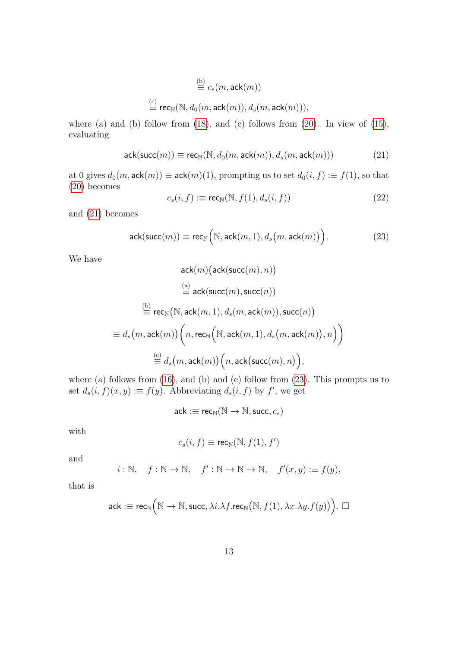$$
\stackrel{\text{(b)}}{\equiv} c_s(m, \text{ack}(m))
$$
  

$$
\stackrel{\text{(c)}}{\equiv} \text{rec}_{\mathbb{N}}(\mathbb{N}, d_0(m, \text{ack}(m)), d_s(m, \text{ack}(m))),
$$

where (a) and (b) follow from  $(18)$ , and  $(c)$  follows from  $(20)$ . In view of  $(15)$ , evaluating

<span id="page-12-0"></span>
$$
\mathsf{ack}(\mathsf{succ}(m)) \equiv \mathsf{rec}_{\mathbb{N}}(\mathbb{N}, d_0(m, \mathsf{ack}(m)), d_s(m, \mathsf{ack}(m))) \tag{21}
$$

at 0 gives  $d_0(m, \text{ack}(m)) \equiv \text{ack}(m)(1)$ , prompting us to set  $d_0(i, f) := f(1)$ , so that [\(20\)](#page-11-4) becomes

$$
c_s(i, f) := \mathsf{rec}_{\mathbb{N}}(\mathbb{N}, f(1), d_s(i, f)) \tag{22}
$$

and [\(21\)](#page-12-0) becomes

<span id="page-12-1"></span>
$$
\mathsf{ack}(\mathsf{succ}(m)) \equiv \mathsf{rec}_{\mathbb{N}}\Big(\mathbb{N}, \mathsf{ack}(m,1), d_s\big(m, \mathsf{ack}(m)\big)\Big). \tag{23}
$$

We have

$$
\begin{aligned} \text{ack}(m)\big(\text{ack}(\text{succ}(m),n)\big) \\ \overset{\text{(a)}}{\equiv}& \text{ack}(\text{succ}(m),\text{succ}(n)) \\ \overset{\text{(b)}}{\equiv}& \text{rec}_{\mathbb{N}}\big(\mathbb{N},\text{ack}(m,1),d_s(m,\text{ack}(m)),\text{succ}(n)\big) \\ \equiv& d_s\big(m,\text{ack}(m)\big)\bigg(n,\text{rec}_{\mathbb{N}}\Big(\mathbb{N},\text{ack}(m,1),d_s\big(m,\text{ack}(m)\big),n\Big)\bigg) \\ \overset{\text{(c)}}{\equiv}& d_s\big(m,\text{ack}(m)\big)\Big(n,\text{ack}\big(\text{succ}(m),n\big)\Big), \end{aligned}
$$

where (a) follows from  $(16)$ , and  $(b)$  and  $(c)$  follow from  $(23)$ . This prompts us to set  $d_s(i, f)(x, y) := f(y)$ . Abbreviating  $d_s(i, f)$  by  $f'$ , we get

$$
\mathsf{ack}:\equiv \mathsf{rec}_{\mathbb{N}}(\mathbb{N}\to \mathbb{N}, \mathsf{succ}, c_s)
$$

with

$$
c_s(i, f) \equiv \mathsf{rec}_{\mathbb{N}}(\mathbb{N}, f(1), f')
$$

and

$$
i : \mathbb{N}, \quad f : \mathbb{N} \to \mathbb{N}, \quad f' : \mathbb{N} \to \mathbb{N} \to \mathbb{N}, \quad f'(x, y) := f(y),
$$

that is

$$
\mathsf{ack}:\equiv \mathsf{rec}_{\mathbb{N}}\Big(\mathbb{N} \to \mathbb{N}, \mathsf{succ}, \lambda i. \lambda f.\mathsf{rec}_{\mathbb{N}}\big(\mathbb{N}, f(1), \lambda x. \lambda y. f(y)\big)\Big).\ \Box
$$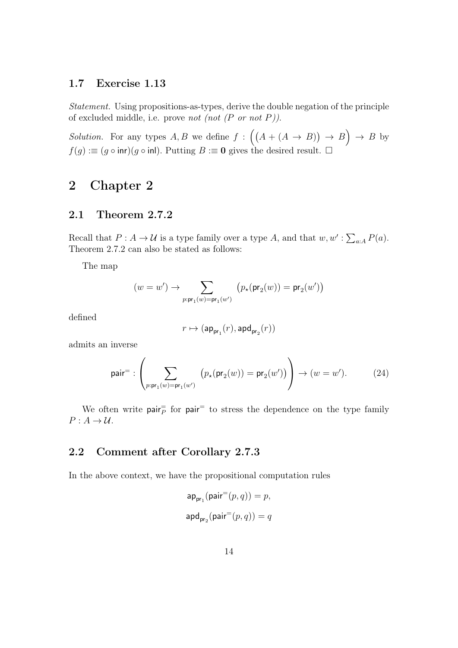#### <span id="page-13-0"></span>1.7 Exercise 1.13

Statement. Using propositions-as-types, derive the double negation of the principle of excluded middle, i.e. prove not (not  $(P \text{ or } not P)$ ).

*Solution.* For any types A, B we define  $f : ((A + (A \rightarrow B)) \rightarrow B) \rightarrow B$  by  $f(g) := (g \circ \text{inr})(g \circ \text{inl})$ . Putting  $B := 0$  gives the desired result.  $\Box$ 

## <span id="page-13-1"></span>2 Chapter 2

#### <span id="page-13-2"></span>2.1 Theorem 2.7.2

Recall that  $P: A \to U$  is a type family over a type A, and that  $w, w': \sum_{a:A} P(a)$ . Theorem 2.7.2 can also be stated as follows:

The map

$$
(w=w') \rightarrow \sum_{p: \mathsf{pr}_1(w)=\mathsf{pr}_1(w')} \big(p_\star(\mathsf{pr}_2(w)) = \mathsf{pr}_2(w')\big)
$$

defined

$$
r\mapsto (\mathsf{ap}_{\mathsf{pr}_1}(r),\mathsf{apd}_{\mathsf{pr}_2}(r))
$$

admits an inverse

<span id="page-13-4"></span>
$$
\text{pair}^= : \left( \sum_{p: \text{pr}_1(w) = \text{pr}_1(w')} \left( p_\star(\text{pr}_2(w)) = \text{pr}_2(w') \right) \right) \to (w = w'). \tag{24}
$$

We often write  $pair_{P}^{=}$  for  $pair_{P}^{=}$  to stress the dependence on the type family  $P: A \rightarrow U$ .

#### <span id="page-13-3"></span>2.2 Comment after Corollary 2.7.3

In the above context, we have the propositional computation rules

$$
\begin{aligned} \mathsf{ap}_{\mathsf{pr}_1}(\mathsf{pair}^=(p,q))=p, \\ \mathsf{apd}_{\mathsf{pr}_2}(\mathsf{pair}^=(p,q))=q \end{aligned}
$$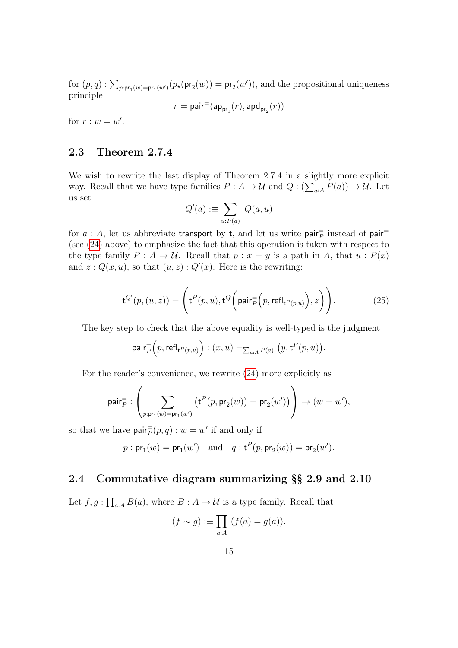for  $(p, q)$ :  $\sum_{p:pr_1(w)=pr_1(w')} (p_{\star}(pr_2(w)) = pr_2(w'))$ , and the propositional uniqueness principle

$$
r = \mathsf{pair}^=(\mathsf{ap}_{\mathsf{pr}_1}(r),\mathsf{apd}_{\mathsf{pr}_2}(r))
$$

for  $r : w = w'$ .

## <span id="page-14-0"></span>2.3 Theorem 2.7.4

We wish to rewrite the last display of Theorem 2.7.4 in a slightly more explicit way. Recall that we have type families  $P: A \to U$  and  $Q: (\sum_{a:A} P(a)) \to U$ . Let us set

$$
Q'(a) := \sum_{u:P(a)} Q(a,u)
$$

for  $a$  : A, let us abbreviate transport by t, and let us write pair instead of pair  $\bar{p}$ (see [\(24\)](#page-13-4) above) to emphasize the fact that this operation is taken with respect to the type family  $P: A \to U$ . Recall that  $p: x = y$  is a path in A, that  $u: P(x)$ and  $z: Q(x, u)$ , so that  $(u, z): Q'(x)$ . Here is the rewriting:

<span id="page-14-2"></span>
$$
\mathsf{t}^{Q'}(p,(u,z)) = \left( \mathsf{t}^P(p,u), \mathsf{t}^Q\bigg(\mathsf{pair}_P^=[p,\mathsf{refl}_{\mathsf{t}^P(p,u)}\big),z\bigg)\right). \tag{25}
$$

The key step to check that the above equality is well-typed is the judgment

$$
\mathsf{pair}_{P}^=\Big(p,\mathsf{refl}_{\mathsf{t}^P(p,u)}\Big) : (x,u)=_{\sum_{a:A}P(a)}\big(y,\mathsf{t}^P(p,u)\big).
$$

For the reader's convenience, we rewrite [\(24\)](#page-13-4) more explicitly as

$$
\mathsf{pair}^=_P : \left( \sum_{p: \mathsf{pr}_1(w) = \mathsf{pr}_1(w')} \left( \mathsf{t}^P(p, \mathsf{pr}_2(w)) = \mathsf{pr}_2(w') \right) \right) \rightarrow (w = w'),
$$

so that we have  $\text{pair}_{P}^{=}(p, q) : w = w'$  if and only if

$$
p: \mathsf{pr}_1(w) = \mathsf{pr}_1(w')
$$
 and  $q: \mathsf{t}^P(p, \mathsf{pr}_2(w)) = \mathsf{pr}_2(w').$ 

#### <span id="page-14-1"></span>2.4 Commutative diagram summarizing §§ 2.9 and 2.10

Let  $f, g: \prod_{a:A} B(a)$ , where  $B: A \to U$  is a type family. Recall that

$$
(f \sim g) := \prod_{a:A} (f(a) = g(a)).
$$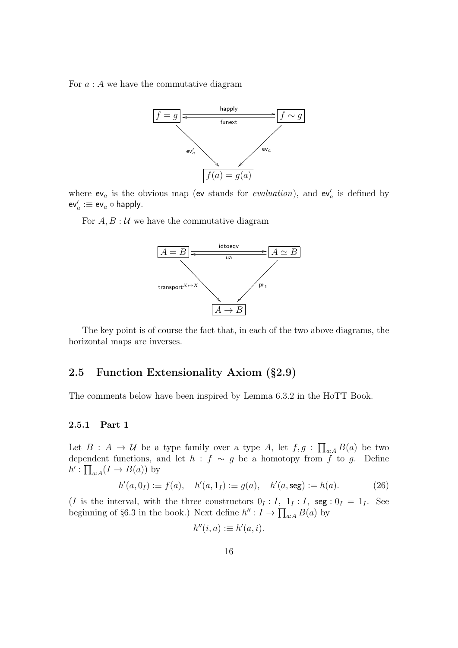For  $a: A$  we have the commutative diagram



where  $ev_a$  is the obvious map (ev stands for *evaluation*), and  $ev'_a$  is defined by  $\mathsf{ev}_a' := \mathsf{ev}_a \circ \mathsf{happly}.$ 

For  $A, B: U$  we have the commutative diagram



The key point is of course the fact that, in each of the two above diagrams, the horizontal maps are inverses.

### <span id="page-15-0"></span>2.5 Function Extensionality Axiom (§2.9)

The comments below have been inspired by Lemma 6.3.2 in the HoTT Book.

#### <span id="page-15-1"></span>2.5.1 Part 1

Let  $B: A \to U$  be a type family over a type A, let  $f, g: \prod_{a:A} B(a)$  be two dependent functions, and let  $h : f \sim g$  be a homotopy from f to g. Define  $h' : \prod_{a:A} (I \to B(a))$  by

<span id="page-15-2"></span>
$$
h'(a, 0I) := f(a), \quad h'(a, 1I) := g(a), \quad h'(a, \text{seg}) := h(a).
$$
 (26)

(I is the interval, with the three constructors  $0_I : I$ ,  $1_I : I$ , seg :  $0_I = 1_I$ . See beginning of §6.3 in the book.) Next define  $h'': I \to \prod_{a:A} B(a)$  by

$$
h''(i,a) := h'(a,i).
$$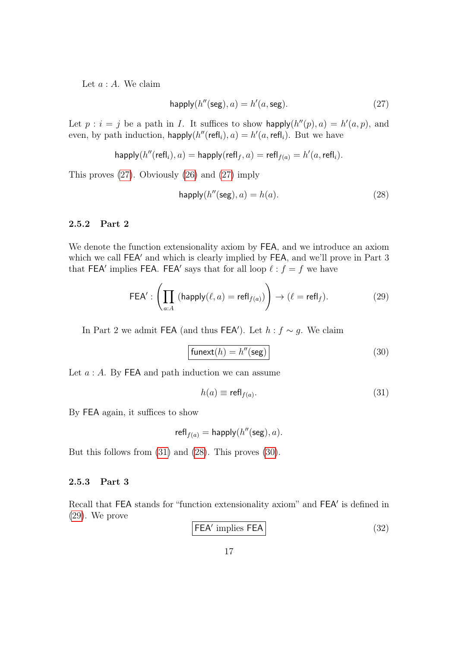Let  $a : A$ . We claim

<span id="page-16-2"></span>
$$
happly(h''(seg), a) = h'(a, seg).
$$
 (27)

Let  $p : i = j$  be a path in I. It suffices to show happly $(h''(p), a) = h'(a, p)$ , and even, by path induction,  $\text{happly}(h''(\text{refl}_i), a) = h'(a, \text{refl}_i)$ . But we have

$$
\mathsf{happly}(h''(\mathsf{refl}_i),a) = \mathsf{happly}(\mathsf{refl}_f,a) = \mathsf{refl}_{f(a)} = h'(a,\mathsf{refl}_i).
$$

This proves [\(27\)](#page-16-2). Obviously [\(26\)](#page-15-2) and [\(27\)](#page-16-2) imply

<span id="page-16-4"></span>
$$
happly(h''(seg), a) = h(a). \tag{28}
$$

#### <span id="page-16-0"></span>2.5.2 Part 2

We denote the function extensionality axiom by FEA, and we introduce an axiom which we call FEA' and which is clearly implied by FEA, and we'll prove in Part 3 that FEA' implies FEA. FEA' says that for all loop  $\ell : f = f$  we have

<span id="page-16-6"></span>
$$
\mathsf{FEA}' : \left(\prod_{a:A} \left(\mathsf{happly}(\ell, a) = \mathsf{refl}_{f(a)}\right)\right) \to (\ell = \mathsf{refl}_f). \tag{29}
$$

In Part 2 we admit FEA (and thus FEA'). Let  $h : f \sim g$ . We claim

<span id="page-16-5"></span>
$$
\boxed{\text{funext}(h) = h''(\text{seg})}
$$
\n(30)

Let  $a : A$ . By FEA and path induction we can assume

<span id="page-16-3"></span>
$$
h(a) \equiv \text{refl}_{f(a)}.\tag{31}
$$

By FEA again, it suffices to show

$$
\mathsf{refl}_{f(a)} = \mathsf{happly}(h''(\mathsf{seg}), a).
$$

But this follows from [\(31\)](#page-16-3) and [\(28\)](#page-16-4). This proves [\(30\)](#page-16-5).

#### <span id="page-16-1"></span>2.5.3 Part 3

Recall that FEA stands for "function extensionality axiom" and FEA' is defined in [\(29\)](#page-16-6). We prove

<span id="page-16-7"></span>
$$
\fbox{FEA' implies FEA} \tag{32}
$$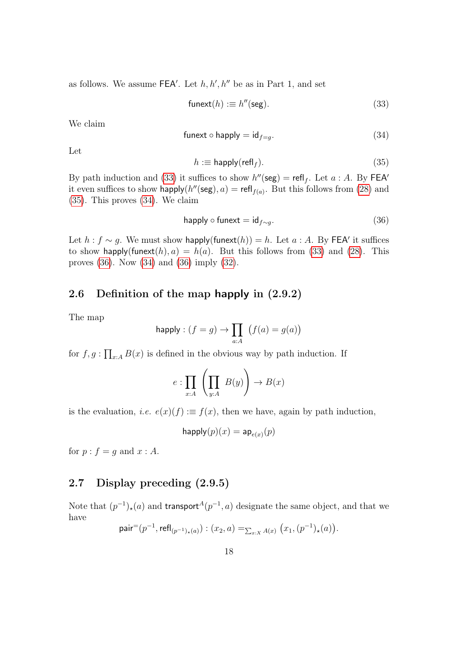as follows. We assume  $FEA'$ . Let  $h, h', h''$  be as in Part 1, and set

<span id="page-17-2"></span>
$$
\mathsf{funext}(h) := h''(\mathsf{seg}).\tag{33}
$$

We claim

<span id="page-17-4"></span>
$$
\text{funext} \circ \text{happly} = \text{id}_{f=g}.\tag{34}
$$

Let

<span id="page-17-3"></span>
$$
h := \mathsf{happly}(\mathsf{refl}_f). \tag{35}
$$

By path induction and [\(33\)](#page-17-2) it suffices to show  $h''(\text{seg}) = \text{refl}_f$ . Let  $a : A$ . By FEA<sup> $\prime$ </sup> it even suffices to show happly( $h''$ (seg),  $a$ ) = refl<sub>f(a)</sub>. But this follows from [\(28\)](#page-16-4) and [\(35\)](#page-17-3). This proves [\(34\)](#page-17-4). We claim

<span id="page-17-5"></span>
$$
happly \circ funcxt = id_{f \sim g}.\tag{36}
$$

Let  $h : f \sim g$ . We must show happly(funext(h)) = h. Let  $a : A$ . By FEA' it suffices to show happly(funext(h),  $a$ ) = h(a). But this follows from [\(33\)](#page-17-2) and [\(28\)](#page-16-4). This proves [\(36\)](#page-17-5). Now [\(34\)](#page-17-4) and [\(36\)](#page-17-5) imply [\(32\)](#page-16-7).

#### <span id="page-17-0"></span>2.6 Definition of the map happly in (2.9.2)

The map

$$
\mathsf{happly} : (f = g) \to \prod_{a:A} (f(a) = g(a))
$$

for  $f, g: \prod_{x:A} B(x)$  is defined in the obvious way by path induction. If

$$
e: \prod_{x:A} \left( \prod_{y:A} B(y) \right) \to B(x)
$$

is the evaluation, *i.e.*  $e(x)(f) := f(x)$ , then we have, again by path induction,

$$
\mathsf{happly}(p)(x) = \mathsf{ap}_{e(x)}(p)
$$

for  $p : f = q$  and  $x : A$ .

## <span id="page-17-1"></span>2.7 Display preceding (2.9.5)

Note that  $(p^{-1})_{\star}(a)$  and transport<sup> $A(p^{-1}, a)$ </sup> designate the same object, and that we have

pair
$$
=(p^{-1}, \text{refl}_{(p^{-1})_{\star}(a)}): (x_2, a) =_{\sum_{x:X} A(x)} (x_1, (p^{-1})_{\star}(a)).
$$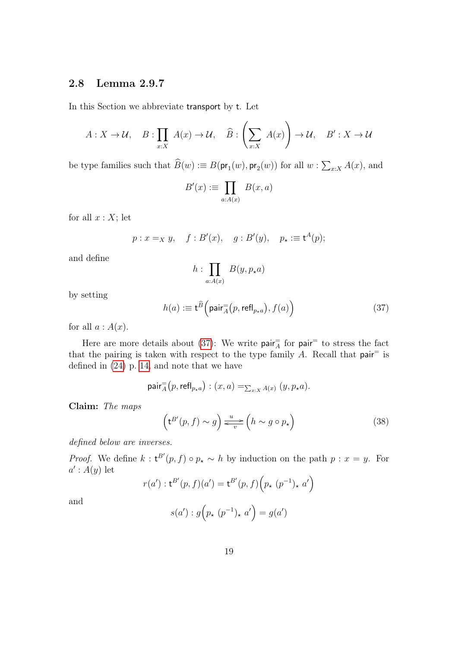## <span id="page-18-0"></span>2.8 Lemma 2.9.7

In this Section we abbreviate transport by t. Let

$$
A: X \to \mathcal{U}, \quad B: \prod_{x:X} A(x) \to \mathcal{U}, \quad \widehat{B}: \left(\sum_{x:X} A(x)\right) \to \mathcal{U}, \quad B': X \to \mathcal{U}
$$

be type families such that  $B(w) := B(\mathsf{pr}_1(w), \mathsf{pr}_2(w))$  for all  $w : \sum_{x:X} A(x)$ , and

$$
B'(x) := \prod_{a:A(x)} B(x,a)
$$

for all  $x : X$ ; let

$$
p: x =_X y
$$
,  $f: B'(x)$ ,  $g: B'(y)$ ,  $p_\star := \mathsf{t}^A(p)$ ;

and define

$$
h:\prod_{a:A(x)} B(y,p_{\star}a)
$$

by setting

<span id="page-18-1"></span>
$$
h(a) := \mathbf{t}^{\widehat{B}}\left(\text{pair}_{A}^{\equiv}(p, \text{refl}_{p \star a}), f(a)\right) \tag{37}
$$

for all  $a : A(x)$ .

Here are more details about [\(37\)](#page-18-1): We write  $\text{pair}^{\pm}$  for  $\text{pair}^{\pm}$  to stress the fact that the pairing is taken with respect to the type family  $A$ . Recall that pair<sup>=</sup> is defined in [\(24\)](#page-13-4) p. [14,](#page-13-4) and note that we have

$$
\mathsf{pair}_{\overline{A}}^=(p, \mathsf{refl}_{p \star a}) : (x, a) =_{\sum_{x:X} A(x)} (y, p_{\star}a).
$$

Claim: The maps

<span id="page-18-2"></span>
$$
\left(\mathbf{t}^{B'}(p,f) \sim g\right) \xleftarrow{u} \left(h \sim g \circ p_{\star}\right) \tag{38}
$$

defined below are inverses.

*Proof.* We define  $k : t^{B'}(p, f) \circ p_{\star} \sim h$  by induction on the path  $p : x = y$ . For  $a': A(y)$  let

$$
r(a') : t^{B'}(p, f)(a') = t^{B'}(p, f)\Big(p_{\star} (p^{-1})_{\star} a'\Big)
$$

and

$$
s(a') : g\left(p_\star \ (p^{-1})_\star \ a'\right) = g(a')
$$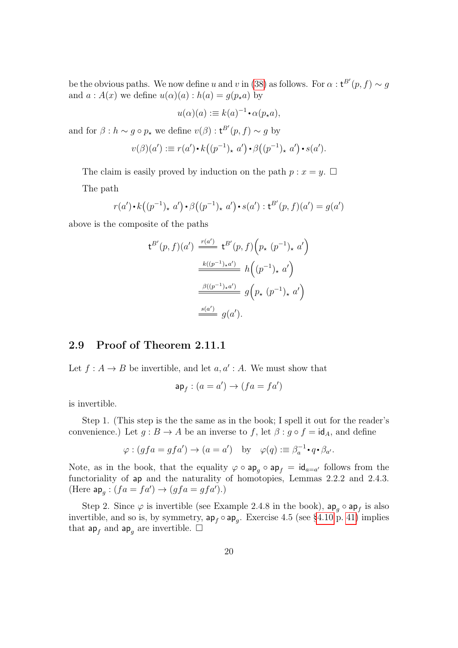be the obvious paths. We now define u and v in [\(38\)](#page-18-2) as follows. For  $\alpha$  :  $t^{B'}(p, f) \sim g$ and  $a : A(x)$  we define  $u(\alpha)(a) : h(a) = g(p_* a)$  by

$$
u(\alpha)(a) := k(a)^{-1} \cdot \alpha(p_{\star}a),
$$

and for  $\beta : h \sim g \circ p_{\star}$  we define  $v(\beta) : t^{B'}(p, f) \sim g$  by

$$
v(\beta)(a') := r(a') \cdot k((p^{-1})_{\star} a') \cdot \beta((p^{-1})_{\star} a') \cdot s(a').
$$

The claim is easily proved by induction on the path  $p : x = y$ .  $\Box$ 

The path

$$
r(a') \cdot k((p^{-1})_{\star} a') \cdot \beta((p^{-1})_{\star} a') \cdot s(a') : t^{B'}(p, f)(a') = g(a')
$$

above is the composite of the paths

$$
\begin{aligned} \mathsf{t}^{B'}(p,f)(a') & \xrightarrow{r(a')} \mathsf{t}^{B'}(p,f) \Big( p_{\star} \ (p^{-1})_{\star} \ a' \Big) \\ & \xrightarrow{k((p^{-1})_{\star}a')} h\Big( (p^{-1})_{\star} \ a' \Big) \\ & \xrightarrow{\beta((p^{-1})_{\star}a')} g\Big( p_{\star} \ (p^{-1})_{\star} \ a' \Big) \\ & \xrightarrow{s(a')} g(a'). \end{aligned}
$$

#### <span id="page-19-0"></span>2.9 Proof of Theorem 2.11.1

Let  $f : A \to B$  be invertible, and let  $a, a' : A$ . We must show that

$$
\mathsf{ap}_f : (a = a') \to (fa = fa')
$$

is invertible.

Step 1. (This step is the the same as in the book; I spell it out for the reader's convenience.) Let  $g : B \to A$  be an inverse to f, let  $\beta : g \circ f = id_A$ , and define

$$
\varphi : (gfa = gfa') \to (a = a') \text{ by } \varphi(q) := \beta_a^{-1} \cdot q \cdot \beta_{a'}.
$$

Note, as in the book, that the equality  $\varphi \circ ap_g \circ ap_f = id_{a=a'}$  follows from the functoriality of ap and the naturality of homotopies, Lemmas 2.2.2 and 2.4.3. (Here  $ap_g: (fa = fa') \rightarrow (gfa = gfa')$ .)

Step 2. Since  $\varphi$  is invertible (see Example 2.4.8 in the book),  $ap_g \circ ap_f$  is also invertible, and so is, by symmetry,  $ap_f \circ ap_g$ . Exercise 4.5 (see [§4.10](#page-40-0) p. [41\)](#page-40-0) implies that  $ap_f$  and  $ap_g$  are invertible.  $\Box$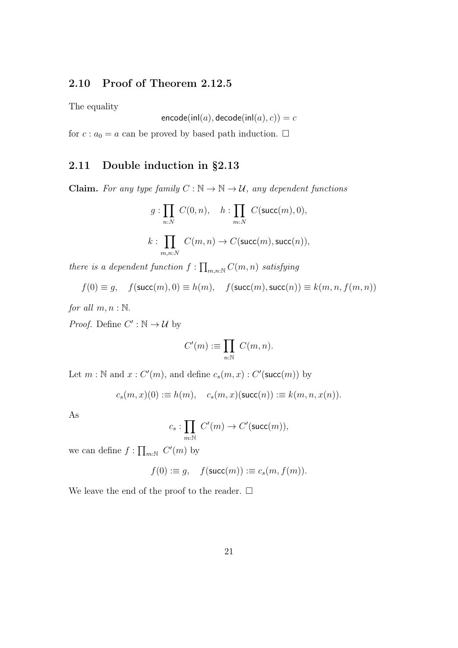## <span id="page-20-0"></span>2.10 Proof of Theorem 2.12.5

The equality

$$
\mathsf{encode}(\mathsf{inl}(a), \mathsf{decode}(\mathsf{inl}(a), c)) = c
$$

for  $c : a_0 = a$  can be proved by based path induction.  $\Box$ 

## <span id="page-20-1"></span>2.11 Double induction in §2.13

**Claim.** For any type family  $C : \mathbb{N} \to \mathbb{N} \to \mathcal{U}$ , any dependent functions

$$
g: \prod_{n:N} C(0,n), \quad h: \prod_{m:N} C(\text{succ}(m), 0),
$$

$$
k: \prod_{m,n:N} C(m,n) \to C(\text{succ}(m), \text{succ}(n)),
$$

there is a dependent function  $f: \prod_{m,n:\mathbb{N}} C(m,n)$  satisfying

$$
f(0) \equiv g, \quad f(\text{succ}(m), 0) \equiv h(m), \quad f(\text{succ}(m), \text{succ}(n)) \equiv k(m, n, f(m, n))
$$

for all  $m, n : \mathbb{N}$ .

*Proof.* Define  $C' : \mathbb{N} \to \mathcal{U}$  by

$$
C'(m) := \prod_{n:\mathbb{N}} C(m,n).
$$

Let  $m : \mathbb{N}$  and  $x : C'(m)$ , and define  $c_s(m, x) : C'(\text{succ}(m))$  by

$$
c_s(m,x)(0) := h(m), \quad c_s(m,x)(\mathsf{succ}(n)) := k(m,n,x(n)).
$$

As

$$
c_s: \prod_{m:\mathbb{N}} C'(m) \to C'(\text{succ}(m)),
$$

we can define  $f: \prod_{m:\mathbb{N}} C'(m)$  by

$$
f(0) := g, \quad f(\mathsf{succ}(m)) := c_s(m, f(m)).
$$

We leave the end of the proof to the reader.  $\Box$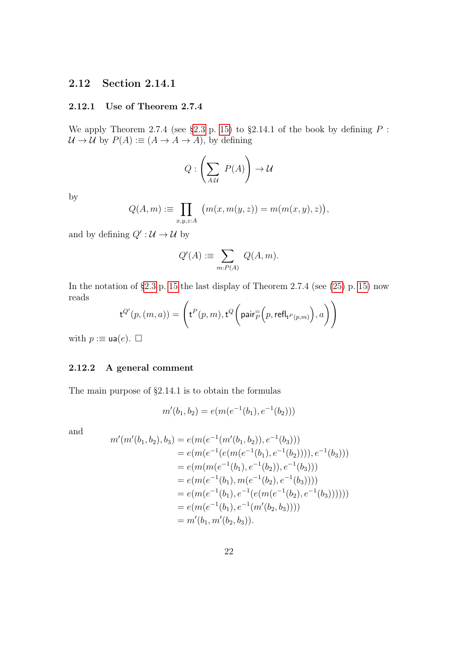## <span id="page-21-0"></span>2.12 Section 2.14.1

#### <span id="page-21-1"></span>2.12.1 Use of Theorem 2.7.4

We apply Theorem 2.7.4 (see [§2.3](#page-14-0) p. [15\)](#page-14-0) to §2.14.1 of the book by defining  $P$ :  $\mathcal{U} \to \mathcal{U}$  by  $P(A) := (A \to A \to A)$ , by defining

$$
Q:\left(\sum_{A:\mathcal{U}}\ P(A)\right)\rightarrow \mathcal{U}
$$

by

$$
Q(A,m) := \prod_{x,y,z:A} (m(x,m(y,z)) = m(m(x,y),z)),
$$

and by defining  $Q' : U \rightarrow U$  by

$$
Q'(A) := \sum_{m:P(A)} Q(A,m).
$$

In the notation of  $\S 2.3$  p. [15](#page-14-0) the last display of Theorem 2.7.4 (see  $(25)$  p. [15\)](#page-14-2) now reads

$$
\mathsf{t}^{Q'}(p,(m,a)) = \Bigg( \mathsf{t}^{P}(p,m), \mathsf{t}^{Q}\bigg(\mathsf{pair}_{P}^= (p, \mathsf{refl}_{\mathsf{t}^{P}(p,m)}\big), a\bigg)\Bigg)
$$

with  $p := \mathsf{ua}(e)$ .  $\Box$ 

#### <span id="page-21-2"></span>2.12.2 A general comment

The main purpose of §2.14.1 is to obtain the formulas

$$
m'(b_1, b_2) = e(m(e^{-1}(b_1), e^{-1}(b_2)))
$$

and

$$
m'(m'(b_1, b_2), b_3) = e(m(e^{-1}(m'(b_1, b_2)), e^{-1}(b_3)))
$$
  
\n
$$
= e(m(e^{-1}(e(m(e^{-1}(b_1), e^{-1}(b_2))))), e^{-1}(b_3)))
$$
  
\n
$$
= e(m(m(e^{-1}(b_1), e^{-1}(b_2)), e^{-1}(b_3)))
$$
  
\n
$$
= e(m(e^{-1}(b_1), m(e^{-1}(b_2), e^{-1}(b_3))))
$$
  
\n
$$
= e(m(e^{-1}(b_1), e^{-1}(e(m(e^{-1}(b_2), e^{-1}(b_3)))))))
$$
  
\n
$$
= e(m(e^{-1}(b_1), e^{-1}(m'(b_2, b_3))))
$$
  
\n
$$
= m'(b_1, m'(b_2, b_3)).
$$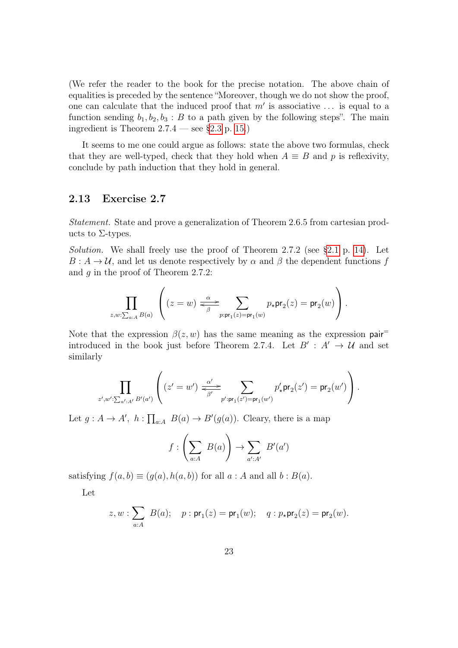(We refer the reader to the book for the precise notation. The above chain of equalities is preceded by the sentence "Moreover, though we do not show the proof, one can calculate that the induced proof that  $m'$  is associative ... is equal to a function sending  $b_1, b_2, b_3 : B$  to a path given by the following steps". The main ingredient is Theorem  $2.7.4$  — see [§2.3](#page-14-0) p. [15.](#page-14-0))

It seems to me one could argue as follows: state the above two formulas, check that they are well-typed, check that they hold when  $A \equiv B$  and p is reflexivity, conclude by path induction that they hold in general.

#### <span id="page-22-0"></span>2.13 Exercise 2.7

Statement. State and prove a generalization of Theorem 2.6.5 from cartesian products to  $\Sigma$ -types.

*Solution.* We shall freely use the proof of Theorem 2.7.2 (see  $\S 2.1$  p. [14\)](#page-13-2). Let  $B: A \to U$ , and let us denote respectively by  $\alpha$  and  $\beta$  the dependent functions f and g in the proof of Theorem 2.7.2:

$$
\prod_{z,w:\sum_{a:A}B(a)}\left((z=w)\xrightarrow[\beta]{\alpha} \sum_{p:\mathsf{pr}_1(z)=\mathsf{pr}_1(w)}p_\star\mathsf{pr}_2(z)=\mathsf{pr}_2(w)\right).
$$

Note that the expression  $\beta(z, w)$  has the same meaning as the expression pair introduced in the book just before Theorem 2.7.4. Let  $B' : A' \rightarrow U$  and set similarly

$$
\prod_{z',w':\sum_{a':A'}B'(a')} \left( (z'=w') \xleftarrow[\alpha']{\alpha'} \sum_{\beta'} \sum_{p':\mathsf{pr}_1(z')=\mathsf{pr}_1(w')} p'_\star \mathsf{pr}_2(z') = \mathsf{pr}_2(w') \right).
$$

Let  $g : A \to A'$ ,  $h : \prod_{a:A} B(a) \to B'(g(a))$ . Cleary, there is a map

$$
f:\left(\sum_{a:A} B(a)\right) \to \sum_{a':A'} B'(a')
$$

satisfying  $f(a, b) \equiv (q(a), h(a, b))$  for all  $a : A$  and all  $b : B(a)$ .

Let

$$
z, w : \sum_{a:A} B(a); \quad p : \text{pr}_1(z) = \text{pr}_1(w); \quad q : p_{\star} \text{pr}_2(z) = \text{pr}_2(w).
$$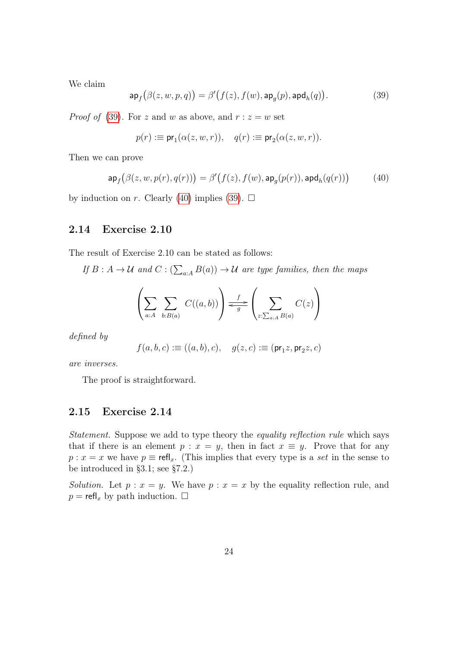We claim

<span id="page-23-2"></span>
$$
\mathsf{ap}_f\big(\beta(z,w,p,q)\big) = \beta'\big(f(z), f(w), \mathsf{ap}_g(p), \mathsf{apd}_h(q)\big). \tag{39}
$$

*Proof of* [\(39\)](#page-23-2). For z and w as above, and  $r : z = w$  set

$$
p(r) := \mathsf{pr}_1(\alpha(z, w, r)), \quad q(r) := \mathsf{pr}_2(\alpha(z, w, r)).
$$

Then we can prove

<span id="page-23-3"></span>
$$
\mathsf{ap}_f\big(\beta(z,w,p(r),q(r))\big) = \beta'\big(f(z),f(w),\mathsf{ap}_g(p(r)),\mathsf{apd}_h(q(r))\big) \tag{40}
$$

by induction on r. Clearly [\(40\)](#page-23-3) implies [\(39\)](#page-23-2).  $\Box$ 

#### <span id="page-23-0"></span>2.14 Exercise 2.10

The result of Exercise 2.10 can be stated as follows:

If  $B: A \to U$  and  $C: (\sum_{a:A} B(a)) \to U$  are type families, then the maps

$$
\left(\sum_{a:A}\sum_{b:B(a)}C((a,b))\right) \xleftarrow{f} \left(\sum_{z:\sum_{a:A}B(a)}C(z)\right)
$$

defined by

$$
f(a,b,c): \equiv ((a,b),c), \quad g(z,c) \vcentcolon \equiv (\mathrm{pr}_1 z, \mathrm{pr}_2 z, c)
$$

are inverses.

The proof is straightforward.

#### <span id="page-23-1"></span>2.15 Exercise 2.14

Statement. Suppose we add to type theory the equality reflection rule which says that if there is an element  $p : x = y$ , then in fact  $x \equiv y$ . Prove that for any  $p : x = x$  we have  $p \equiv \text{refl}_x$ . (This implies that every type is a set in the sense to be introduced in §3.1; see §7.2.)

Solution. Let  $p : x = y$ . We have  $p : x = x$  by the equality reflection rule, and  $p = \text{refl}_x$  by path induction.  $\Box$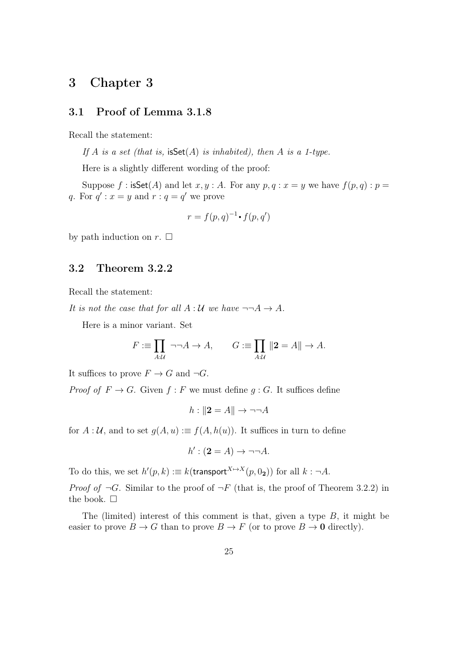# <span id="page-24-0"></span>3 Chapter 3

#### <span id="page-24-1"></span>3.1 Proof of Lemma 3.1.8

Recall the statement:

If A is a set (that is,  $iSet(A)$  is inhabited), then A is a 1-type.

Here is a slightly different wording of the proof:

Suppose f: isSet(A) and let x, y: A. For any  $p, q : x = y$  we have  $f(p, q) : p =$ q. For  $q'$ :  $x = y$  and  $r : q = q'$  we prove

$$
r = f(p,q)^{-1} \cdot f(p,q')
$$

by path induction on  $r$ .  $\Box$ 

#### <span id="page-24-2"></span>3.2 Theorem 3.2.2

Recall the statement:

It is not the case that for all  $A:U$  we have  $\neg\neg A \rightarrow A$ .

Here is a minor variant. Set

$$
F := \prod_{A:\mathcal{U}} \neg \neg A \to A, \qquad G := \prod_{A:\mathcal{U}} ||2 = A|| \to A.
$$

It suffices to prove  $F \to G$  and  $\neg G$ .

*Proof of*  $F \to G$ . Given  $f : F$  we must define  $g : G$ . It suffices define

$$
h: \|2 = A\| \to \neg\neg A
$$

for  $A: \mathcal{U}$ , and to set  $g(A, u) := f(A, h(u))$ . It suffices in turn to define

 $h' : (2 = A) \rightarrow \neg\neg A$ .

To do this, we set  $h'(p,k) := k(\text{transport}^{X \mapsto X}(p, 0_2))$  for all  $k : \neg A$ .

*Proof of*  $\neg G$ . Similar to the proof of  $\neg F$  (that is, the proof of Theorem 3.2.2) in the book.  $\Box$ 

The (limited) interest of this comment is that, given a type  $B$ , it might be easier to prove  $B \to G$  than to prove  $B \to F$  (or to prove  $B \to 0$  directly).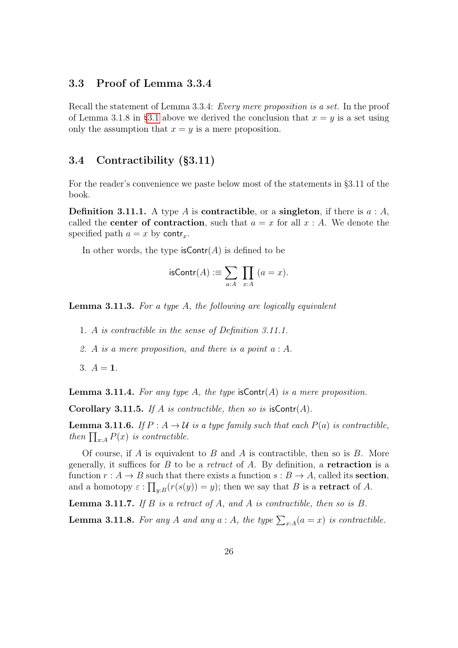#### <span id="page-25-0"></span>3.3 Proof of Lemma 3.3.4

Recall the statement of Lemma 3.3.4: Every mere proposition is a set. In the proof of Lemma 3.1.8 in [§3.1](#page-24-1) above we derived the conclusion that  $x = y$  is a set using only the assumption that  $x = y$  is a mere proposition.

#### <span id="page-25-1"></span>3.4 Contractibility (§3.11)

For the reader's convenience we paste below most of the statements in §3.11 of the book.

**Definition 3.11.1.** A type A is **contractible**, or a **singleton**, if there is  $a : A$ , called the **center of contraction**, such that  $a = x$  for all  $x : A$ . We denote the specified path  $a = x$  by contr<sub>x</sub>.

In other words, the type  $\mathsf{isContr}(A)$  is defined to be

isContr(A) := 
$$
\sum_{a:A} \prod_{x:A} (a=x)
$$
.

Lemma 3.11.3. For a type A, the following are logically equivalent

- 1. A is contractible in the sense of Definition 3.11.1.
- 2. A is a mere proposition, and there is a point  $a : A$ .

3.  $A = 1$ .

**Lemma 3.11.4.** For any type A, the type  $\mathsf{isContr}(A)$  is a mere proposition.

Corollary 3.11.5. If A is contractible, then so is  $\mathsf{isContr}(A)$ .

**Lemma 3.11.6.** If  $P: A \to U$  is a type family such that each  $P(a)$  is contractible, then  $\prod_{x:A} P(x)$  is contractible.

Of course, if A is equivalent to B and A is contractible, then so is B. More generally, it suffices for  $B$  to be a *retract* of  $A$ . By definition, a **retraction** is a function  $r : A \to B$  such that there exists a function  $s : B \to A$ , called its **section**, and a homotopy  $\varepsilon : \prod_{y:B} (r(s(y)) = y)$ ; then we say that B is a **retract** of A.

**Lemma 3.11.7.** If  $B$  is a retract of  $A$ , and  $A$  is contractible, then so is  $B$ .

**Lemma 3.11.8.** For any A and any  $a : A$ , the type  $\sum_{x:A} (a = x)$  is contractible.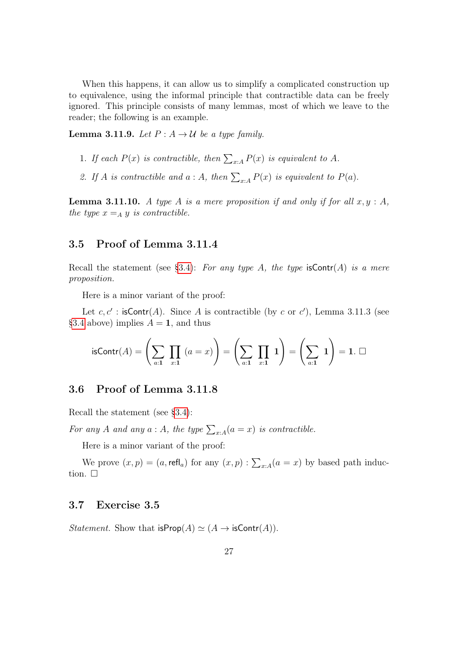When this happens, it can allow us to simplify a complicated construction up to equivalence, using the informal principle that contractible data can be freely ignored. This principle consists of many lemmas, most of which we leave to the reader; the following is an example.

**Lemma 3.11.9.** Let  $P: A \rightarrow \mathcal{U}$  be a type family.

- 1. If each  $P(x)$  is contractible, then  $\sum_{x:A} P(x)$  is equivalent to A.
- 2. If A is contractible and  $a : A$ , then  $\sum_{x:A} P(x)$  is equivalent to  $P(a)$ .

**Lemma 3.11.10.** A type A is a mere proposition if and only if for all  $x, y : A$ , the type  $x =_A y$  is contractible.

#### <span id="page-26-0"></span>3.5 Proof of Lemma 3.11.4

Recall the statement (see [§3.4\)](#page-25-1): For any type A, the type  $\mathsf{isContr}(A)$  is a mere proposition.

Here is a minor variant of the proof:

Let  $c, c'$ : isContr(A). Since A is contractible (by c or c'), Lemma 3.11.3 (see [§3.4](#page-25-1) above) implies  $A = 1$ , and thus

isContr(A) = 
$$
\left(\sum_{a:1}
$$
  $\prod_{x:1}$   $(a = x)\right)$  =  $\left(\sum_{a:1}$   $\prod_{x:1}$   $1\right)$  =  $\left(\sum_{a:1}$   $1\right)$  = 1.  $\square$ 

#### <span id="page-26-1"></span>3.6 Proof of Lemma 3.11.8

Recall the statement (see [§3.4\)](#page-25-1):

For any A and any  $a : A$ , the type  $\sum_{x:A} (a = x)$  is contractible.

Here is a minor variant of the proof:

We prove  $(x, p) = (a, \text{refl}_a)$  for any  $(x, p) : \sum_{x : A} (a = x)$  by based path induction.  $\square$ 

#### <span id="page-26-2"></span>3.7 Exercise 3.5

*Statement.* Show that  $i$ sProp $(A) \simeq (A \rightarrow i$ sContr $(A))$ .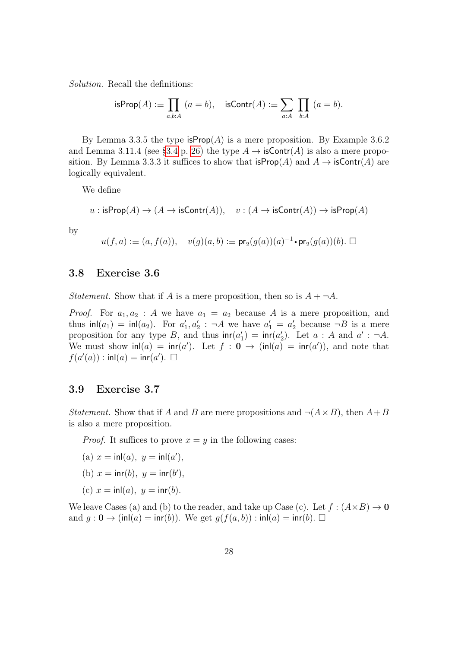Solution. Recall the definitions:

isProp(A) := 
$$
\prod_{a,b:A}
$$
  $(a = b)$ , isContr(A) :=  $\sum_{a:A} \prod_{b:A} (a = b)$ .

By Lemma 3.3.5 the type  $\text{isProp}(A)$  is a mere proposition. By Example 3.6.2 and Lemma 3.11.4 (see [§3.4](#page-25-1) p. [26\)](#page-25-1) the type  $A \to \text{isContr}(A)$  is also a mere proposition. By Lemma 3.3.3 it suffices to show that  $i$ sProp $(A)$  and  $A \rightarrow i$ sContr $(A)$  are logically equivalent.

We define

$$
u : \text{isProp}(A) \to (A \to \text{isContr}(A)), \quad v : (A \to \text{isContr}(A)) \to \text{isProp}(A)
$$

by

$$
u(f,a):\equiv (a,f(a)),\quad v(g)(a,b): \equiv \mathrm{pr}_2(g(a))(a)^{-1}\cdot \mathrm{pr}_2(g(a))(b).\ \Box
$$

#### <span id="page-27-0"></span>3.8 Exercise 3.6

*Statement.* Show that if A is a mere proposition, then so is  $A + \neg A$ .

*Proof.* For  $a_1, a_2$ : A we have  $a_1 = a_2$  because A is a mere proposition, and thus  $\text{inl}(a_1) = \text{inl}(a_2)$ . For  $a'_1, a'_2$ :  $\neg A$  we have  $a'_1 = a'_2$  because  $\neg B$  is a mere proposition for any type B, and thus  $\text{inr}(a'_1) = \text{inr}(a'_2)$ . Let  $a : A$  and  $a' : \neg A$ . We must show  $\text{inl}(a) = \text{inr}(a')$ . Let  $f : \mathbf{0} \to (\text{inl}(a) = \text{inr}(a'))$ , and note that  $f(a'(a))$ : inl $(a)$  = inr $(a')$ .  $\Box$ 

#### <span id="page-27-1"></span>3.9 Exercise 3.7

*Statement.* Show that if A and B are mere propositions and  $\neg (A \times B)$ , then  $A + B$ is also a mere proposition.

*Proof.* It suffices to prove  $x = y$  in the following cases:

(a) 
$$
x = \text{inl}(a), y = \text{inl}(a'),
$$

(b) 
$$
x = \text{inr}(b), y = \text{inr}(b'),
$$

(c) 
$$
x = \text{inl}(a), y = \text{inr}(b).
$$

We leave Cases (a) and (b) to the reader, and take up Case (c). Let  $f : (A \times B) \to \mathbf{0}$ and  $g: \mathbf{0} \to (\text{inl}(a) = \text{inr}(b))$ . We get  $g(f(a, b)) : \text{inl}(a) = \text{inr}(b)$ .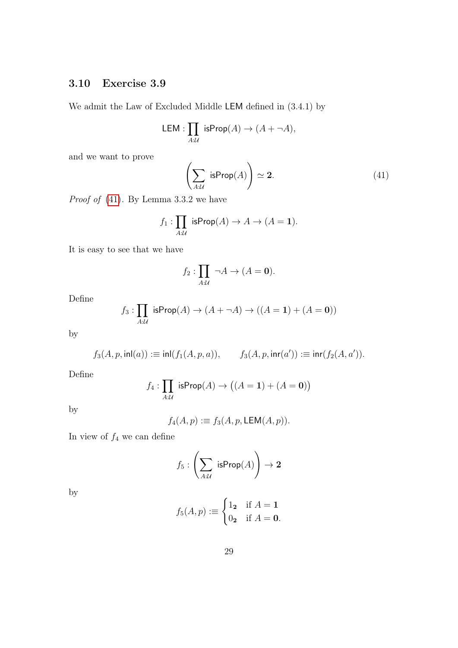## <span id="page-28-0"></span>3.10 Exercise 3.9

We admit the Law of Excluded Middle LEM defined in (3.4.1) by

LEM: 
$$
\prod_{A:\mathcal{U}}
$$
 isProp(A)  $\rightarrow$  (A +  $\neg$ A),

and we want to prove

<span id="page-28-1"></span>
$$
\left(\sum_{A:\mathcal{U}} \text{ isProp}(A)\right) \simeq 2. \tag{41}
$$

*Proof of*  $(41)$ . By Lemma 3.3.2 we have

$$
f_1: \prod_{A:\mathcal{U}} \text{ isProp}(A) \to A \to (A = 1).
$$

It is easy to see that we have

$$
f_2: \prod_{A:\mathcal{U}} \neg A \to (A = \mathbf{0}).
$$

Define

$$
f_3: \prod_{A:\mathcal{U}} \text{ isProp}(A) \to (A + \neg A) \to ((A = 1) + (A = 0))
$$

by

$$
f_3(A, p, \text{inl}(a)) := \text{inl}(f_1(A, p, a)), \qquad f_3(A, p, \text{inr}(a')) := \text{inr}(f_2(A, a')).
$$

Define

$$
f_4: \prod_{A:\mathcal{U}} \text{ isProp}(A) \to \big((A = 1) + (A = 0)\big)
$$

by

$$
f_4(A, p) := f_3(A, p, \mathsf{LEM}(A, p)).
$$

In view of  $f_4$  we can define

$$
f_5: \left(\sum_{A:\mathcal{U}} \ \mathsf{isProp}(A) \right) \to \mathbf{2}
$$

by

$$
f_5(A, p) := \begin{cases} 1_2 & \text{if } A = 1 \\ 0_2 & \text{if } A = 0. \end{cases}
$$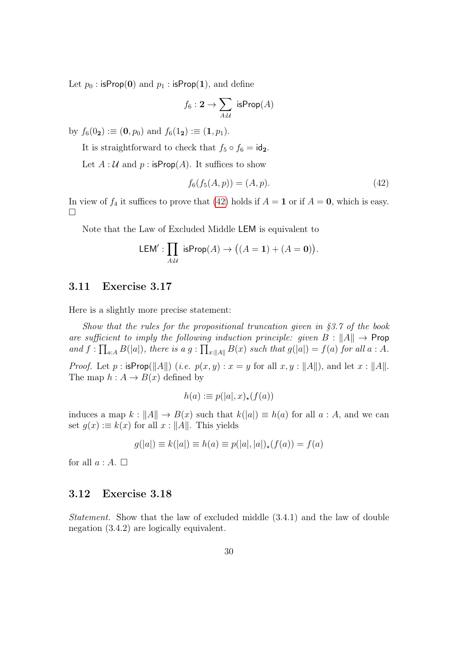Let  $p_0$ : isProp(0) and  $p_1$ : isProp(1), and define

$$
f_6: \mathbf{2} \to \sum_{A:\mathcal{U}} \text{ isProp}(A)
$$

by  $f_6(0_2) := (0, p_0)$  and  $f_6(1_2) := (1, p_1)$ .

It is straightforward to check that  $f_5 \circ f_6 = id_2$ .

Let  $A: \mathcal{U}$  and  $p: \text{isProp}(A)$ . It suffices to show

<span id="page-29-2"></span>
$$
f_6(f_5(A, p)) = (A, p). \tag{42}
$$

In view of  $f_4$  it suffices to prove that [\(42\)](#page-29-2) holds if  $A = 1$  or if  $A = 0$ , which is easy.  $\Box$ 

Note that the Law of Excluded Middle LEM is equivalent to

$$
\mathsf{LEM}' : \prod_{A:\mathcal{U}} \mathsf{isProp}(A) \to \big( (A = \mathbf{1}) + (A = \mathbf{0}) \big).
$$

#### <span id="page-29-0"></span>3.11 Exercise 3.17

Here is a slightly more precise statement:

Show that the rules for the propositional truncation given in §3.7 of the book are sufficient to imply the following induction principle: given  $B: \|A\| \to \textsf{Prop}$ and  $f: \prod_{a:A} B(|a|)$ , there is a  $g: \prod_{x:||A||} B(x)$  such that  $g(|a|) = f(a)$  for all  $a: A$ . *Proof.* Let p:  $\mathsf{isProp}(\|A\|)$  (i.e.  $p(x, y) : x = y$  for all  $x, y : \|A\|$ ), and let  $x : \|A\|$ . The map  $h : A \to B(x)$  defined by

$$
h(a) := p(|a|, x)_{\star}(f(a))
$$

induces a map  $k : ||A|| \to B(x)$  such that  $k(|a|) \equiv h(a)$  for all  $a : A$ , and we can set  $g(x) := k(x)$  for all  $x : ||A||$ . This yields

$$
g(|a|) \equiv k(|a|) \equiv h(a) \equiv p(|a|, |a|)_\star (f(a)) = f(a)
$$

for all  $a : A. \square$ 

#### <span id="page-29-1"></span>3.12 Exercise 3.18

Statement. Show that the law of excluded middle (3.4.1) and the law of double negation (3.4.2) are logically equivalent.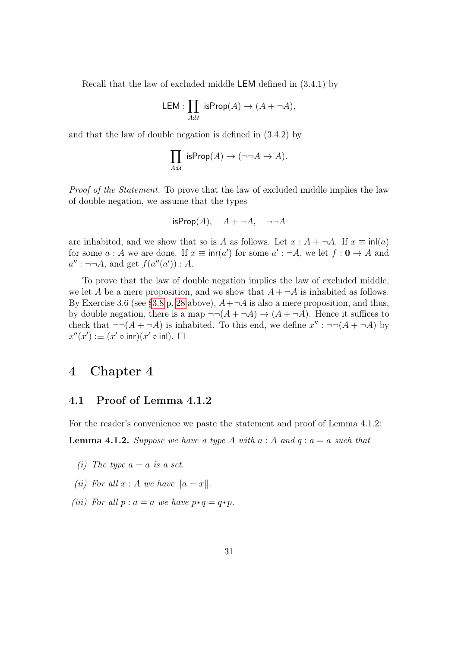Recall that the law of excluded middle LEM defined in (3.4.1) by

$$
\mathsf{LEM}: \prod_{A:\mathcal{U}} \mathsf{isProp}(A) \to (A + \neg A),
$$

and that the law of double negation is defined in (3.4.2) by

$$
\prod_{A:\mathcal{U}} \text{ isProp}(A) \to (\neg\neg A \to A).
$$

Proof of the Statement. To prove that the law of excluded middle implies the law of double negation, we assume that the types

isProp
$$
(A)
$$
,  $A + \neg A$ ,  $\neg\neg A$ 

are inhabited, and we show that so is A as follows. Let  $x : A + \neg A$ . If  $x \equiv \text{inl}(a)$ for some  $a : A$  we are done. If  $x \equiv \text{inr}(a')$  for some  $a' : \neg A$ , we let  $f : \mathbf{0} \to A$  and  $a'': \neg\neg A$ , and get  $f(a''(a')): A$ .

To prove that the law of double negation implies the law of excluded middle, we let A be a mere proposition, and we show that  $A + \neg A$  is inhabited as follows. By Exercise 3.6 (see [§3.8](#page-27-0) p. [28](#page-27-0) above),  $A + \neg A$  is also a mere proposition, and thus, by double negation, there is a map  $\neg\neg(A + \neg A) \rightarrow (A + \neg A)$ . Hence it suffices to check that  $\neg\neg(A + \neg A)$  is inhabited. To this end, we define  $x'' : \neg\neg(A + \neg A)$  by  $x''(x') := (x' \circ \text{inr})(x' \circ \text{inl}).$ 

## <span id="page-30-0"></span>4 Chapter 4

#### <span id="page-30-1"></span>4.1 Proof of Lemma 4.1.2

For the reader's convenience we paste the statement and proof of Lemma 4.1.2:

**Lemma 4.1.2.** Suppose we have a type A with  $a : A$  and  $q : a = a$  such that

- (i) The type  $a = a$  is a set.
- (ii) For all  $x : A$  we have  $||a = x||$ .
- (iii) For all  $p : a = a$  we have  $p \cdot q = q \cdot p$ .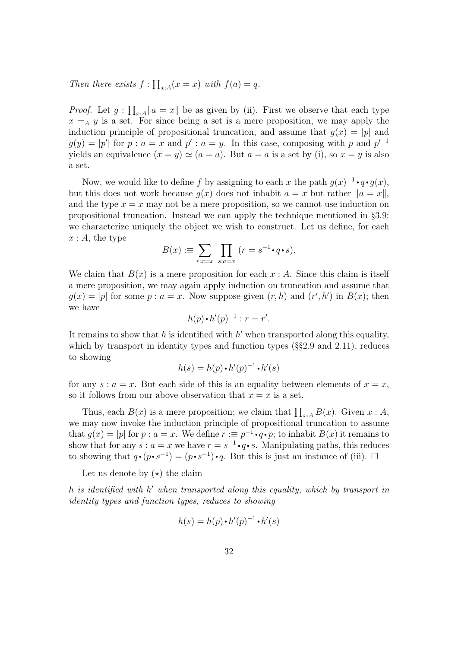Then there exists  $f : \prod_{x:A} (x = x)$  with  $f(a) = q$ .

*Proof.* Let  $g: \prod_{x:A} ||a = x||$  be as given by (ii). First we observe that each type  $x =_A y$  is a set. For since being a set is a mere proposition, we may apply the induction principle of propositional truncation, and assume that  $q(x) = |p|$  and  $g(y) = |p'|$  for  $p : a = x$  and  $p' : a = y$ . In this case, composing with p and  $p'^{-1}$ yields an equivalence  $(x = y) \simeq (a = a)$ . But  $a = a$  is a set by (i), so  $x = y$  is also a set.

Now, we would like to define f by assigning to each x the path  $g(x)^{-1} \cdot q \cdot g(x)$ , but this does not work because  $g(x)$  does not inhabit  $a = x$  but rather  $||a = x||$ , and the type  $x = x$  may not be a mere proposition, so we cannot use induction on propositional truncation. Instead we can apply the technique mentioned in §3.9: we characterize uniquely the object we wish to construct. Let us define, for each  $x : A$ , the type

$$
B(x) := \sum_{r:x=x} \prod_{s:a=x} (r = s^{-1} \cdot q \cdot s).
$$

We claim that  $B(x)$  is a mere proposition for each  $x : A$ . Since this claim is itself a mere proposition, we may again apply induction on truncation and assume that  $g(x) = |p|$  for some  $p : a = x$ . Now suppose given  $(r, h)$  and  $(r', h')$  in  $B(x)$ ; then we have

$$
h(p) \cdot h'(p)^{-1} : r = r'.
$$

It remains to show that  $h$  is identified with  $h'$  when transported along this equality, which by transport in identity types and function types  $(\S_{\mathcal{S}}^2 2.9 \text{ and } 2.11)$ , reduces to showing

$$
h(s) = h(p) \cdot h'(p)^{-1} \cdot h'(s)
$$

for any  $s : a = x$ . But each side of this is an equality between elements of  $x = x$ , so it follows from our above observation that  $x = x$  is a set.

Thus, each  $B(x)$  is a mere proposition; we claim that  $\prod_{x:A} B(x)$ . Given  $x:A$ , we may now invoke the induction principle of propositional truncation to assume that  $g(x) = |p|$  for  $p : a = x$ . We define  $r := p^{-1} \cdot q \cdot p$ ; to inhabit  $B(x)$  it remains to show that for any  $s : a = x$  we have  $r = s^{-1} \cdot q \cdot s$ . Manipulating paths, this reduces to showing that  $q \cdot (p \cdot s^{-1}) = (p \cdot s^{-1}) \cdot q$ . But this is just an instance of (iii).  $\Box$ 

Let us denote by  $(\star)$  the claim

h is identified with h' when transported along this equality, which by transport in identity types and function types, reduces to showing

$$
h(s) = h(p) \cdot h'(p)^{-1} \cdot h'(s)
$$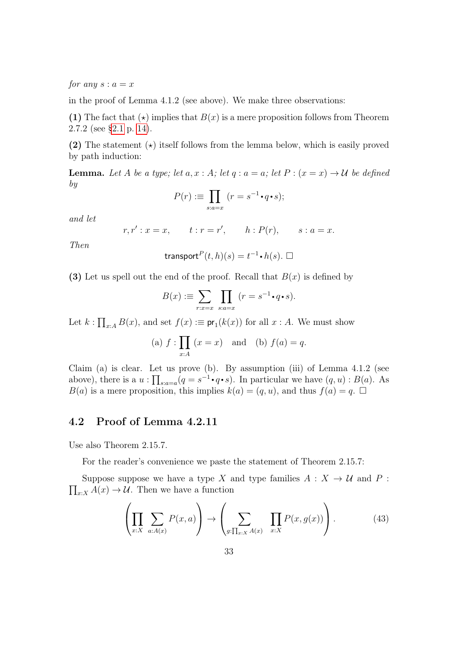for any  $s : a = x$ 

in the proof of Lemma 4.1.2 (see above). We make three observations:

(1) The fact that  $(\star)$  implies that  $B(x)$  is a mere proposition follows from Theorem 2.7.2 (see [§2.1](#page-13-2) p. [14\)](#page-13-2).

(2) The statement  $(\star)$  itself follows from the lemma below, which is easily proved by path induction:

**Lemma.** Let A be a type; let  $a, x : A$ ; let  $q : a = a$ ; let  $P : (x = x) \rightarrow \mathcal{U}$  be defined by

$$
P(r) := \prod_{s:a=x} (r = s^{-1} \cdot q \cdot s);
$$

and let

$$
r, r' : x = x,
$$
  $t : r = r',$   $h : P(r),$   $s : a = x.$ 

Then

$$
\mathsf{transport}^P(t, h)(s) = t^{-1} \cdot h(s). \ \Box
$$

(3) Let us spell out the end of the proof. Recall that  $B(x)$  is defined by

$$
B(x) := \sum_{r:x=x} \prod_{s:a=x} (r = s^{-1} \cdot q \cdot s).
$$

Let  $k: \prod_{x:A} B(x)$ , and set  $f(x) := \text{pr}_1(k(x))$  for all  $x : A$ . We must show

(a) 
$$
f: \prod_{x:A} (x = x)
$$
 and (b)  $f(a) = q$ .

Claim (a) is clear. Let us prove (b). By assumption (iii) of Lemma 4.1.2 (see above), there is a  $u : \prod_{s:a=a} (q = s^{-1} \cdot q \cdot s)$ . In particular we have  $(q, u) : B(a)$ . As  $B(a)$  is a mere proposition, this implies  $k(a) = (q, u)$ , and thus  $f(a) = q$ .

#### <span id="page-32-0"></span>4.2 Proof of Lemma 4.2.11

Use also Theorem 2.15.7.

For the reader's convenience we paste the statement of Theorem 2.15.7:

 $\prod_{x:X} A(x) \to \mathcal{U}$ . Then we have a function Suppose suppose we have a type X and type families  $A: X \to U$  and P :

<span id="page-32-1"></span>
$$
\left(\prod_{x:X}\sum_{a:A(x)}P(x,a)\right)\to\left(\sum_{g:\prod_{x:X}A(x)}\prod_{x:X}P(x,g(x))\right).
$$
 (43)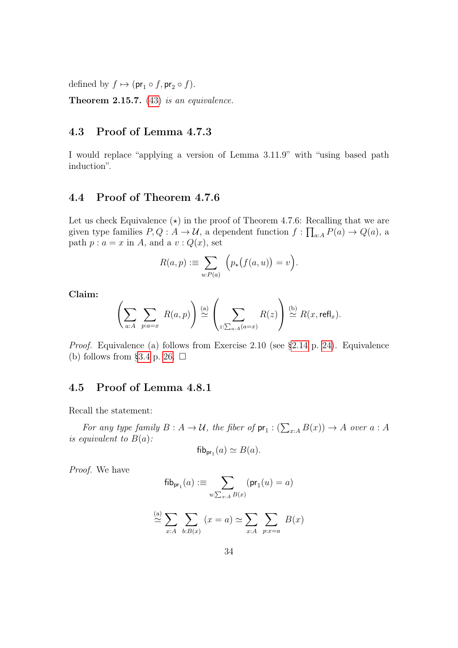defined by  $f \mapsto (\mathsf{pr}_1 \circ f, \mathsf{pr}_2 \circ f).$ 

**Theorem 2.15.7.** [\(43\)](#page-32-1) is an equivalence.

## <span id="page-33-0"></span>4.3 Proof of Lemma 4.7.3

I would replace "applying a version of Lemma 3.11.9" with "using based path induction".

#### <span id="page-33-1"></span>4.4 Proof of Theorem 4.7.6

Let us check Equivalence  $(\star)$  in the proof of Theorem 4.7.6: Recalling that we are given type families  $P, Q: A \to U$ , a dependent function  $f: \prod_{a:A} P(a) \to Q(a)$ , a path  $p : a = x$  in A, and a  $v : Q(x)$ , set

$$
R(a,p) := \sum_{u:P(a)} \left( p_{\star}(f(a,u)) = v \right).
$$

Claim:

$$
\left(\sum_{a:A}\sum_{p:a=x} R(a,p)\right) \stackrel{\text{(a)}}{\simeq} \left(\sum_{z:\sum_{a:A}(a=x)} R(z)\right) \stackrel{\text{(b)}}{\simeq} R(x,\text{refl}_x).
$$

Proof. Equivalence (a) follows from Exercise 2.10 (see [§2.14](#page-23-0) p. [24\)](#page-23-0). Equivalence (b) follows from [§3.4](#page-25-1) p. [26.](#page-25-1)  $\Box$ 

#### <span id="page-33-2"></span>4.5 Proof of Lemma 4.8.1

Recall the statement:

For any type family  $B: A \to \mathcal{U}$ , the fiber of  $pr_1: (\sum_{x:A} B(x)) \to A$  over  $a: A$ is equivalent to  $B(a)$ :

$$
\mathsf{fib}_{\mathsf{pr}_1}(a) \simeq B(a).
$$

Proof. We have

$$
\mathsf{fib}_{\mathsf{pr}_1}(a) := \sum_{u:\sum_{x:A} B(x)} (\mathsf{pr}_1(u) = a)
$$

$$
\stackrel{\text{(a)}}{\simeq} \sum_{x:A} \sum_{b:B(x)} (x = a) \simeq \sum_{x:A} \sum_{p:x=a} B(x)
$$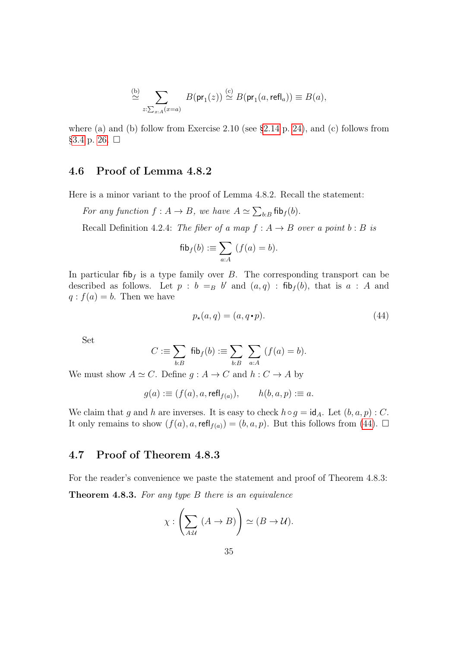$$
\stackrel{\text{(b)}}{\simeq} \sum_{z:\sum_{x:A}(x=a)} B(\text{pr}_1(z)) \stackrel{\text{(c)}}{\simeq} B(\text{pr}_1(a,\text{refl}_a)) \equiv B(a),
$$

where (a) and (b) follow from Exercise 2.10 (see [§2.14](#page-23-0) p. [24\)](#page-23-0), and (c) follows from [§3.4](#page-25-1) p. [26.](#page-25-1)  $□$ 

#### <span id="page-34-0"></span>4.6 Proof of Lemma 4.8.2

Here is a minor variant to the proof of Lemma 4.8.2. Recall the statement:

For any function  $f : A \to B$ , we have  $A \simeq \sum_{b:B} \text{fib}_f(b)$ .

Recall Definition 4.2.4: The fiber of a map  $f : A \rightarrow B$  over a point  $b : B$  is

$$
\mathsf{fib}_f(b) := \sum_{a:A} (f(a) = b).
$$

In particular fib<sub>f</sub> is a type family over B. The corresponding transport can be described as follows. Let  $p : b =_B b'$  and  $(a, q) : \text{fib}_f(b)$ , that is  $a : A$  and  $q : f(a) = b$ . Then we have

<span id="page-34-2"></span>
$$
p_{\star}(a,q) = (a,q \cdot p). \tag{44}
$$

Set

$$
C := \sum_{b:B} \mathsf{fib}_f(b) := \sum_{b:B} \sum_{a:A} (f(a) = b).
$$

We must show  $A \simeq C$ . Define  $g : A \to C$  and  $h : C \to A$  by

$$
g(a) := (f(a), a, \text{refl}_{f(a)}), \qquad h(b, a, p) := a.
$$

We claim that g and h are inverses. It is easy to check  $h \circ g = id_A$ . Let  $(b, a, p) : C$ . It only remains to show  $(f(a), a, \text{refl}_{f(a)}) = (b, a, p)$ . But this follows from [\(44\)](#page-34-2).  $\Box$ 

#### <span id="page-34-1"></span>4.7 Proof of Theorem 4.8.3

For the reader's convenience we paste the statement and proof of Theorem 4.8.3:

**Theorem 4.8.3.** For any type  $B$  there is an equivalence

$$
\chi: \left(\sum_{A:\mathcal{U}} (A \to B)\right) \simeq (B \to \mathcal{U}).
$$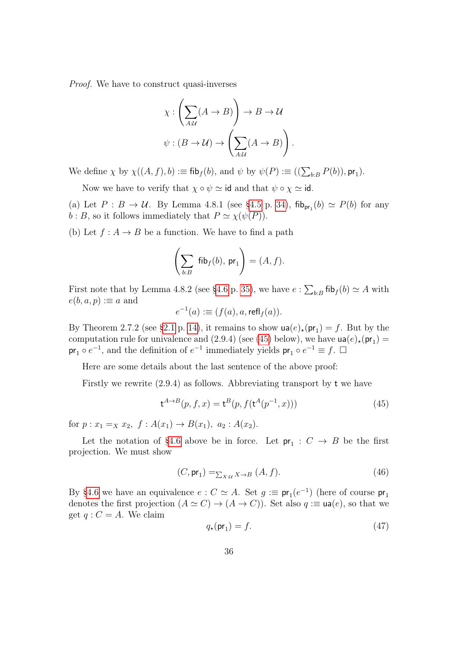Proof. We have to construct quasi-inverses

$$
\chi: \left(\sum_{A:\mathcal{U}} (A \to B)\right) \to B \to \mathcal{U}
$$

$$
\psi: (B \to \mathcal{U}) \to \left(\sum_{A:\mathcal{U}} (A \to B)\right).
$$

We define  $\chi$  by  $\chi((A, f), b) := \text{fib}_{f}(b)$ , and  $\psi$  by  $\psi(P) := ((\sum_{b:B} P(b)), \text{pr}_1)$ .

Now we have to verify that  $\chi \circ \psi \simeq \text{id}$  and that  $\psi \circ \chi \simeq \text{id}$ .

(a) Let  $P : B \to U$ . By Lemma 4.8.1 (see [§4.5](#page-33-2) p. [34\)](#page-33-2),  $\text{fib}_{pr_1}(b) \simeq P(b)$  for any  $b : B$ , so it follows immediately that  $P \simeq \chi(\psi(P)).$ 

(b) Let  $f: A \rightarrow B$  be a function. We have to find a path

$$
\left(\sum_{b:B} \ \mathsf{fib}_f(b), \, \mathsf{pr}_1\right) = (A, f).
$$

First note that by Lemma 4.8.2 (see [§4.6](#page-34-0) p. [35\)](#page-34-0), we have  $e: \sum_{b:B} \text{fib}_f(b) \simeq A$  with  $e(b, a, p) := a$  and

$$
e^{-1}(a) := (f(a), a, \text{refl}_f(a)).
$$

By Theorem 2.7.2 (see [§2.1](#page-13-2) p. [14\)](#page-13-2), it remains to show  $\mathsf{ua}(e)_{\star}(\mathsf{pr}_1) = f$ . But by the computation rule for univalence and (2.9.4) (see [\(45\)](#page-35-0) below), we have  $\mathsf{ua}(e)_{\star}(\mathsf{pr}_1)$  =  $pr_1 \circ e^{-1}$ , and the definition of  $e^{-1}$  immediately yields  $pr_1 \circ e^{-1} \equiv f$ .  $\Box$ 

Here are some details about the last sentence of the above proof:

Firstly we rewrite (2.9.4) as follows. Abbreviating transport by t we have

<span id="page-35-0"></span>
$$
\mathbf{t}^{A \to B}(p, f, x) = \mathbf{t}^{B}(p, f(\mathbf{t}^{A}(p^{-1}, x)))
$$
\n(45)

for  $p: x_1 =_X x_2, f: A(x_1) \to B(x_1), a_2: A(x_2)$ .

Let the notation of [§4.6](#page-34-0) above be in force. Let  $pr_1: C \to B$  be the first projection. We must show

$$
(C, \mathsf{pr}_1) =_{\sum_{X:M} X \to B} (A, f). \tag{46}
$$

By [§4.6](#page-34-0) we have an equivalence  $e: C \simeq A$ . Set  $g := \text{pr}_1(e^{-1})$  (here of course  $\text{pr}_1$ ) denotes the first projection  $(A \simeq C) \rightarrow (A \rightarrow C)$ ). Set also  $q := \text{ua}(e)$ , so that we get  $q: C = A$ . We claim

$$
q_{\star}(\mathsf{pr}_1) = f. \tag{47}
$$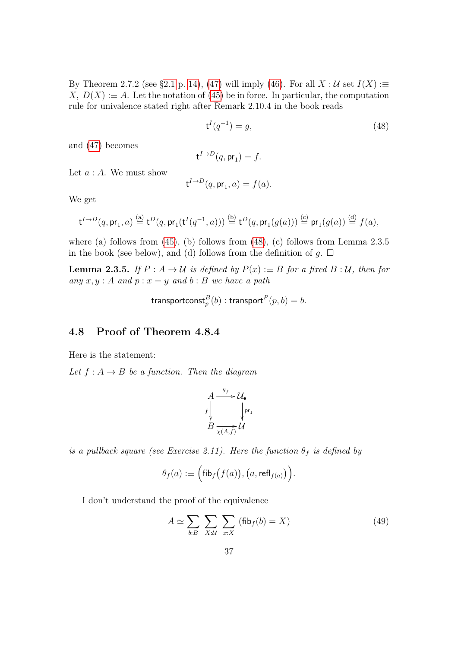By Theorem 2.7.2 (see [§2.1](#page-13-0) p. [14\)](#page-13-0), [\(47\)](#page-35-0) will imply [\(46\)](#page-35-1). For all  $X : U$  set  $I(X) :=$  $X, D(X) := A$ . Let the notation of [\(45\)](#page-35-2) be in force. In particular, the computation rule for univalence stated right after Remark 2.10.4 in the book reads

<span id="page-36-0"></span>
$$
\mathbf{t}^{I}(q^{-1}) = g,\tag{48}
$$

and [\(47\)](#page-35-0) becomes

$$
\mathsf{t}^{I \to D}(q, \mathsf{pr}_1) = f.
$$

Let  $a : A$ . We must show

$$
\mathsf{t}^{I\to D}(q,\mathsf{pr}_1,a)=f(a).
$$

We get

$$
\mathsf{t}^{I\to D}(q,\mathsf{pr}_1,a)\stackrel{\text{(a)}}{=} \mathsf{t}^D(q,\mathsf{pr}_1(\mathsf{t}^I(q^{-1},a)))\stackrel{\text{(b)}}{=} \mathsf{t}^D(q,\mathsf{pr}_1(g(a)))\stackrel{\text{(c)}}{=} \mathsf{pr}_1(g(a))\stackrel{\text{(d)}}{=} f(a),
$$

where (a) follows from [\(45\)](#page-35-2), (b) follows from [\(48\)](#page-36-0), (c) follows from Lemma 2.3.5 in the book (see below), and (d) follows from the definition of g.  $\Box$ 

**Lemma 2.3.5.** If  $P : A \to U$  is defined by  $P(x) := B$  for a fixed  $B : U$ , then for any  $x, y : A$  and  $p : x = y$  and  $b : B$  we have a path

$$
\mathsf{transportconst}_p^B(b) : \mathsf{transport}^P(p, b) = b.
$$

#### 4.8 Proof of Theorem 4.8.4

Here is the statement:

Let  $f : A \rightarrow B$  be a function. Then the diagram

$$
A \xrightarrow{ \theta_f} \mathcal{U}_{\bullet}
$$
\n
$$
f \downarrow \qquad \qquad \downarrow \text{pr}_1
$$
\n
$$
B \xrightarrow[\chi(A,f)]{} \mathcal{U}
$$

is a pullback square (see Exercise 2.11). Here the function  $\theta_f$  is defined by

$$
\theta_f(a) := \Big(\text{fib}_f\big(f(a)\big), \big(a, \text{refl}_{f(a)}\big)\Big).
$$

I don't understand the proof of the equivalence

<span id="page-36-1"></span>
$$
A \simeq \sum_{b:B} \sum_{X:\mathcal{U}} \sum_{x:X} (\text{fib}_f(b) = X)
$$
 (49)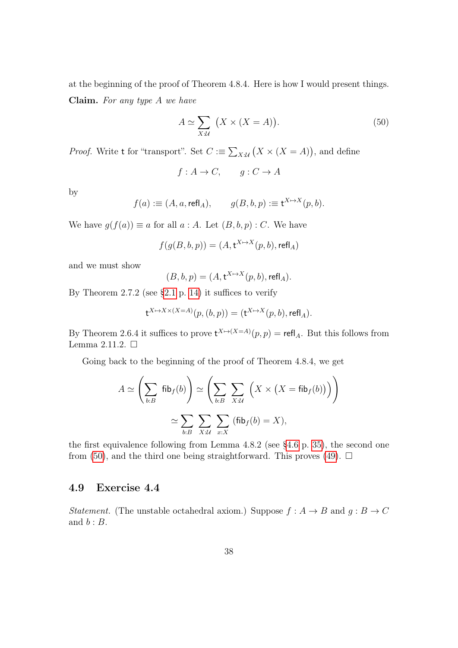at the beginning of the proof of Theorem 4.8.4. Here is how I would present things. Claim. For any type A we have

<span id="page-37-0"></span>
$$
A \simeq \sum_{X:\mathcal{U}} (X \times (X = A)). \tag{50}
$$

*Proof.* Write t for "transport". Set  $C := \sum_{X:\mathcal{U}} (X \times (X = A))$ , and define

$$
f: A \to C, \qquad g: C \to A
$$

by

$$
f(a) := (A, a, \text{refl}_A), \qquad g(B, b, p) := \mathbf{t}^{X \mapsto X}(p, b).
$$

We have  $g(f(a)) \equiv a$  for all  $a : A$ . Let  $(B, b, p) : C$ . We have

$$
f(g(B,b,p)) = (A, t^{X \mapsto X}(p,b), \text{refl}_A)
$$

and we must show

$$
(B,b,p) = (A, \mathbf{t}^{X \mapsto X}(p,b), \mathsf{refl}_A).
$$

By Theorem 2.7.2 (see  $\S 2.1$  p. [14\)](#page-13-0) it suffices to verify

$$
\mathsf{t}^{X \mapsto X \times (X = A)}(p, (b, p)) = (\mathsf{t}^{X \mapsto X}(p, b), \mathsf{refl}_A).
$$

By Theorem 2.6.4 it suffices to prove  $t^{X \to (X=A)}(p, p) = \text{refl}_A$ . But this follows from Lemma 2.11.2.  $\Box$ 

Going back to the beginning of the proof of Theorem 4.8.4, we get

$$
A \simeq \left(\sum_{b:B} \text{fib}_{f}(b)\right) \simeq \left(\sum_{b:B} \sum_{X:\mathcal{U}} \left(X \times \left(X = \text{fib}_{f}(b)\right)\right)\right)
$$

$$
\simeq \sum_{b:B} \sum_{X:\mathcal{U}} \sum_{x:X} \left(\text{fib}_{f}(b) = X\right),
$$

the first equivalence following from Lemma  $4.8.2$  (see  $\S 4.6$  p. [35\)](#page-34-0), the second one from [\(50\)](#page-37-0), and the third one being straightforward. This proves [\(49\)](#page-36-1).  $\Box$ 

## 4.9 Exercise 4.4

Statement. (The unstable octahedral axiom.) Suppose  $f : A \rightarrow B$  and  $g : B \rightarrow C$ and  $b : B$ .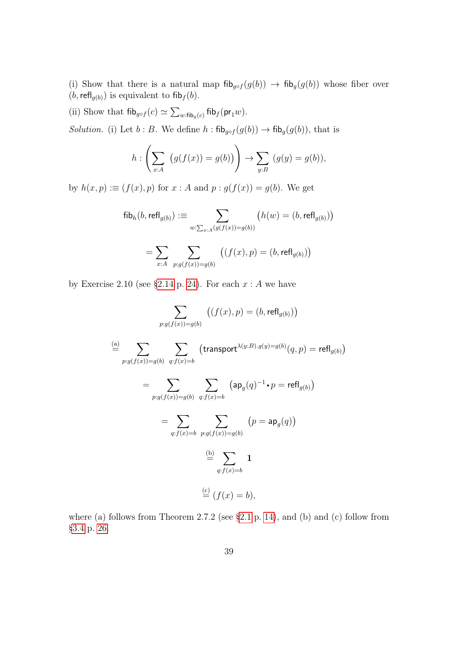(i) Show that there is a natural map  $\operatorname{fib}_{g \circ f}(g(b)) \to \operatorname{fib}_{g}(g(b))$  whose fiber over  $(b, \text{refl}_{g(b)})$  is equivalent to fib $_f(b)$ .

(ii) Show that  $\operatorname{\sf fib}_{g \circ f}(c) \simeq \sum_{w:\operatorname{fib}_g(c)} \operatorname{\sf fib}_f(\operatorname{\sf pr}_1w)$ .

Solution. (i) Let b : B. We define h :  $\text{fib}_{g \circ f}(g(b)) \to \text{fib}_{g}(g(b))$ , that is

$$
h: \left(\sum_{x:A} \left(g(f(x)) = g(b)\right)\right) \to \sum_{y:B} \left(g(y) = g(b)\right),\right.
$$

by  $h(x, p) := (f(x), p)$  for  $x : A$  and  $p : g(f(x)) = g(b)$ . We get

$$
\mathsf{fib}_{h}(b, \mathsf{refl}_{g(b)}) \vcentcolon= \sum_{w:\sum_{x:A} (g(f(x))=g(b))} \left( h(w) = (b, \mathsf{refl}_{g(b)}) \right)
$$
\n
$$
= \sum_{x:A} \sum_{p:g(f(x))=g(b)} \left( (f(x), p) = (b, \mathsf{refl}_{g(b)}) \right)
$$

by Exercise 2.10 (see [§2.14](#page-23-0) p. [24\)](#page-23-0). For each  $x : A$  we have

$$
\sum_{p:g(f(x))=g(b)} ((f(x), p) = (b, \text{refl}_{g(b)}))
$$
\n
$$
\stackrel{\text{(a)}}{=} \sum_{p:g(f(x))=g(b)} \sum_{q:f(x)=b} (\text{transport}^{\lambda(y:B).g(y)=g(b)}(q, p) = \text{refl}_{g(b)})
$$
\n
$$
= \sum_{p:g(f(x))=g(b)} \sum_{q:f(x)=b} (\text{ap}_g(q)^{-1} \cdot p = \text{refl}_{g(b)})
$$
\n
$$
= \sum_{q:f(x)=b} \sum_{p:g(f(x))=g(b)} (p = \text{ap}_g(q))
$$
\n
$$
\stackrel{\text{(b)}}{=} \sum_{q:f(x)=b} 1
$$
\n
$$
\stackrel{\text{(c)}}{=} (f(x) = b),
$$

where (a) follows from Theorem 2.7.2 (see  $\S 2.1$  p. [14\)](#page-13-0), and (b) and (c) follow from [§3.4](#page-25-0) p. [26.](#page-25-0)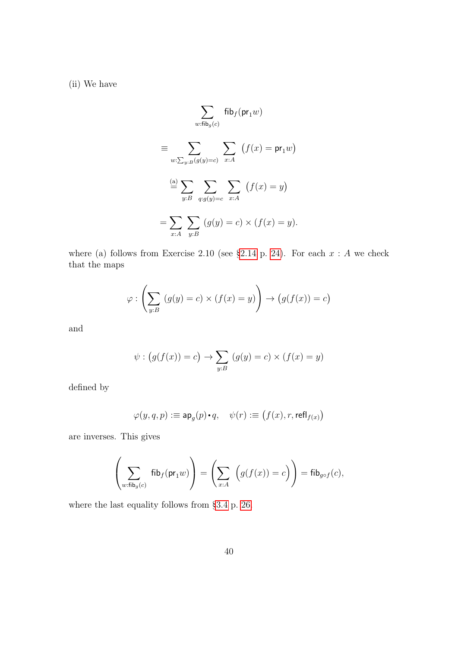(ii) We have

$$
\sum_{w:\text{fib}_{g}(c)} \text{fib}_{f}(\text{pr}_{1}w)
$$
\n
$$
\equiv \sum_{w:\sum_{y:B}(g(y)=c)} \sum_{x:A} (f(x) = \text{pr}_{1}w)
$$
\n
$$
\stackrel{\text{(a)}}{=} \sum_{y:B} \sum_{q:g(y)=c} \sum_{x:A} (f(x) = y)
$$
\n
$$
= \sum_{x:A} \sum_{y:B} (g(y) = c) \times (f(x) = y).
$$

where (a) follows from Exercise 2.10 (see [§2.14](#page-23-0) p. [24\)](#page-23-0). For each  $x : A$  we check that the maps

$$
\varphi : \left(\sum_{y:B} (g(y) = c) \times (f(x) = y)\right) \to \left(g(f(x)) = c\right)
$$

and

$$
\psi : (g(f(x)) = c) \rightarrow \sum_{y:B} (g(y) = c) \times (f(x) = y)
$$

defined by

$$
\varphi(y,q,p):\equiv \mathsf{ap}_g(p)\mathord{\raisebox{1.5pt}{\text{\circle*{1.5}}}} q, \quad \psi(r): \equiv \bigl(f(x),r,\mathsf{refl}_{f(x)}\bigr)
$$

are inverses. This gives

$$
\left(\sum_{w:\text{fib}_g(c)}\text{fib}_f(\text{pr}_1w)\right)=\left(\sum_{x:A}\ \Big(g(f(x))=c\Big)\right)=\text{fib}_{g\circ f}(c),
$$

where the last equality follows from [§3.4](#page-25-0) p. [26.](#page-25-0)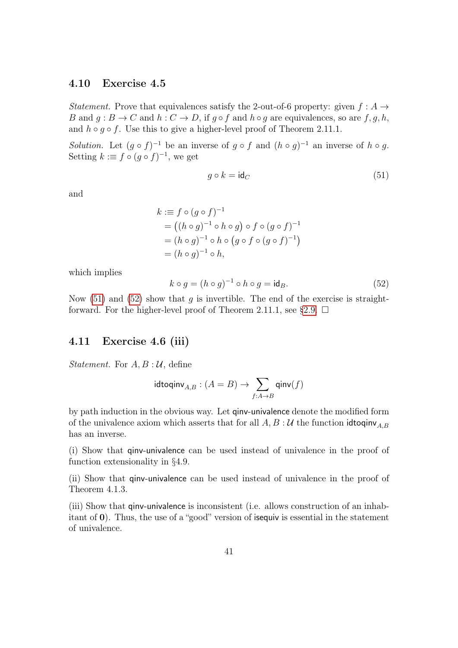#### 4.10 Exercise 4.5

Statement. Prove that equivalences satisfy the 2-out-of-6 property: given  $f : A \rightarrow$ B and  $q : B \to C$  and  $h : C \to D$ , if  $q \circ f$  and  $h \circ q$  are equivalences, so are  $f, q, h$ , and  $h \circ g \circ f$ . Use this to give a higher-level proof of Theorem 2.11.1.

*Solution*. Let  $(g \circ f)^{-1}$  be an inverse of  $g \circ f$  and  $(h \circ g)^{-1}$  an inverse of  $h \circ g$ . Setting  $k := f \circ (g \circ f)^{-1}$ , we get

<span id="page-40-0"></span>
$$
g \circ k = \mathrm{id}_C \tag{51}
$$

and

$$
k := f \circ (g \circ f)^{-1}
$$
  
=  $((h \circ g)^{-1} \circ h \circ g) \circ f \circ (g \circ f)^{-1}$   
=  $(h \circ g)^{-1} \circ h \circ (g \circ f \circ (g \circ f)^{-1})$   
=  $(h \circ g)^{-1} \circ h$ ,

which implies

<span id="page-40-1"></span>
$$
k \circ g = (h \circ g)^{-1} \circ h \circ g = \mathsf{id}_B. \tag{52}
$$

Now [\(51\)](#page-40-0) and [\(52\)](#page-40-1) show that q is invertible. The end of the exercise is straight-forward. For the higher-level proof of Theorem 2.11.1, see [§2.9.](#page-19-0)  $\Box$ 

#### 4.11 Exercise 4.6 (iii)

*Statement.* For  $A, B: U$ , define

$$
\mathrm{idtoqinv}_{A,B}: (A=B) \to \sum_{f:A \to B} \mathrm{qinv}(f)
$$

by path induction in the obvious way. Let qinv-univalence denote the modified form of the univalence axiom which asserts that for all  $A, B: \mathcal{U}$  the function idtoqinv<sub> $A, B$ </sub> has an inverse.

(i) Show that qinv-univalence can be used instead of univalence in the proof of function extensionality in §4.9.

(ii) Show that qinv-univalence can be used instead of univalence in the proof of Theorem 4.1.3.

(iii) Show that qinv-univalence is inconsistent (i.e. allows construction of an inhabitant of 0). Thus, the use of a "good" version of isequiv is essential in the statement of univalence.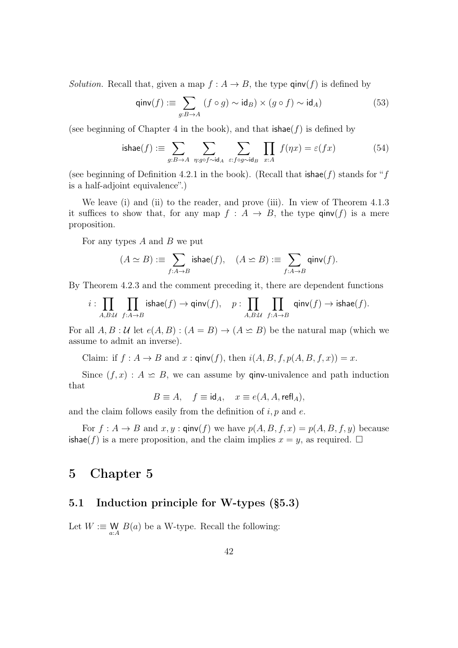*Solution.* Recall that, given a map  $f : A \to B$ , the type  $\text{qinv}(f)$  is defined by

$$
\text{qinv}(f) := \sum_{g:B \to A} (f \circ g) \sim \text{id}_B) \times (g \circ f) \sim \text{id}_A)
$$
 (53)

(see beginning of Chapter 4 in the book), and that  $\mathsf{ishae}(f)$  is defined by

<span id="page-41-0"></span>ishae(f) := 
$$
\sum_{g:B \to A} \sum_{\eta:g \circ f \sim \text{id}_A} \sum_{\varepsilon: f \circ g \sim \text{id}_B} \prod_{x:A} f(\eta x) = \varepsilon(fx)
$$
 (54)

(see beginning of Definition 4.2.1 in the book). (Recall that  $\mathsf{ishae}(f)$  stands for "f is a half-adjoint equivalence".)

We leave (i) and (ii) to the reader, and prove (iii). In view of Theorem 4.1.3 it suffices to show that, for any map  $f : A \rightarrow B$ , the type  $\text{qinv}(f)$  is a mere proposition.

For any types  $A$  and  $B$  we put

$$
(A \simeq B) := \sum_{f:A \to B} \text{ishae}(f), \quad (A \simeq B) := \sum_{f:A \to B} \text{qinv}(f).
$$

By Theorem 4.2.3 and the comment preceding it, there are dependent functions

$$
i:\prod_{A,B:\mathcal U}\ \prod_{f:A\to B} \mathsf{ishae}(f) \to \mathsf{qinv}(f),\quad p:\prod_{A,B:\mathcal U}\ \prod_{f:A\to B} \ \mathsf{qinv}(f) \to \mathsf{ishae}(f).
$$

For all  $A, B: U$  let  $e(A, B): (A = B) \rightarrow (A \leq B)$  be the natural map (which we assume to admit an inverse).

Claim: if  $f : A \to B$  and  $x : \text{qinv}(f)$ , then  $i(A, B, f, p(A, B, f, x)) = x$ .

Since  $(f, x) : A \simeq B$ , we can assume by ginv-univalence and path induction that

$$
B\equiv A,\quad f\equiv \mathrm{id}_A,\quad x\equiv e(A,A,\mathrm{refl}_A),
$$

and the claim follows easily from the definition of  $i, p$  and  $e$ .

For  $f : A \to B$  and  $x, y$ :  $\text{qinv}(f)$  we have  $p(A, B, f, x) = p(A, B, f, y)$  because ishae(f) is a mere proposition, and the claim implies  $x = y$ , as required.  $\Box$ 

## 5 Chapter 5

## 5.1 Induction principle for W-types (§5.3)

Let  $W := \mathop{\mathbb{W}}_{a:A} B(a)$  be a W-type. Recall the following: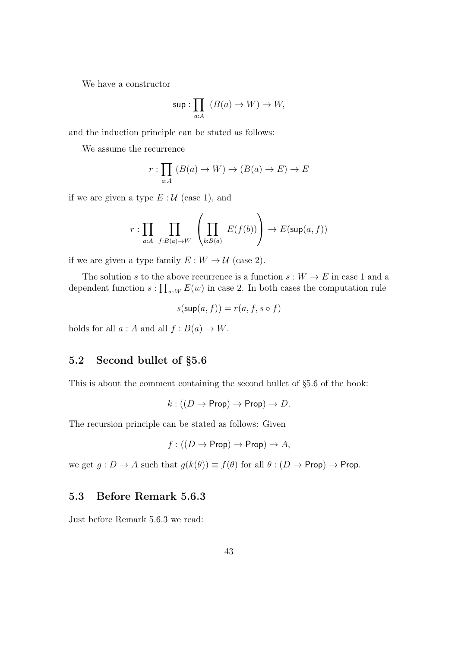We have a constructor

$$
\sup: \prod_{a:A} (B(a) \to W) \to W,
$$

and the induction principle can be stated as follows:

We assume the recurrence

$$
r: \prod_{a:A} (B(a) \to W) \to (B(a) \to E) \to E
$$

if we are given a type  $E: \mathcal{U}$  (case 1), and

$$
r: \prod_{a:A} \prod_{f:B(a)\to W} \left( \prod_{b:B(a)} E(f(b)) \right) \to E(\sup(a, f))
$$

if we are given a type family  $E: W \to \mathcal{U}$  (case 2).

The solution s to the above recurrence is a function  $s: W \to E$  in case 1 and a dependent function  $s: \prod_{w:W} E(w)$  in case 2. In both cases the computation rule

$$
s(\sup(a, f)) = r(a, f, s \circ f)
$$

holds for all  $a : A$  and all  $f : B(a) \to W$ .

## 5.2 Second bullet of §5.6

This is about the comment containing the second bullet of §5.6 of the book:

$$
k: ((D \to \text{Prop}) \to \text{Prop}) \to D.
$$

The recursion principle can be stated as follows: Given

$$
f : ((D \to \text{Prop}) \to \text{Prop}) \to A
$$
,

we get  $g: D \to A$  such that  $g(k(\theta)) \equiv f(\theta)$  for all  $\theta: (D \to \text{Prop}) \to \text{Prop}$ .

#### 5.3 Before Remark 5.6.3

Just before Remark 5.6.3 we read: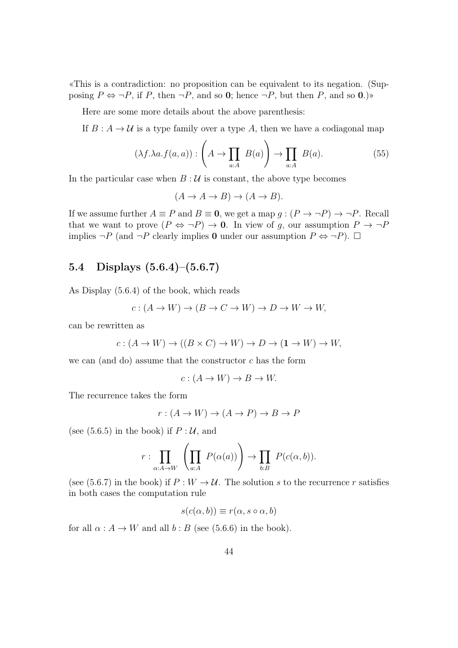«This is a contradiction: no proposition can be equivalent to its negation. (Supposing  $P \Leftrightarrow \neg P$ , if P, then  $\neg P$ , and so 0; hence  $\neg P$ , but then P, and so 0.)

Here are some more details about the above parenthesis:

If  $B: A \to U$  is a type family over a type A, then we have a codiagonal map

<span id="page-43-0"></span>
$$
(\lambda f. \lambda a. f(a, a)) : \left( A \to \prod_{a: A} B(a) \right) \to \prod_{a: A} B(a). \tag{55}
$$

In the particular case when  $B: U$  is constant, the above type becomes

$$
(A \to A \to B) \to (A \to B).
$$

If we assume further  $A \equiv P$  and  $B \equiv 0$ , we get a map  $g : (P \to \neg P) \to \neg P$ . Recall that we want to prove  $(P \Leftrightarrow \neg P) \rightarrow 0$ . In view of g, our assumption  $P \rightarrow \neg P$ implies  $\neg P$  (and  $\neg P$  clearly implies 0 under our assumption  $P \Leftrightarrow \neg P$ ).  $\Box$ 

# 5.4 Displays (5.6.4)–(5.6.7)

As Display (5.6.4) of the book, which reads

$$
c: (A \to W) \to (B \to C \to W) \to D \to W \to W,
$$

can be rewritten as

$$
c: (A \to W) \to ((B \times C) \to W) \to D \to (1 \to W) \to W,
$$

we can (and do) assume that the constructor  $c$  has the form

$$
c: (A \to W) \to B \to W.
$$

The recurrence takes the form

$$
r: (A \to W) \to (A \to P) \to B \to P
$$

(see  $(5.6.5)$  in the book) if  $P: \mathcal{U}$ , and

$$
r: \prod_{\alpha:A\to W} \left( \prod_{a:A} P(\alpha(a)) \right) \to \prod_{b:B} P(c(\alpha,b)).
$$

(see (5.6.7) in the book) if  $P: W \to U$ . The solution s to the recurrence r satisfies in both cases the computation rule

$$
s(c(\alpha, b)) \equiv r(\alpha, s \circ \alpha, b)
$$

for all  $\alpha : A \rightarrow W$  and all  $b : B$  (see (5.6.6) in the book).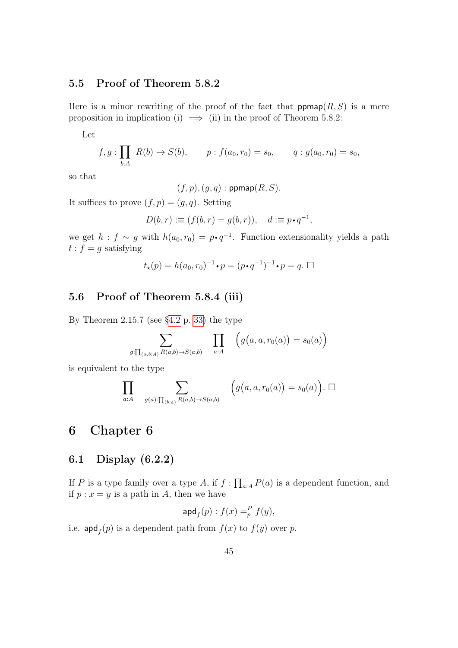## 5.5 Proof of Theorem 5.8.2

Here is a minor rewriting of the proof of the fact that  $\mathsf{ppmap}(R,S)$  is a mere proposition in implication (i)  $\implies$  (ii) in the proof of Theorem 5.8.2:

Let

$$
f, g: \prod_{b:A} R(b) \to S(b), \qquad p: f(a_0, r_0) = s_0, \qquad q: g(a_0, r_0) = s_0,
$$

so that

 $(f, p), (g, q) : \text{ppmap}(R, S).$ 

It suffices to prove  $(f, p) = (g, q)$ . Setting

$$
D(b,r) := (f(b,r) = g(b,r)), \quad d := p \cdot q^{-1},
$$

we get  $h : f \sim g$  with  $h(a_0, r_0) = p \cdot q^{-1}$ . Function extensionality yields a path  $t : f = g$  satisfying

$$
t_{\star}(p)=h(a_0,r_0)^{-1}\boldsymbol{\cdot} p=(p\boldsymbol{\cdot} q^{-1})^{-1}\boldsymbol{\cdot} p=q.\ \Box
$$

## 5.6 Proof of Theorem 5.8.4 (iii)

By Theorem 2.15.7 (see [§4.2](#page-32-0) p. [33\)](#page-32-0) the type

$$
\sum_{g:\prod_{(a,b:A)}R(a,b)\to S(a,b)} \prod_{a:A} \left(g\big(a,a,r_0(a)\big)=s_0(a)\right)
$$

is equivalent to the type

$$
\prod_{a:A} \sum_{g(a): \prod_{(b:a)} R(a,b) \to S(a,b)} \left(g\big(a, a, r_0(a)\big) = s_0(a)\right). \square
$$

# 6 Chapter 6

## 6.1 Display (6.2.2)

If P is a type family over a type A, if  $f: \prod_{a:A} P(a)$  is a dependent function, and if  $p : x = y$  is a path in A, then we have

$$
\operatorname{apd}_f(p) : f(x) =_p^P f(y),
$$

i.e.  $\operatorname{apd}_f(p)$  is a dependent path from  $f(x)$  to  $f(y)$  over p.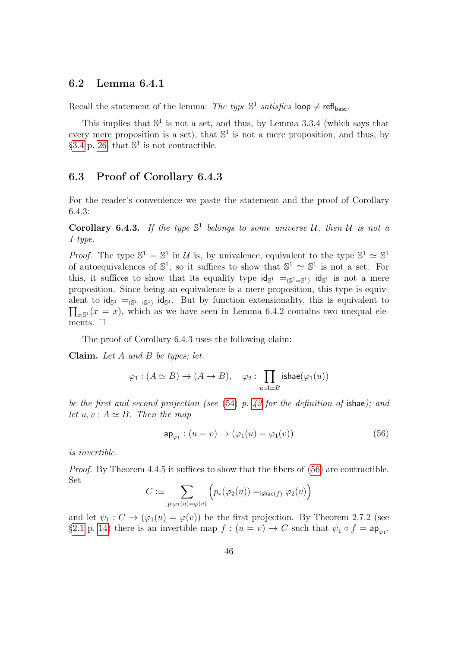#### 6.2 Lemma 6.4.1

Recall the statement of the lemma: The type  $\mathbb{S}^1$  satisfies loop  $\neq$  refl<sub>base</sub>.

This implies that  $\mathbb{S}^1$  is not a set, and thus, by Lemma 3.3.4 (which says that every mere proposition is a set), that  $\mathbb{S}^1$  is not a mere proposition, and thus, by [§3.4](#page-25-0) p. [26,](#page-25-0) that  $\mathbb{S}^1$  is not contractible.

#### 6.3 Proof of Corollary 6.4.3

For the reader's convenience we paste the statement and the proof of Corollary 6.4.3:

Corollary 6.4.3. If the type  $\mathbb{S}^1$  belongs to some universe U, then U is not a 1-type.

*Proof.* The type  $\mathbb{S}^1 = \mathbb{S}^1$  in U is, by univalence, equivalent to the type  $\mathbb{S}^1 \simeq \mathbb{S}^1$ of autoequivalences of  $\mathbb{S}^1$ , so it suffices to show that  $\mathbb{S}^1 \simeq \mathbb{S}^1$  is not a set. For this, it suffices to show that its equality type  $\mathsf{id}_{\mathbb{S}^1} =_{(\mathbb{S}^1 = \mathbb{S}^1)} \mathsf{id}_{\mathbb{S}^1}$  is not a mere proposition. Since being an equivalence is a mere proposition, this type is equivalent to  $\mathsf{id}_{\mathbb{S}^1} =_{(\mathbb{S}^1 \to \mathbb{S}^1)} \mathsf{id}_{\mathbb{S}^1}$ . But by function extensionality, this is equivalent to  $\prod_{x:\mathbb{S}^1}(x=x)$ , which as we have seen in Lemma 6.4.2 contains two unequal elements.  $\square$ 

The proof of Corollary 6.4.3 uses the following claim:

Claim. Let A and B be types; let

$$
\varphi_1: (A \simeq B) \to (A \to B), \quad \varphi_2: \prod_{u:A \simeq B} \mathsf{ishae}(\varphi_1(u))
$$

be the first and second projection (see [\(54\)](#page-41-0) p. [42](#page-41-0) for the definition of ishae); and let  $u, v : A \simeq B$ . Then the map

<span id="page-45-0"></span>
$$
\mathsf{ap}_{\varphi_1} : (u = v) \to (\varphi_1(u) = \varphi_1(v)) \tag{56}
$$

is invertible.

Proof. By Theorem 4.4.5 it suffices to show that the fibers of [\(56\)](#page-45-0) are contractible. Set

$$
C := \sum_{p: \varphi_1(u) = \varphi(v)} \left( p_{\star}(\varphi_2(u)) =_{\text{ishae}(f)} \varphi_2(v) \right)
$$

and let  $\psi_1: C \to (\varphi_1(u) = \varphi(v))$  be the first projection. By Theorem 2.7.2 (see [§2.1](#page-13-0) p. [14\)](#page-13-0) there is an invertible map  $f : (u = v) \to C$  such that  $\psi_1 \circ f = \mathsf{ap}_{\varphi_1}$ .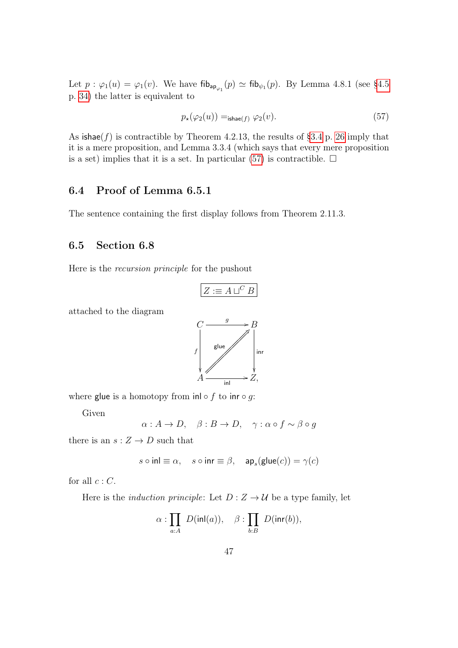Let  $p : \varphi_1(u) = \varphi_1(v)$ . We have  $\text{fib}_{\textsf{ap}_{\varphi_1}}(p) \simeq \text{fib}_{\psi_1}(p)$ . By Lemma 4.8.1 (see [§4.5](#page-33-0)) p. [34\)](#page-33-0) the latter is equivalent to

<span id="page-46-0"></span>
$$
p_{\star}(\varphi_2(u)) =_{\text{ishae}(f)} \varphi_2(v). \tag{57}
$$

As  $\text{is} \text{base}(f)$  is contractible by Theorem 4.2.13, the results of [§3.4](#page-25-0) p. [26](#page-25-0) imply that it is a mere proposition, and Lemma 3.3.4 (which says that every mere proposition is a set) implies that it is a set. In particular [\(57\)](#page-46-0) is contractible.  $\Box$ 

# 6.4 Proof of Lemma 6.5.1

The sentence containing the first display follows from Theorem 2.11.3.

#### 6.5 Section 6.8

Here is the recursion principle for the pushout

$$
Z:=A\sqcup^C B
$$

attached to the diagram



where glue is a homotopy from inl  $\circ$  f to inr  $\circ$  g:

Given

 $\alpha: A \to D$ ,  $\beta: B \to D$ ,  $\gamma: \alpha \circ f \sim \beta \circ g$ 

there is an  $s: Z \to D$  such that

$$
s\circ\mathsf{inl}\equiv\alpha,\quad s\circ\mathsf{inr}\equiv\beta,\quad\mathsf{ap}_s(\mathsf{glue}(c))=\gamma(c)
$$

for all  $c : C$ .

Here is the *induction principle*: Let  $D: Z \rightarrow U$  be a type family, let

$$
\alpha:\prod_{a:A} D(\text{inl}(a)), \quad \beta:\prod_{b:B} D(\text{inr}(b)),
$$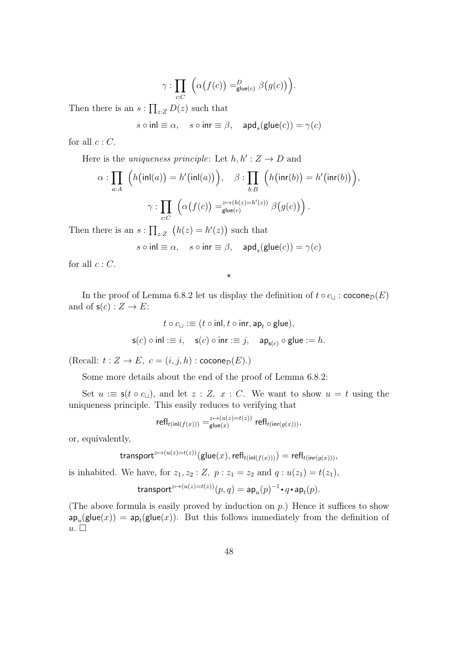$$
\gamma: \prod_{c:C} \left( \alpha(f(c)) =_{\mathsf{glue}(c)}^D \beta(g(c)) \right).
$$

Then there is an  $s: \prod_{z \in Z} D(z)$  such that

 $s \circ \mathsf{inl} \equiv \alpha, \quad s \circ \mathsf{inr} \equiv \beta, \quad \mathsf{apd}_s(\mathsf{glue}(c)) = \gamma(c)$ 

for all  $c : C$ .

Here is the *uniqueness principle*: Let  $h, h': Z \to D$  and

$$
\alpha : \prod_{a:A} \left( h(\text{inl}(a)) = h'(\text{inl}(a)) \right), \quad \beta : \prod_{b:B} \left( h(\text{inr}(b)) = h'(\text{inr}(b)) \right),
$$

$$
\gamma : \prod_{c:C} \left( \alpha(f(c)) = \zeta^{z \mapsto (h(z) = h'(z))} \beta(g(c)) \right).
$$

Then there is an  $s: \prod_{z \in Z} (h(z) = h'(z))$  such that

$$
s \circ \mathsf{inl} \equiv \alpha, \quad s \circ \mathsf{inr} \equiv \beta, \quad \mathsf{apd}_s(\mathsf{glue}(c)) = \gamma(c)
$$

for all  $c : C$ .

In the proof of Lemma 6.8.2 let us display the definition of  $t \circ c_{\sqcup}$ : cocone $\mathcal{D}(E)$ and of  $s(c): Z \to E$ :

 $\star$ 

$$
t \circ c_{\sqcup} :\equiv (t \circ \mathsf{inl}, t \circ \mathsf{inr}, \mathsf{ap}_t \circ \mathsf{glue}),
$$
  

$$
\mathsf{s}(c) \circ \mathsf{inl} :\equiv i, \quad \mathsf{s}(c) \circ \mathsf{inr} :\equiv j, \quad \mathsf{ap}_{\mathsf{s}(c)} \circ \mathsf{glue} := h.
$$

(Recall:  $t : Z \to E$ ,  $c = (i, j, h) : \operatorname{cocone}_\mathcal{D}(E)$ .)

Some more details about the end of the proof of Lemma 6.8.2:

Set  $u := \mathsf{s}(t \circ c_{\sqcup}),$  and let  $z : Z, x : C$ . We want to show  $u = t$  using the uniqueness principle. This easily reduces to verifying that

$$
\left.\mathsf{refl}_{t(\mathsf{inl}(f(x)))}\right. =^{z\mapsto (u(z)=t(z))}_{\mathsf{glue}(x)} \left.\mathsf{refl}_{t(\mathsf{inr}(g(x)))}\right),
$$

or, equivalently,

$$
\mathsf{transport}^{z \mapsto (u(z) = t(z))}(\mathsf{glue}(x), \mathsf{refl}_{t(\mathsf{inl}(f(x)))}) = \mathsf{refl}_{t(\mathsf{inr}(g(x)))},
$$

is inhabited. We have, for  $z_1, z_2 : Z$ ,  $p : z_1 = z_2$  and  $q : u(z_1) = t(z_1)$ ,

$$
\text{transport}^{z \mapsto (u(z) = t(z))}(p, q) = \mathsf{ap}_u(p)^{-1} \cdot q \cdot \mathsf{ap}_t(p).
$$

(The above formula is easily proved by induction on  $p$ .) Hence it suffices to show  $\mathsf{ap}_u(\mathsf{glue}(x)) = \mathsf{ap}_t(\mathsf{glue}(x)).$  But this follows immediately from the definition of  $u.$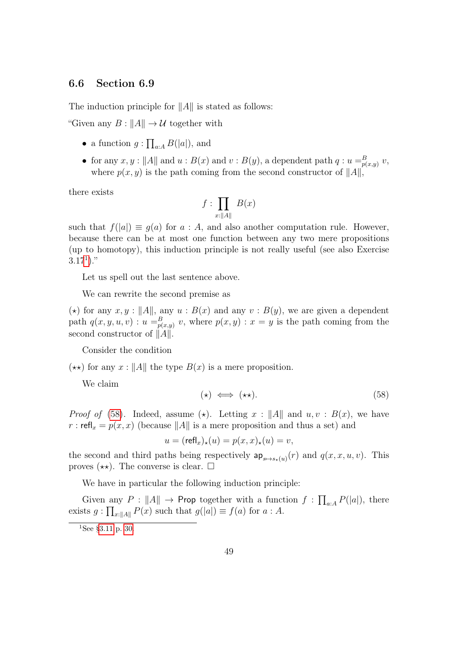#### 6.6 Section 6.9

The induction principle for  $||A||$  is stated as follows:

"Given any  $B: ||A|| \to U$  together with

- a function  $g: \prod_{a:A} B(|a|)$ , and
- for any  $x, y : ||A||$  and  $u : B(x)$  and  $v : B(y)$ , a dependent path  $q : u =_{p(x,y)}^B v$ , where  $p(x, y)$  is the path coming from the second constructor of  $||A||$ ,

there exists

$$
f:\prod_{x:\|A\|}B(x)
$$

such that  $f(|a|) \equiv g(a)$  for  $a : A$ , and also another computation rule. However, because there can be at most one function between any two mere propositions (up to homotopy), this induction principle is not really useful (see also Exercise  $3.17^{1}$  $3.17^{1}$  $3.17^{1}$ ."

Let us spell out the last sentence above.

We can rewrite the second premise as

(\*) for any  $x, y : ||A||$ , any  $u : B(x)$  and any  $v : B(y)$ , we are given a dependent path  $q(x, y, u, v)$ :  $u =_{p(x,y)}^B v$ , where  $p(x, y)$ :  $x = y$  is the path coming from the second constructor of  $\|\tilde{A}\|$ .

Consider the condition

 $(\star \star)$  for any  $x : ||A||$  the type  $B(x)$  is a mere proposition.

We claim

<span id="page-48-1"></span>
$$
(\star) \iff (\star \star). \tag{58}
$$

*Proof of* [\(58\)](#page-48-1). Indeed, assume ( $\star$ ). Letting  $x : ||A||$  and  $u, v : B(x)$ , we have r : refl<sub>x</sub> =  $p(x, x)$  (because ||A|| is a mere proposition and thus a set) and

$$
u = (\mathsf{refl}_x)_\star(u) = p(x, x)_\star(u) = v,
$$

the second and third paths being respectively  $ap_{s\mapsto s_*(u)}(r)$  and  $q(x, x, u, v)$ . This proves  $(\star \star)$ . The converse is clear.  $\square$ 

We have in particular the following induction principle:

Given any  $P: ||A|| \to \text{Prop together with a function } f: \prod_{a:A} P(|a|)$ , there exists  $g: \prod_{x:||A||} P(x)$  such that  $g(|a|) \equiv f(a)$  for  $a: A$ .

<span id="page-48-0"></span> $1$ See [§3.11](#page-29-0) p. [30.](#page-29-0)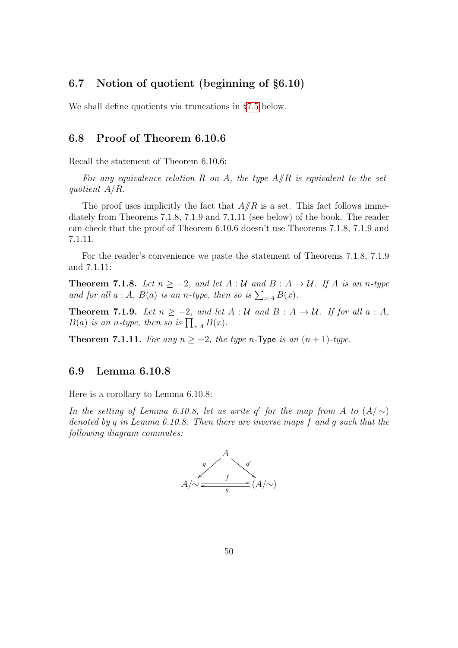## 6.7 Notion of quotient (beginning of §6.10)

We shall define quotients via truncations in [§7.5](#page-54-0) below.

#### 6.8 Proof of Theorem 6.10.6

Recall the statement of Theorem 6.10.6:

For any equivalence relation R on A, the type  $A/R$  is equivalent to the setquotient A/R.

The proof uses implicitly the fact that  $A/R$  is a set. This fact follows immediately from Theorems 7.1.8, 7.1.9 and 7.1.11 (see below) of the book. The reader can check that the proof of Theorem 6.10.6 doesn't use Theorems 7.1.8, 7.1.9 and 7.1.11.

For the reader's convenience we paste the statement of Theorems 7.1.8, 7.1.9 and 7.1.11:

**Theorem 7.1.8.** Let  $n \ge -2$ , and let  $A : U$  and  $B : A \rightarrow U$ . If A is an n-type and for all  $a : A$ ,  $B(a)$  is an n-type, then so is  $\sum_{x:A} B(x)$ .

**Theorem 7.1.9.** Let  $n \ge -2$ , and let  $A : U$  and  $B : A \rightarrow U$ . If for all  $a : A$ ,  $B(a)$  is an n-type, then so is  $\prod_{x:A} B(x)$ .

Theorem 7.1.11. For any  $n \ge -2$ , the type n-Type is an  $(n + 1)$ -type.

#### 6.9 Lemma 6.10.8

Here is a corollary to Lemma 6.10.8:

In the setting of Lemma 6.10.8, let us write q' for the map from A to  $(A/\sim)$ denoted by q in Lemma 6.10.8. Then there are inverse maps f and g such that the following diagram commutes:

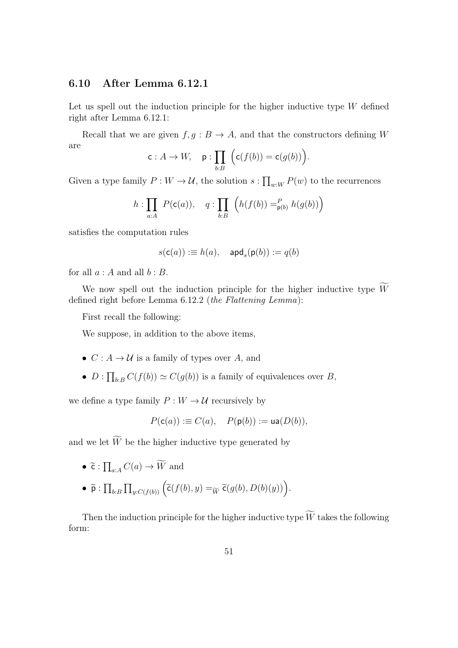#### 6.10 After Lemma 6.12.1

Let us spell out the induction principle for the higher inductive type  $W$  defined right after Lemma 6.12.1:

Recall that we are given  $f, g : B \to A$ , and that the constructors defining W are

$$
\mathsf{c}: A \to W, \quad \mathsf{p}: \prod_{b:B} \Big( \mathsf{c}(f(b)) = \mathsf{c}(g(b)) \Big).
$$

Given a type family  $P: W \to U$ , the solution  $s: \prod_{w:W} P(w)$  to the recurrences

$$
h: \prod_{a:A} P(c(a)), \quad q: \prod_{b:B} \left( h(f(b)) =_{p(b)}^P h(g(b)) \right)
$$

satisfies the computation rules

$$
s(\mathsf{c}(a)) :\equiv h(a), \quad \mathsf{apd}_s(\mathsf{p}(b)) := q(b)
$$

for all  $a : A$  and all  $b : B$ .

We now spell out the induction principle for the higher inductive type  $\widetilde{W}$ defined right before Lemma 6.12.2 (the Flattening Lemma):

First recall the following:

We suppose, in addition to the above items,

- $C: A \rightarrow U$  is a family of types over A, and
- $D: \prod_{b:B} C(f(b)) \simeq C(g(b))$  is a family of equivalences over B,

we define a type family  $P: W \to U$  recursively by

$$
P(\mathsf{c}(a)):\equiv C(a), \quad P(\mathsf{p}(b)):=\mathsf{ua}(D(b)),
$$

and we let  $\widetilde{W}$  be the higher inductive type generated by

• 
$$
\widetilde{\mathbf{c}} : \prod_{a:A} C(a) \to \widetilde{W}
$$
 and

•  $\widetilde{\mathsf{p}}$  :  $\prod_{b:B} \prod_{y:C(f(b))} (\widetilde{\mathsf{c}}(f(b), y) =_{\widetilde{W}} \widetilde{\mathsf{c}}(g(b), D(b)(y)))$ .

Then the induction principle for the higher inductive type  $\widetilde{W}$  takes the following form: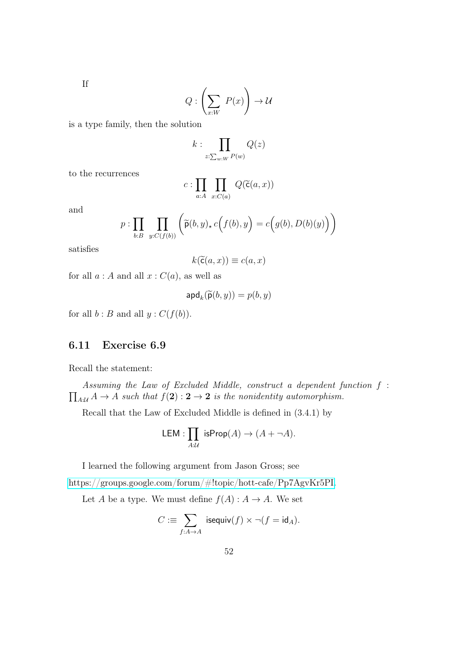If

$$
Q: \left(\sum_{x:W} P(x)\right) \to \mathcal{U}
$$

is a type family, then the solution

$$
k:\prod_{z:\sum_{w:W}P(w)}Q(z)
$$

to the recurrences

$$
c:\prod_{a:A}\prod_{x:C(a)}Q(\widetilde{\mathsf{c}}(a,x))
$$

and

$$
p: \prod_{b:B} \prod_{y:C(f(b))} \left( \widetilde{\mathsf{p}}(b,y)_{\star} c(f(b),y) = c(g(b), D(b)(y)) \right)
$$

satisfies

$$
k(\widetilde{\mathsf{c}}(a,x)) \equiv c(a,x)
$$

for all  $a : A$  and all  $x : C(a)$ , as well as

$$
\mathsf{apd}_k(\widetilde{\mathsf{p}}(b,y)) = p(b,y)
$$

for all  $b : B$  and all  $y : C(f(b))$ .

## 6.11 Exercise 6.9

Recall the statement:

 $\prod_{A:\mathcal{U}} A \rightarrow A$  such that  $f(2): 2 \rightarrow 2$  is the nonidentity automorphism. Assuming the Law of Excluded Middle, construct a dependent function f :

Recall that the Law of Excluded Middle is defined in (3.4.1) by

LEM: 
$$
\prod_{A:\mathcal{U}}
$$
 isProp(A)  $\rightarrow$  (A +  $\neg$ A).

I learned the following argument from Jason Gross; see

[https://groups.google.com/forum/#!topic/hott-cafe/Pp7AgvKr5PI.](https://groups.google.com/forum/#!topic/hott-cafe/Pp7AgvKr5PI)

Let A be a type. We must define  $f(A) : A \to A$ . We set

$$
C := \sum_{f:A\to A} \mathsf{isequiv}(f) \times \neg (f = \mathsf{id}_A).
$$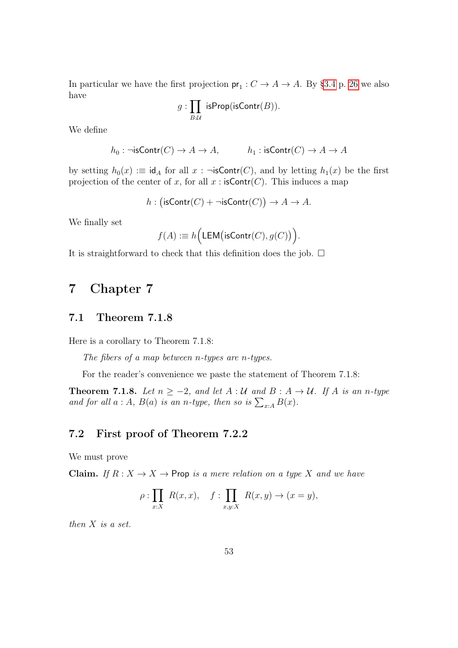In particular we have the first projection  $pr_1: C \to A \to A$ . By [§3.4](#page-25-0) p. [26](#page-25-0) we also have

$$
g:\prod_{B:\mathcal{U}}\ \mathsf{isProp}(\mathsf{isContr}(B)).
$$

We define

$$
h_0: \neg \mathsf{isContr}(C) \to A \to A, \hspace{1cm} h_1: \mathsf{isContr}(C) \to A \to A
$$

by setting  $h_0(x) := \text{id}_A$  for all  $x : \neg \textsf{isContr}(C)$ , and by letting  $h_1(x)$  be the first projection of the center of x, for all  $x$ : isContr(C). This induces a map

$$
h: (\mathsf{isContr}(C) + \neg \mathsf{isContr}(C)) \to A \to A.
$$

We finally set

$$
f(A) := h\Big(\mathsf{LEM}\big(\mathsf{isContr}(C),g(C)\big)\Big).
$$

It is straightforward to check that this definition does the job.  $\Box$ 

# 7 Chapter 7

## <span id="page-52-0"></span>7.1 Theorem 7.1.8

Here is a corollary to Theorem 7.1.8:

The fibers of a map between n-types are n-types.

For the reader's convenience we paste the statement of Theorem 7.1.8:

**Theorem 7.1.8.** Let  $n \ge -2$ , and let  $A : U$  and  $B : A \rightarrow U$ . If A is an n-type and for all  $a : A$ ,  $B(a)$  is an n-type, then so is  $\sum_{x:A} B(x)$ .

## 7.2 First proof of Theorem 7.2.2

We must prove

Claim. If  $R: X \to X \to$  Prop is a mere relation on a type X and we have

$$
\rho: \prod_{x:X} R(x,x), \quad f: \prod_{x,y:X} R(x,y) \to (x=y),
$$

then  $X$  is a set.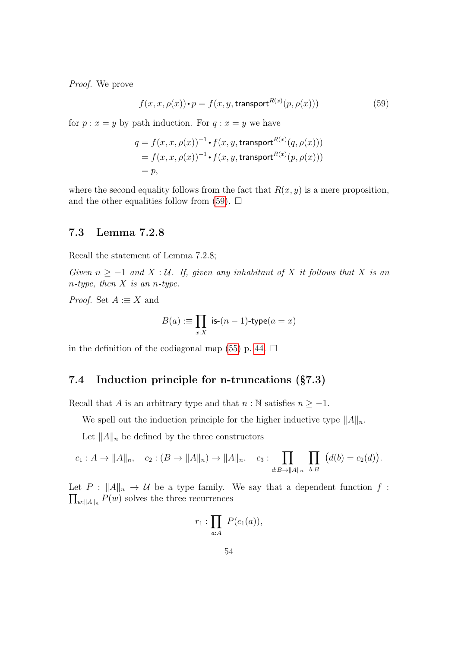Proof. We prove

<span id="page-53-0"></span>
$$
f(x, x, \rho(x)) \cdot p = f(x, y, \text{transport}^{R(x)}(p, \rho(x)))
$$
\n(59)

for  $p : x = y$  by path induction. For  $q : x = y$  we have

$$
q = f(x, x, \rho(x))^{-1} \cdot f(x, y, \text{transport}^{R(x)}(q, \rho(x)))
$$
  
=  $f(x, x, \rho(x))^{-1} \cdot f(x, y, \text{transport}^{R(x)}(p, \rho(x)))$   
=  $p$ ,

where the second equality follows from the fact that  $R(x, y)$  is a mere proposition, and the other equalities follow from  $(59)$ .  $\Box$ 

## 7.3 Lemma 7.2.8

Recall the statement of Lemma 7.2.8;

Given  $n \ge -1$  and  $X : U$ . If, given any inhabitant of X it follows that X is an n-type, then  $X$  is an n-type.

*Proof.* Set  $A := X$  and

$$
B(a): \equiv \prod_{x:X} \text{ is-}(n-1)\text{-type}(a=x)
$$

in the definition of the codiagonal map [\(55\)](#page-43-0) p. [44.](#page-43-0)  $\Box$ 

## 7.4 Induction principle for n-truncations (§7.3)

Recall that A is an arbitrary type and that  $n : \mathbb{N}$  satisfies  $n \geq -1$ .

We spell out the induction principle for the higher inductive type  $||A||_n$ .

Let  $||A||_n$  be defined by the three constructors

$$
c_1: A \to ||A||_n, \quad c_2: (B \to ||A||_n) \to ||A||_n, \quad c_3: \prod_{d:B \to ||A||_n} \prod_{b:B} (d(b) = c_2(d)).
$$

 $\prod_{w:\|A\|_n} P(w)$  solves the three recurrences Let  $P : ||A||_n \to U$  be a type family. We say that a dependent function f:

$$
r_1:\prod_{a:A} P(c_1(a)),
$$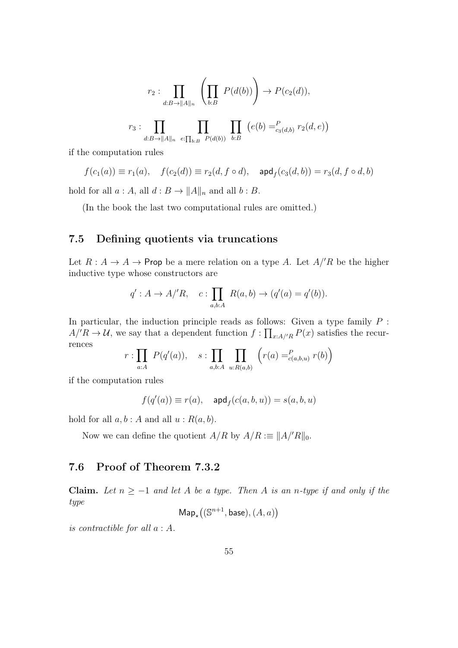$$
r_2: \prod_{d:B\to ||A||_n} \left( \prod_{b:B} P(d(b)) \right) \to P(c_2(d)),
$$
  

$$
r_3: \prod_{d:B\to ||A||_n} \prod_{e:\prod_{b:B} P(d(b))} \prod_{b:B} (e(b) =_{c_3(d,b)}^P r_2(d,e))
$$

if the computation rules

$$
f(c_1(a)) \equiv r_1(a), \quad f(c_2(d)) \equiv r_2(d, f \circ d), \quad \text{and}_f(c_3(d, b)) = r_3(d, f \circ d, b)
$$

hold for all  $a : A$ , all  $d : B \to ||A||_n$  and all  $b : B$ .

(In the book the last two computational rules are omitted.)

## <span id="page-54-0"></span>7.5 Defining quotients via truncations

Let  $R : A \to A \to$  Prop be a mere relation on a type A. Let  $A/R$  be the higher inductive type whose constructors are

$$
q': A \to A'/R
$$
,  $c: \prod_{a,b:A} R(a,b) \to (q'(a) = q'(b))$ .

In particular, the induction principle reads as follows: Given a type family  $P$ :  $A/R \to U$ , we say that a dependent function  $f: \prod_{x:A/R} P(x)$  satisfies the recurrences

$$
r: \prod_{a:A} P(q'(a)), \quad s: \prod_{a,b:A} \prod_{u: R(a,b)} (r(a) =_{c(a,b,u)}^P r(b))
$$

if the computation rules

$$
f(q'(a)) \equiv r(a), \quad \text{and}_f(c(a,b,u)) = s(a,b,u)
$$

hold for all  $a, b : A$  and all  $u : R(a, b)$ .

Now we can define the quotient  $A/R$  by  $A/R := ||A||/||_0$ .

## 7.6 Proof of Theorem 7.3.2

Claim. Let  $n \ge -1$  and let A be a type. Then A is an n-type if and only if the type

$$
\mathsf{Map}_{\star}\big((\mathbb{S}^{n+1}, \mathsf{base}), (A, a)\big)
$$

is contractible for all a : A.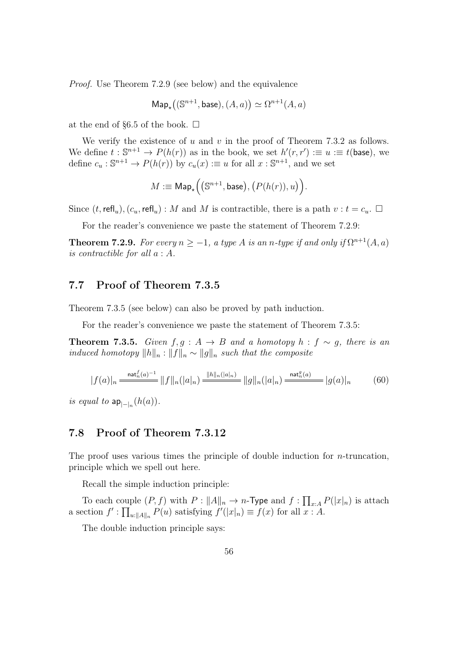Proof. Use Theorem 7.2.9 (see below) and the equivalence

$$
Map_{\star}\big((\mathbb{S}^{n+1}, \text{base}), (A, a)\big) \simeq \Omega^{n+1}(A, a)
$$

at the end of §6.5 of the book.  $\Box$ 

We verify the existence of  $u$  and  $v$  in the proof of Theorem 7.3.2 as follows. We define  $t : \mathbb{S}^{n+1} \to P(h(r))$  as in the book, we set  $h'(r, r') := u := t$  (base), we define  $c_u : \mathbb{S}^{n+1} \to P(h(r))$  by  $c_u(x) := u$  for all  $x : \mathbb{S}^{n+1}$ , and we set

$$
M:\equiv \mathsf{Map}_{\star}\Big(\big(\mathbb{S}^{n+1}, \mathsf{base}\big), \big(P(h(r)), u\big)\Big).
$$

Since  $(t, \text{refl}_u), (c_u, \text{refl}_u) : M$  and M is contractible, there is a path  $v : t = c_u$ .

For the reader's convenience we paste the statement of Theorem 7.2.9:

**Theorem 7.2.9.** For every  $n \geq -1$ , a type A is an n-type if and only if  $\Omega^{n+1}(A,a)$ is contractible for all a : A.

#### 7.7 Proof of Theorem 7.3.5

Theorem 7.3.5 (see below) can also be proved by path induction.

For the reader's convenience we paste the statement of Theorem 7.3.5:

**Theorem 7.3.5.** Given  $f, g : A \rightarrow B$  and a homotopy  $h : f \sim g$ , there is an *induced homotopy*  $||h||_n : ||f||_n \sim ||g||_n$  such that the composite

<span id="page-55-0"></span>
$$
|f(a)|_n \xrightarrow{\text{nat}_n^f(a)^{-1}} ||f||_n(|a|_n) \xrightarrow{||h||_n(|a|_n)} ||g||_n(|a|_n) \xrightarrow{\text{nat}_n^g(a)} |g(a)|_n \tag{60}
$$

is equal to  $\mathsf{ap}_{|\cdot|_n}(h(a))$ .

#### 7.8 Proof of Theorem 7.3.12

The proof uses various times the principle of double induction for  $n$ -truncation, principle which we spell out here.

Recall the simple induction principle:

To each couple  $(P, f)$  with  $P: ||A||_n \to n$ -Type and  $f: \prod_{x:A} P(|x|_n)$  is attach a section  $f' : \prod_{u:||A||_n} P(u)$  satisfying  $f'(|x|_n) \equiv f(x)$  for all  $x : A$ .

The double induction principle says: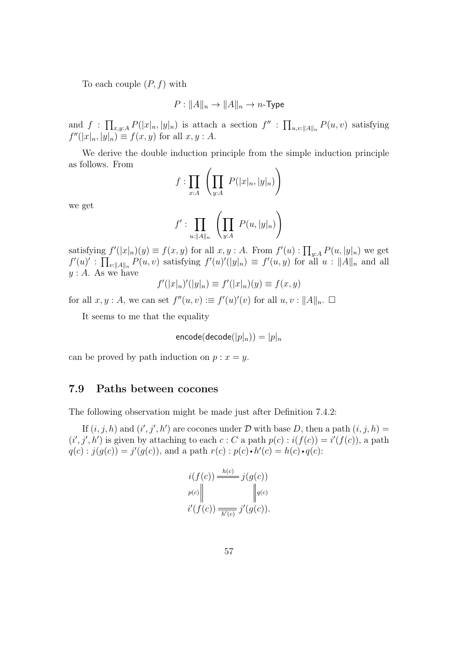To each couple  $(P, f)$  with

$$
P: ||A||_n \to ||A||_n \to n\text{-Type}
$$

and  $f: \prod_{x,y:A} P(|x|_n, |y|_n)$  is attach a section  $f'': \prod_{u,v:\|A\|_n} P(u,v)$  satisfying  $f''(|x|_n, |y|_n) \equiv f(x, y)$  for all  $x, y : A$ .

We derive the double induction principle from the simple induction principle as follows. From

$$
f:\prod_{x:A}\left(\prod_{y:A}P(|x|_n,|y|_n)\right)
$$

we get

$$
f':\prod_{u:\|A\|_n} \left(\prod_{y:A} P(u,|y|_n)\right)
$$

satisfying  $f'(|x|_n)(y) \equiv f(x, y)$  for all  $x, y : A$ . From  $f'(u) : \prod_{y:A} P(u, |y|_n)$  we get  $f'(u)'$ :  $\prod_{v:||A||_n} P(u,v)$  satisfying  $f'(u)'(|y|_n) \equiv f'(u,y)$  for all  $u:||A||_n$  and all  $y : A$ . As we have

$$
f'(|x|_n)'(|y|_n) \equiv f'(|x|_n)(y) \equiv f(x, y)
$$

for all  $x, y : A$ , we can set  $f''(u, v) := f'(u)'(v)$  for all  $u, v : ||A||_n$ .  $\Box$ 

It seems to me that the equality

$$
\mathsf{encode}(\mathsf{decode}(|p|_n)) = |p|_n
$$

can be proved by path induction on  $p : x = y$ .

#### <span id="page-56-0"></span>7.9 Paths between cocones

The following observation might be made just after Definition 7.4.2:

If  $(i, j, h)$  and  $(i', j', h')$  are cocones under D with base D, then a path  $(i, j, h)$  =  $(i', j', h')$  is given by attaching to each  $c : C$  a path  $p(c) : i(f(c)) = i'(f(c))$ , a path  $q(c)$ :  $j(g(c)) = j'(g(c))$ , and a path  $r(c)$ :  $p(c) \cdot h'(c) = h(c) \cdot q(c)$ :

$$
i(f(c)) \frac{h(c)}{=} j(g(c))
$$
  
\n
$$
p(c) \parallel \qquad ||q(c)
$$
  
\n
$$
i'(f(c)) \frac{}{h'(c)} j'(g(c)).
$$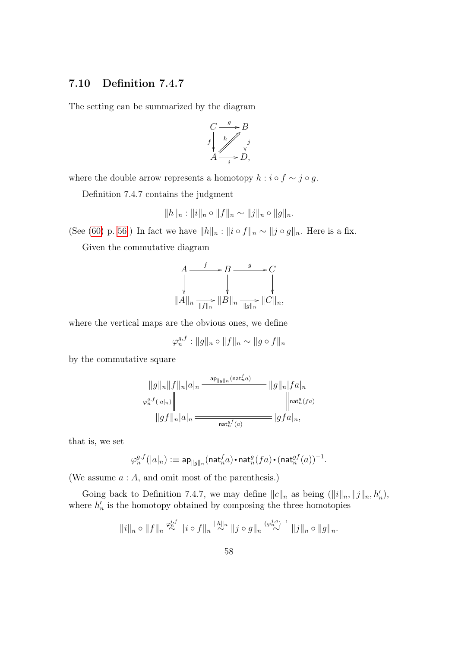## <span id="page-57-0"></span>7.10 Definition 7.4.7

The setting can be summarized by the diagram



where the double arrow represents a homotopy  $h : i \circ f \sim j \circ g$ .

Definition 7.4.7 contains the judgment

$$
||h||_n: ||i||_n \circ ||f||_n \sim ||j||_n \circ ||g||_n.
$$

(See [\(60\)](#page-55-0) p. [56.](#page-55-0)) In fact we have  $||h||_n : ||i \circ f||_n \sim ||j \circ g||_n$ . Here is a fix.

Given the commutative diagram

$$
A \xrightarrow{f} B \xrightarrow{g} C
$$
  
\n
$$
\downarrow^{f} \qquad \qquad \downarrow^{f}
$$
  
\n
$$
||A||_n \xrightarrow[||f||_n] ||B||_n \xrightarrow[||g||_n] ||C||_n,
$$

where the vertical maps are the obvious ones, we define

$$
\varphi_n^{g,f}: ||g||_n \circ ||f||_n \sim ||g \circ f||_n
$$

by the commutative square

$$
\begin{aligned}\n||g||_n||f||_n|a|_n \xrightarrow{\text{ap}} ||g||_n(n\text{at}_n^f a)} ||g||_n|fa|_n \\
\varphi_n^{g,f}(|a|_n)\n\left\| \xrightarrow{\text{ap}} ||gf||_n|a|_n \xrightarrow{\text{haf}_n^g(fa)} |gfa|_n,\n\end{aligned}
$$

that is, we set

$$
\varphi^{g,f}_n(|a|_n): \equiv {\sf ap}_{\|g\|_n}({\sf nat}_n^fa)\boldsymbol{\cdot} {\sf nat}_n^g(fa)\boldsymbol{\cdot} ({\sf nat}_n^{gf}(a))^{-1}.
$$

(We assume a : A, and omit most of the parenthesis.)

Going back to Definition 7.4.7, we may define  $||c||_n$  as being  $(||i||_n, ||j||_n, h'_n)$ , where  $h'_n$  is the homotopy obtained by composing the three homotopies

$$
||i||_n \circ ||f||_n \stackrel{\varphi_n^{i,f}}{\sim} ||i \circ f||_n \stackrel{||h||_n}{\sim} ||j \circ g||_n \stackrel{(\varphi_n^{j,g})^{-1}}{\sim} ||j||_n \circ ||g||_n.
$$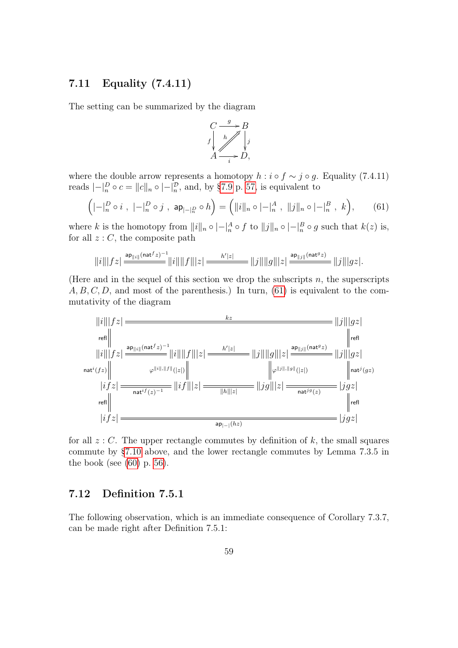## 7.11 Equality (7.4.11)

The setting can be summarized by the diagram



where the double arrow represents a homotopy  $h : i \circ f \sim j \circ g$ . Equality (7.4.11) reads  $|-|_{n}^{D} \circ c = ||c||_{n} \circ |-_{n}^{D}$ , and, by [§7.9](#page-56-0) p. [57,](#page-56-0) is equivalent to

<span id="page-58-0"></span>
$$
\left( | - |_{n}^{D} \circ i |, | - |_{n}^{D} \circ j |, \mathsf{ap}_{| - |_{n}^{D}} \circ h \right) = \left( ||i||_{n} \circ | - |_{n}^{A} |, ||j||_{n} \circ | - |_{n}^{B} |, k \right), \tag{61}
$$

where k is the homotopy from  $||i||_n \circ |-|_n^A \circ f$  to  $||j||_n \circ |-|_n^B \circ g$  such that  $k(z)$  is, for all  $z: C$ , the composite path

$$
||i|||fz| \stackrel{\mathsf{ap}_{||i||}(\mathsf{nat}^f z)^{-1}}{=} ||i|| ||f|| |z| \stackrel{h'|z|}{=}\n||j|| ||g|| |z| \stackrel{\mathsf{ap}_{||j||}(\mathsf{nat}^g z)}{=} ||j|| |gz|.
$$

(Here and in the sequel of this section we drop the subscripts  $n$ , the superscripts  $A, B, C, D$ , and most of the parenthesis.) In turn, [\(61\)](#page-58-0) is equivalent to the commutativity of the diagram



for all  $z: C$ . The upper rectangle commutes by definition of k, the small squares commute by [§7.10](#page-57-0) above, and the lower rectangle commutes by Lemma 7.3.5 in the book (see  $(60)$  p. [56\)](#page-55-0).

## <span id="page-58-1"></span>7.12 Definition 7.5.1

The following observation, which is an immediate consequence of Corollary 7.3.7, can be made right after Definition 7.5.1: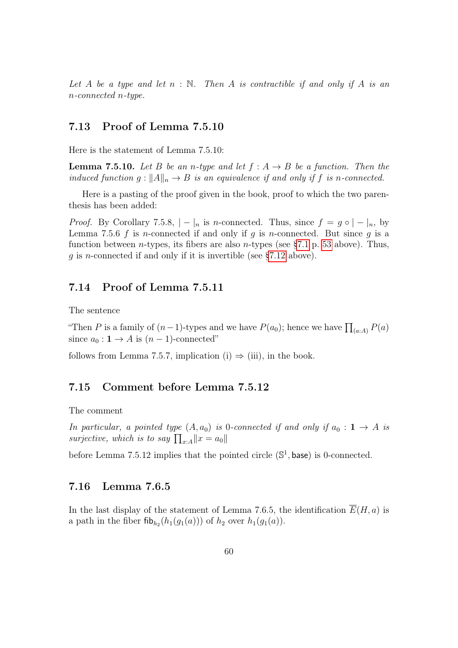Let A be a type and let  $n : \mathbb{N}$ . Then A is contractible if and only if A is an n-connected n-type.

#### 7.13 Proof of Lemma 7.5.10

Here is the statement of Lemma 7.5.10:

**Lemma 7.5.10.** Let B be an n-type and let  $f : A \rightarrow B$  be a function. Then the induced function  $g: ||A||_n \to B$  is an equivalence if and only if f is n-connected.

Here is a pasting of the proof given in the book, proof to which the two parenthesis has been added:

*Proof.* By Corollary 7.5.8,  $| - |_n$  is n-connected. Thus, since  $f = g \circ |- |_n$ , by Lemma 7.5.6 f is n-connected if and only if g is n-connected. But since  $g$  is a function between *n*-types, its fibers are also *n*-types (see  $\S 7.1 \text{ p}$ . [53](#page-52-0) above). Thus, g is n-connected if and only if it is invertible (see [§7.12](#page-58-1) above).

#### 7.14 Proof of Lemma 7.5.11

The sentence

"Then P is a family of  $(n-1)$ -types and we have  $P(a_0)$ ; hence we have  $\prod_{(a:A)} P(a)$ since  $a_0: \mathbf{1} \to A$  is  $(n-1)$ -connected"

follows from Lemma 7.5.7, implication (i)  $\Rightarrow$  (iii), in the book.

#### <span id="page-59-0"></span>7.15 Comment before Lemma 7.5.12

The comment

In particular, a pointed type  $(A, a_0)$  is 0-connected if and only if  $a_0 : \mathbf{1} \to A$  is surjective, which is to say  $\prod_{x:A} ||x = a_0||$ 

before Lemma 7.5.12 implies that the pointed circle  $(\mathbb{S}^1, \text{base})$  is 0-connected.

#### 7.16 Lemma 7.6.5

In the last display of the statement of Lemma 7.6.5, the identification  $E(H, a)$  is a path in the fiber  $\mathsf{fib}_{h_2}(h_1(g_1(a)))$  of  $h_2$  over  $h_1(g_1(a))$ .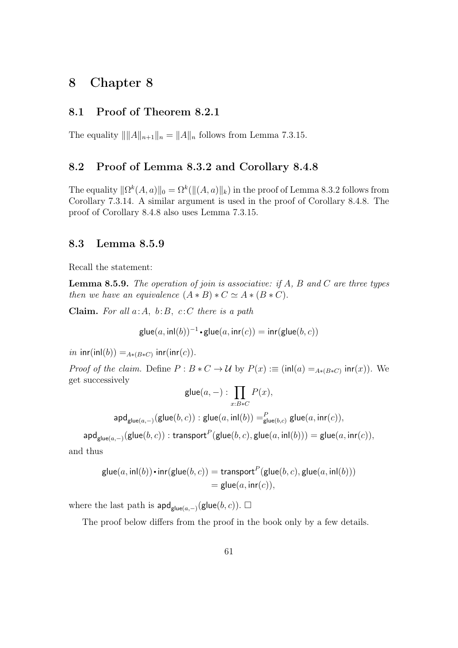# 8 Chapter 8

#### 8.1 Proof of Theorem 8.2.1

The equality  $\| \|A\|_{n+1} \|_n = \|A\|_n$  follows from Lemma 7.3.15.

## 8.2 Proof of Lemma 8.3.2 and Corollary 8.4.8

The equality  $\|\Omega^k(A, a)\|_0 = \Omega^k(\|(A, a)\|_k)$  in the proof of Lemma 8.3.2 follows from Corollary 7.3.14. A similar argument is used in the proof of Corollary 8.4.8. The proof of Corollary 8.4.8 also uses Lemma 7.3.15.

#### 8.3 Lemma 8.5.9

Recall the statement:

**Lemma 8.5.9.** The operation of join is associative: if A, B and C are three types then we have an equivalence  $(A * B) * C \simeq A * (B * C)$ .

Claim. For all  $a:A, b:B, c:C$  there is a path

$$
\mathsf{glue}(a,\mathsf{inl}(b))^{-1}\boldsymbol{\cdot} \mathsf{glue}(a,\mathsf{inr}(c)) = \mathsf{inr}(\mathsf{glue}(b,c))
$$

*in*  $\textsf{inr}(\textsf{inl}(b)) =_{A * (B * C)} \textsf{inr}(\textsf{inr}(c)).$ 

*Proof of the claim.* Define  $P : B * C \to U$  by  $P(x) := (\text{inl}(a) =_{A * (B * C)} \text{inr}(x))$ . We get successively

$$
\mathsf{glue}(a,-): \prod_{x:B*C} P(x),
$$

 $\mathsf{apd}_{\mathsf{glue}(a,-)}(\mathsf{glue}(b,c)):\mathsf{glue}(a,\mathsf{inl}(b)) =^P_{\mathsf{glue}(b,c)}\mathsf{glue}(a,\mathsf{inr}(c)),$ 

$$
\mathsf{apd}_{\mathsf{glue}(a,-)}(\mathsf{glue}(b,c)) : \mathsf{transport}^P(\mathsf{glue}(b,c),\mathsf{glue}(a,\mathsf{inl}(b))) = \mathsf{glue}(a,\mathsf{inr}(c)),
$$

and thus

$$
\begin{aligned} \mathsf{glue}(a, \mathsf{inl}(b)) \cdot \mathsf{inr}(\mathsf{glue}(b, c)) &= \mathsf{transport}^P(\mathsf{glue}(b, c), \mathsf{glue}(a, \mathsf{inl}(b))) \\ &= \mathsf{glue}(a, \mathsf{inr}(c)), \end{aligned}
$$

where the last path is  $\mathsf{apd}_{\mathsf{glue}(a,-)}(\mathsf{glue}(b,c))$ .  $\Box$ 

The proof below differs from the proof in the book only by a few details.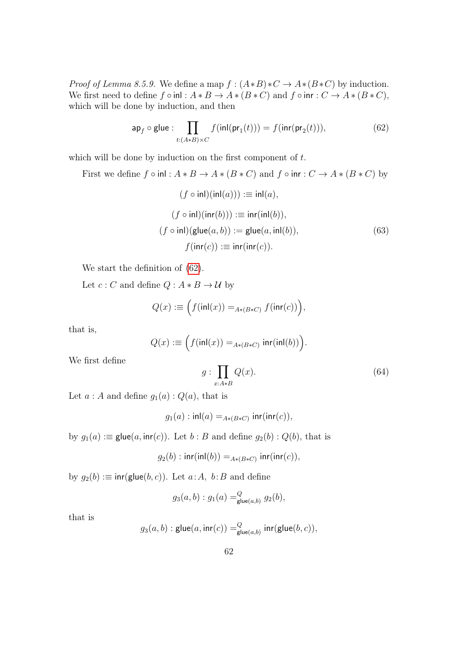*Proof of Lemma 8.5.9.* We define a map  $f : (A*B)*C \to A*(B*C)$  by induction. We first need to define  $f \circ \text{inl} : A * B \to A * (B * C)$  and  $f \circ \text{inr} : C \to A * (B * C)$ , which will be done by induction, and then

<span id="page-61-0"></span>
$$
\mathsf{ap}_f \circ \mathsf{glue}: \prod_{t:(A*B)\times C} f(\mathsf{inl}(\mathsf{pr}_1(t))) = f(\mathsf{inr}(\mathsf{pr}_2(t))),\tag{62}
$$

which will be done by induction on the first component of  $t$ .

First we define  $f \circ \text{inl} : A * B \to A * (B * C)$  and  $f \circ \text{inr} : C \to A * (B * C)$  by

<span id="page-61-1"></span>
$$
(f \circ \text{inl})(\text{inl}(a))) \equiv \text{inl}(a),
$$
  
\n
$$
(f \circ \text{inl})(\text{inr}(b))) \equiv \text{inr}(\text{inl}(b)),
$$
  
\n
$$
(f \circ \text{inl})(\text{glue}(a, b)) := \text{glue}(a, \text{inl}(b)),
$$
  
\n
$$
f(\text{inr}(c)) \equiv \text{inr}(\text{inr}(c)).
$$
\n(63)

We start the definition of [\(62\)](#page-61-0).

Let  $c : C$  and define  $Q : A * B \to U$  by

$$
Q(x) := \Big(f(\mathsf{inl}(x)) =_{A*(B*C)} f(\mathsf{inr}(c))\Big),\,
$$

that is,

$$
Q(x) := \Big(f(\mathsf{inl}(x)) =_{A * (B * C)} \mathsf{inr}(\mathsf{inl}(b))\Big).
$$

We first define

<span id="page-61-2"></span>
$$
g: \prod_{x:A*B} Q(x). \tag{64}
$$

Let  $a : A$  and define  $g_1(a) : Q(a)$ , that is

$$
g_1(a): \mathsf{inl}(a) =_{A * (B * C)} \mathsf{inr}(\mathsf{inr}(c)),
$$

by  $g_1(a) :=$  glue $(a, \text{inr}(c))$ . Let  $b : B$  and define  $g_2(b) : Q(b)$ , that is

$$
g_2(b): \mathsf{inr}(\mathsf{inl}(b)) =_{A * (B * C)} \mathsf{inr}(\mathsf{inr}(c)),
$$

by  $g_2(b) := \text{inr}(\text{glue}(b, c))$ . Let  $a : A$ ,  $b : B$  and define

$$
g_3(a, b) : g_1(a) =_{\text{glue}(a,b)}^Q g_2(b),
$$

that is

$$
g_3(a, b) : \mathsf{glue}(a, \mathsf{inr}(c)) =^Q_{\mathsf{glue}(a, b)} \mathsf{inr}(\mathsf{glue}(b, c)),
$$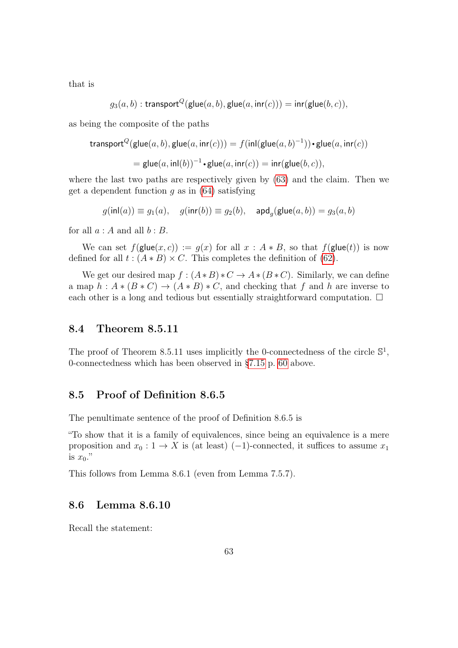that is

$$
g_3(a,b):\mathsf{transport}^Q(\mathsf{glue}(a,b),\mathsf{glue}(a,\mathsf{inr}(c)))=\mathsf{inr}(\mathsf{glue}(b,c)),
$$

as being the composite of the paths

$$
\mathsf{transport}^{Q}(\mathsf{glue}(a,b),\mathsf{glue}(a,\mathsf{inr}(c))) = f(\mathsf{inl}(\mathsf{glue}(a,b)^{-1})) \bullet \mathsf{glue}(a,\mathsf{inr}(c))
$$

$$
= \mathsf{glue}(a,\mathsf{inl}(b))^{-1} \cdot \mathsf{glue}(a,\mathsf{inr}(c)) = \mathsf{inr}(\mathsf{glue}(b,c)),
$$

where the last two paths are respectively given by [\(63\)](#page-61-1) and the claim. Then we get a dependent function  $g$  as in [\(64\)](#page-61-2) satisfying

$$
g(\text{inl}(a)) \equiv g_1(a), \quad g(\text{inr}(b)) \equiv g_2(b), \quad \text{and}_g(\text{glue}(a,b)) = g_3(a,b)
$$

for all  $a : A$  and all  $b : B$ .

We can set  $f(\text{glue}(x, c)) := g(x)$  for all  $x : A * B$ , so that  $f(\text{glue}(t))$  is now defined for all  $t : (A * B) \times C$ . This completes the definition of [\(62\)](#page-61-0).

We get our desired map  $f : (A * B) * C \to A * (B * C)$ . Similarly, we can define a map  $h : A * (B * C) \to (A * B) * C$ , and checking that f and h are inverse to each other is a long and tedious but essentially straightforward computation.  $\Box$ 

#### 8.4 Theorem 8.5.11

The proof of Theorem 8.5.11 uses implicitly the 0-connectedness of the circle  $\mathbb{S}^1$ , 0-connectedness which has been observed in [§7.15](#page-59-0) p. [60](#page-59-0) above.

### 8.5 Proof of Definition 8.6.5

The penultimate sentence of the proof of Definition 8.6.5 is

"To show that it is a family of equivalences, since being an equivalence is a mere proposition and  $x_0 : 1 \to X$  is (at least) (−1)-connected, it suffices to assume  $x_1$ is  $x_0$ ."

This follows from Lemma 8.6.1 (even from Lemma 7.5.7).

#### 8.6 Lemma 8.6.10

Recall the statement: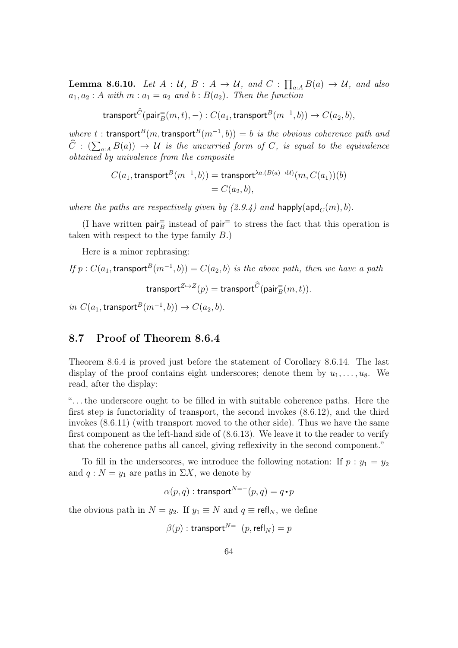**Lemma 8.6.10.** Let  $A: U, B: A \rightarrow U$ , and  $C: \prod_{a:A} B(a) \rightarrow U$ , and also  $a_1, a_2 : A$  with  $m : a_1 = a_2$  and  $b : B(a_2)$ . Then the function

 $\operatorname{\sf transport}^C(\mathsf{pair}_B^=(m, t), -) : C(a_1, \operatorname{\sf transport}^B(m^{-1}, b)) \to C(a_2, b),$ 

where t : transport<sup>B</sup> $(m,$ transport<sup>B</sup> $(m^{-1},b)) = b$  is the obvious coherence path and  $C : (\sum_{a:A} B(a)) \to U$  is the uncurried form of C, is equal to the equivalence obtained by univalence from the composite

$$
C(a_1, \text{transport}^B(m^{-1}, b)) = \text{transport}^{\lambda a.(B(a) \to \mathcal{U})}(m, C(a_1))(b)
$$
  
= C(a<sub>2</sub>, b),

where the paths are respectively given by  $(2.9.4)$  and happly(apd<sub>C</sub>(m), b).

(I have written  $\textsf{pair}^{\equiv}_B$  instead of  $\textsf{pair}^{\equiv}$  to stress the fact that this operation is taken with respect to the type family B.)

Here is a minor rephrasing:

If 
$$
p : C(a_1, \text{transport}^B(m^{-1}, b)) = C(a_2, b)
$$
 is the above path, then we have a path

transport $^{Z \mapsto Z}(p) = \text{transport}^C(\textsf{pair}_B^=(m, t)).$ 

*in*  $C(a_1, \text{transport}^B(m^{-1}, b))$  →  $C(a_2, b)$ .

#### 8.7 Proof of Theorem 8.6.4

Theorem 8.6.4 is proved just before the statement of Corollary 8.6.14. The last display of the proof contains eight underscores; denote them by  $u_1, \ldots, u_8$ . We read, after the display:

". . . the underscore ought to be filled in with suitable coherence paths. Here the first step is functoriality of transport, the second invokes (8.6.12), and the third invokes (8.6.11) (with transport moved to the other side). Thus we have the same first component as the left-hand side of (8.6.13). We leave it to the reader to verify that the coherence paths all cancel, giving reflexivity in the second component."

To fill in the underscores, we introduce the following notation: If  $p : y_1 = y_2$ and  $q : N = y_1$  are paths in  $\Sigma X$ , we denote by

$$
\alpha(p,q):\text{transport}^{N=-}(p,q)=q\hspace{-1.5pt}\cdot\hspace{-1.5pt}p
$$

the obvious path in  $N = y_2$ . If  $y_1 \equiv N$  and  $q \equiv \text{refl}_N$ , we define

$$
\beta(p): \mathsf{transport}^{N=-}(p, \mathsf{refl}_N) = p
$$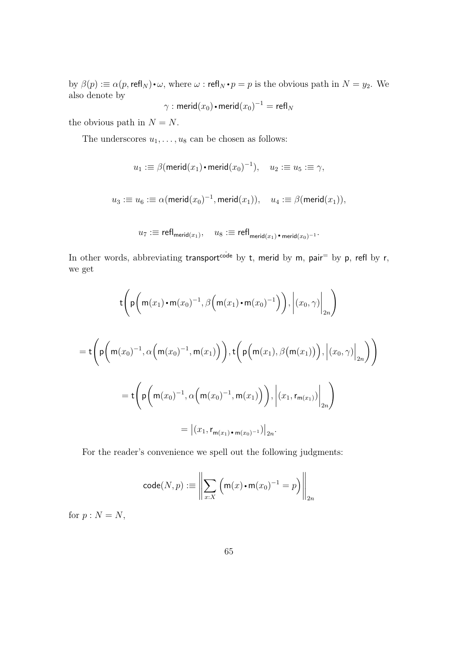by  $\beta(p) := \alpha(p, \text{refl}_N) \cdot \omega$ , where  $\omega : \text{refl}_N \cdot p = p$  is the obvious path in  $N = y_2$ . We also denote by

$$
\gamma: \mathsf{merid}(x_0) \mathord{\bullet} \mathsf{merid}(x_0)^{-1} = \mathsf{refl}_N
$$

the obvious path in  $N = N$ .

The underscores  $u_1, \ldots, u_8$  can be chosen as follows:

$$
u_1: \equiv \beta(\mathsf{merid}(x_1) \cdot \mathsf{merid}(x_0)^{-1}), \quad u_2: \equiv u_5: \equiv \gamma,
$$

 $u_3:\equiv u_6:\equiv \alpha({\mathsf{merid}}(x_0)^{-1},{\mathsf{merid}}(x_1)),\quad u_4:\equiv \beta({\mathsf{merid}}(x_1)),$ 

$$
u_7: \equiv {\mathsf{refl}}_{\mathsf{merid}(x_1)}, \quad u_8: \equiv {\mathsf{refl}}_{\mathsf{merid}(x_1)}{\scriptstyle{\bullet}} \, {\scriptstyle{\mathsf{merid}}}(x_0)^{-1}{\scriptstyle{\cdot}}
$$

In other words, abbreviating transport<sup>code</sup> by t, merid by m, pair<sup>=</sup> by p, refl by r, we get

$$
\begin{aligned}\n&\text{t}\left(\mathsf{p}\left(\mathsf{m}(x_1)\cdot\mathsf{m}(x_0)^{-1},\beta\left(\mathsf{m}(x_1)\cdot\mathsf{m}(x_0)^{-1}\right)\right),\left|(x_0,\gamma)\right|_{2n}\right) \\
&= \mathsf{t}\left(\mathsf{p}\left(\mathsf{m}(x_0)^{-1},\alpha\left(\mathsf{m}(x_0)^{-1},\mathsf{m}(x_1)\right)\right),\mathsf{t}\left(\mathsf{p}\left(\mathsf{m}(x_1),\beta\left(\mathsf{m}(x_1)\right)\right),\left|(x_0,\gamma)\right|_{2n}\right)\right) \\
&= \mathsf{t}\left(\mathsf{p}\left(\mathsf{m}(x_0)^{-1},\alpha\left(\mathsf{m}(x_0)^{-1},\mathsf{m}(x_1)\right)\right),\left|(x_1,\mathsf{r}_{\mathsf{m}(x_1)})\right|_{2n}\right) \\
&= \left|(x_1,\mathsf{r}_{\mathsf{m}(x_1)\cdot\mathsf{m}(x_0)^{-1}})\right|_{2n}.\n\end{aligned}
$$

For the reader's convenience we spell out the following judgments:

$$
\mathsf{code}(N, p) := \left\| \sum_{x:X} \left( \mathsf{m}(x) \cdot \mathsf{m}(x_0)^{-1} = p \right) \right\|_{2n}
$$

for  $p : N = N$ ,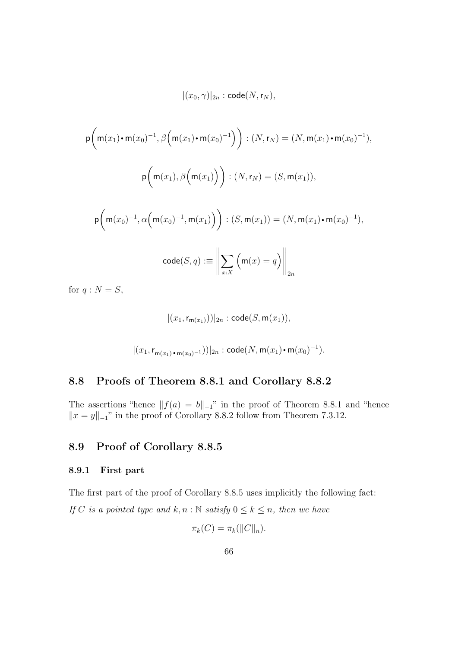$|(x_0, \gamma)|_{2n} : \mathsf{code}(N, \mathsf{r}_N),$ 

$$
p\left(m(x_1)\cdot m(x_0)^{-1}, \beta\left(m(x_1)\cdot m(x_0)^{-1}\right)\right) : (N, r_N) = (N, m(x_1)\cdot m(x_0)^{-1}),
$$
  

$$
p\left(m(x_1), \beta\left(m(x_1)\right)\right) : (N, r_N) = (S, m(x_1)),
$$
  

$$
p\left(m(x_0)^{-1}, \alpha\left(m(x_0)^{-1}, m(x_1)\right)\right) : (S, m(x_1)) = (N, m(x_1)\cdot m(x_0)^{-1}),
$$
  

$$
\text{code}(S, q) := \left\|\sum_{x:X} \left(m(x) = q\right)\right\|_{2n}
$$

for  $q : N = S$ ,

$$
|(x_1, r_{m(x_1)}))|_{2n}
$$
: code $(S, m(x_1)),$   
 $|(x_1, r_{m(x_1) \cdot m(x_0)^{-1}}))|_{2n}$ : code $(N, m(x_1) \cdot m(x_0)^{-1})$ .

## 8.8 Proofs of Theorem 8.8.1 and Corollary 8.8.2

The assertions "hence  $||f(a) = b||_{-1}$ " in the proof of Theorem 8.8.1 and "hence  $||x = y||_1$ " in the proof of Corollary 8.8.2 follow from Theorem 7.3.12.

# 8.9 Proof of Corollary 8.8.5

### 8.9.1 First part

The first part of the proof of Corollary 8.8.5 uses implicitly the following fact: If C is a pointed type and  $k, n : \mathbb{N}$  satisfy  $0 \leq k \leq n$ , then we have

$$
\pi_k(C) = \pi_k(||C||_n).
$$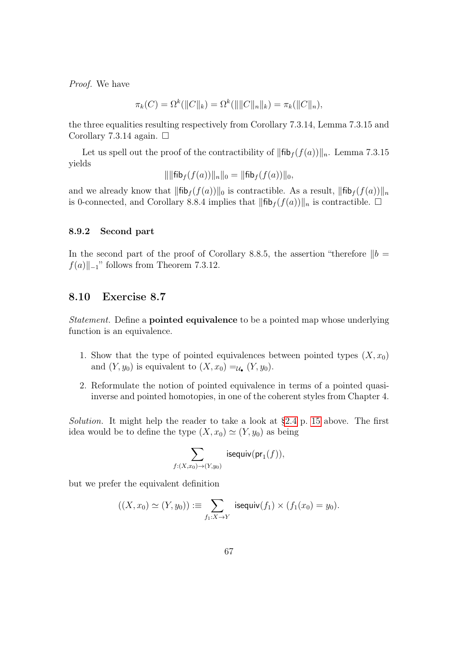Proof. We have

$$
\pi_k(C) = \Omega^k(||C||_k) = \Omega^k(||||C||_n||_k) = \pi_k(||C||_n),
$$

the three equalities resulting respectively from Corollary 7.3.14, Lemma 7.3.15 and Corollary 7.3.14 again.  $\Box$ 

Let us spell out the proof of the contractibility of  $\|\text{fib}_{f}(f(a))\|_{n}$ . Lemma 7.3.15 yields

$$
\|\|\text{fib}_f(f(a))\|_n\|_0 = \|\text{fib}_f(f(a))\|_0,
$$

and we already know that  $\|\text{fib}_f(f(a))\|_0$  is contractible. As a result,  $\|\text{fib}_f(f(a))\|_n$ is 0-connected, and Corollary 8.8.4 implies that  $\|\text{fib}_f(f(a))\|_n$  is contractible.  $\Box$ 

#### 8.9.2 Second part

In the second part of the proof of Corollary 8.8.5, the assertion "therefore  $||b =$  $f(a)\Vert_{-1}$ " follows from Theorem 7.3.12.

#### 8.10 Exercise 8.7

Statement. Define a **pointed equivalence** to be a pointed map whose underlying function is an equivalence.

- 1. Show that the type of pointed equivalences between pointed types  $(X, x_0)$ and  $(Y, y_0)$  is equivalent to  $(X, x_0) =_{\mathcal{U}_\bullet} (Y, y_0)$ .
- 2. Reformulate the notion of pointed equivalence in terms of a pointed quasiinverse and pointed homotopies, in one of the coherent styles from Chapter 4.

Solution. It might help the reader to take a look at [§2.4](#page-14-0) p. [15](#page-14-0) above. The first idea would be to define the type  $(X, x_0) \simeq (Y, y_0)$  as being

$$
\sum_{f:(X,x_0)\to (Y,y_0)}\; \mathsf{isequiv}( \mathsf{pr}_1(f)),
$$

but we prefer the equivalent definition

$$
((X,x_0)\simeq (Y,y_0)) := \sum_{f_1:X\to Y} \text{ isequiv}(f_1)\times (f_1(x_0)=y_0).
$$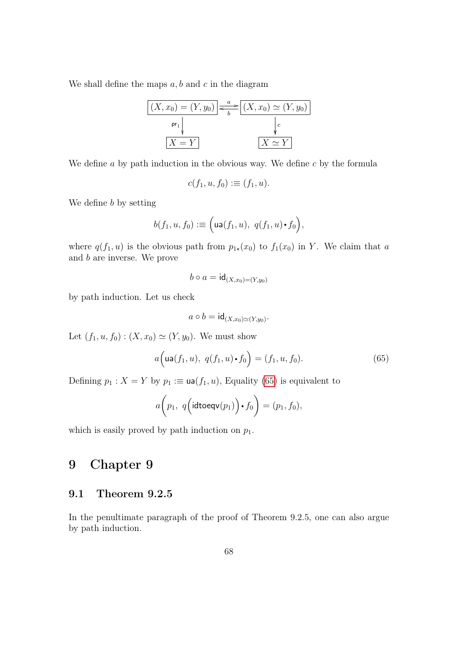We shall define the maps  $a, b$  and c in the diagram



We define  $a$  by path induction in the obvious way. We define  $c$  by the formula

$$
c(f_1, u, f_0) := (f_1, u).
$$

We define b by setting

$$
b(f_1, u, f_0) := \Big(\mathsf{ua}(f_1, u), \ q(f_1, u) \cdot f_0\Big),
$$

where  $q(f_1, u)$  is the obvious path from  $p_{1\star}(x_0)$  to  $f_1(x_0)$  in Y. We claim that a and b are inverse. We prove

$$
b \circ a = \mathsf{id}_{(X,x_0)=(Y,y_0)}
$$

by path induction. Let us check

$$
a \circ b = \mathsf{id}_{(X,x_0)\simeq (Y,y_0)}.
$$

Let  $(f_1, u, f_0) : (X, x_0) \simeq (Y, y_0)$ . We must show

<span id="page-67-0"></span>
$$
a\Big(\text{ua}(f_1, u), \ q(f_1, u) \cdot f_0\Big) = (f_1, u, f_0). \tag{65}
$$

Defining  $p_1 : X = Y$  by  $p_1 := \text{ua}(f_1, u)$ , Equality [\(65\)](#page-67-0) is equivalent to

$$
a\bigg(p_1, q\big(\text{idtoeqv}(p_1)\bigg) \cdot f_0\bigg) = (p_1, f_0),
$$

which is easily proved by path induction on  $p_1$ .

# 9 Chapter 9

## 9.1 Theorem 9.2.5

In the penultimate paragraph of the proof of Theorem 9.2.5, one can also argue by path induction.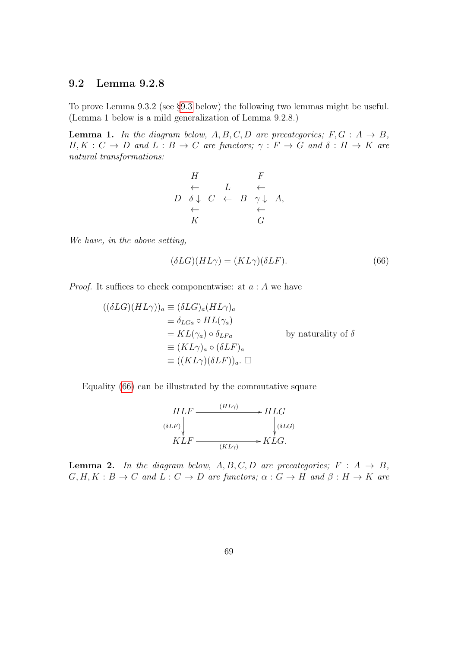## <span id="page-68-1"></span>9.2 Lemma 9.2.8

To prove Lemma 9.3.2 (see [§9.3](#page-70-0) below) the following two lemmas might be useful. (Lemma 1 below is a mild generalization of Lemma 9.2.8.)

**Lemma 1.** In the diagram below,  $A, B, C, D$  are precategories;  $F, G : A \rightarrow B$ ,  $H, K : C \to D$  and  $L : B \to C$  are functors;  $\gamma : F \to G$  and  $\delta : H \to K$  are natural transformations:

$$
\begin{array}{ccc}\nH & & F \\
\leftarrow & L & \leftarrow \\
D & \delta \downarrow & C & \leftarrow & B & \gamma \downarrow & A, \\
\leftarrow & & & \leftarrow & & \\
K & & & G & & \n\end{array}
$$

We have, in the above setting,

<span id="page-68-0"></span>
$$
(\delta LG)(HL\gamma) = (KL\gamma)(\delta LF). \tag{66}
$$

*Proof.* It suffices to check componentwise: at  $a : A$  we have

$$
((\delta LG)(HL\gamma))_a \equiv (\delta LG)_a (HL\gamma)_a
$$
  
\n
$$
\equiv \delta_{LGa} \circ HL(\gamma_a)
$$
  
\n
$$
= KL(\gamma_a) \circ \delta_{LFa}
$$
 by naturality of  $\delta$   
\n
$$
\equiv (KL\gamma)_a \circ (\delta LF)_a
$$
  
\n
$$
\equiv ((KL\gamma)(\delta LF))_a. \square
$$

Equality [\(66\)](#page-68-0) can be illustrated by the commutative square

$$
HLF \xrightarrow{\quad (HL\gamma)} \qquad HLG
$$
  
\n
$$
\langle \delta LF \rangle \qquad \qquad \downarrow \langle \delta LG \rangle
$$
  
\n
$$
KLF \xrightarrow{\quad (KL\gamma)} \qquad KLG.
$$

**Lemma 2.** In the diagram below,  $A, B, C, D$  are precategories;  $F : A \rightarrow B$ ,  $G, H, K : B \to C$  and  $L : C \to D$  are functors;  $\alpha : G \to H$  and  $\beta : H \to K$  are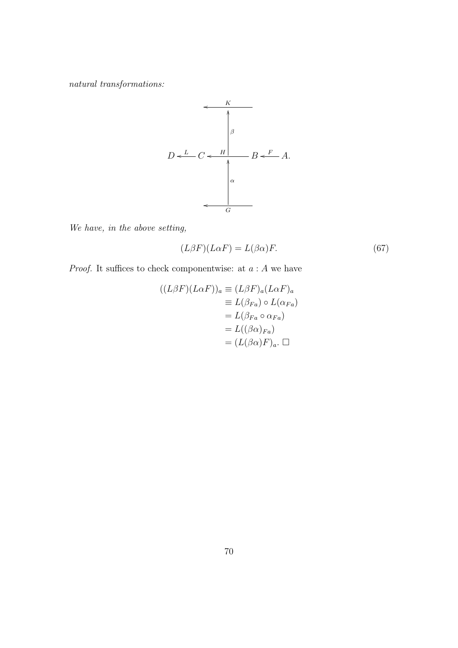$natural\ transitions:$ 



We have, in the above setting,

<span id="page-69-0"></span>
$$
(L\beta F)(L\alpha F) = L(\beta \alpha)F.
$$
\n(67)

*Proof.* It suffices to check componentwise: at  $a : A$  we have

$$
((L\beta F)(L\alpha F))_a \equiv (L\beta F)_a (L\alpha F)_a
$$
  
\n
$$
\equiv L(\beta_{Fa}) \circ L(\alpha_{Fa})
$$
  
\n
$$
= L(\beta_{Fa} \circ \alpha_{Fa})
$$
  
\n
$$
= L((\beta \alpha)_{Fa})
$$
  
\n
$$
= (L(\beta \alpha)F)_a. \quad \Box
$$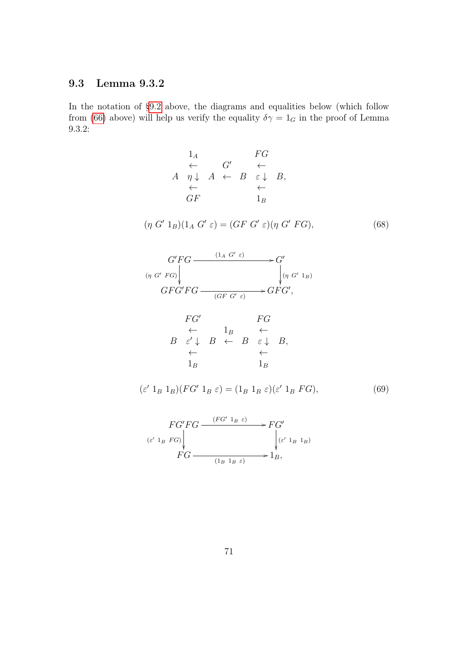# <span id="page-70-0"></span>9.3 Lemma 9.3.2

In the notation of [§9.2](#page-68-1) above, the diagrams and equalities below (which follow from [\(66\)](#page-68-0) above) will help us verify the equality  $\delta \gamma = 1_G$  in the proof of Lemma 9.3.2:

<span id="page-70-1"></span>
$$
1_A \tFG
$$
\n
$$
\leftarrow \tG' \leftarrow
$$
\n
$$
A \t\eta \downarrow A \leftarrow B \t\epsilon \downarrow B,
$$
\n
$$
\leftarrow \tGF
$$
\n
$$
1_B
$$
\n
$$
(\eta G' 1_B)(1_A G' \varepsilon) = (GF G' \varepsilon)(\eta G' FG),
$$
\n
$$
G'FG \xrightarrow{\quad (1_A G' \varepsilon)} G'
$$
\n
$$
(\eta G' FG) \downarrow \t\eta G' 1_B
$$
\n
$$
GFG'FG \xrightarrow{\quad (GF G' \varepsilon)} GFG',
$$
\n
$$
FG'
$$
\n
$$
\leftarrow \t1_B \leftarrow
$$
\n
$$
B \t\epsilon' \downarrow B \leftarrow B \t\epsilon \downarrow B,
$$
\n
$$
\leftarrow \t1_B \t\downarrow B \t\downarrow B
$$
\n
$$
1_B \t\downarrow B \t\downarrow B
$$
\n
$$
1_B \t\downarrow B \t\downarrow B
$$

<span id="page-70-2"></span>
$$
(\varepsilon' 1_B 1_B)(FG' 1_B \varepsilon) = (1_B 1_B \varepsilon)(\varepsilon' 1_B FG), \tag{69}
$$

$$
FG'FG \xrightarrow{(FG' 1_B \varepsilon)} FG'
$$
  
\n
$$
(\varepsilon' 1_B FG) \Big|_{\forall (\varepsilon' 1_B 1_B)}
$$
  
\n
$$
FG \xrightarrow{(1_B 1_B \varepsilon)} 1_B,
$$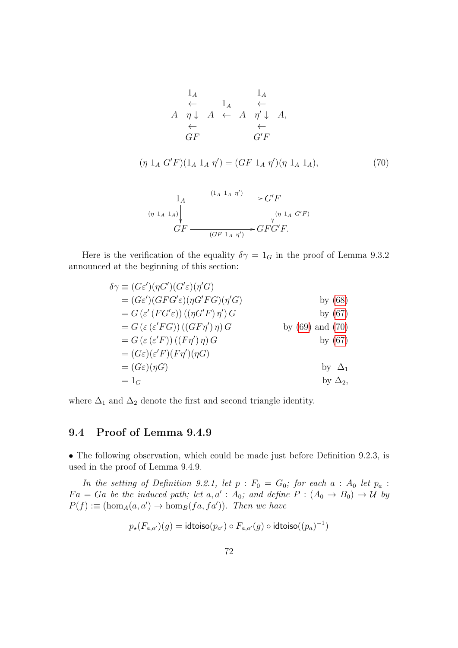1<sup>A</sup> 1<sup>A</sup> ← 1<sup>A</sup> ← A η ↓ A ← A η<sup>0</sup> ↓ A, ← ← GF G<sup>0</sup>F

<span id="page-71-0"></span>
$$
(\eta \ 1_A \ G'F)(1_A \ 1_A \ \eta') = (GF \ 1_A \ \eta')(\eta \ 1_A \ 1_A), \tag{70}
$$

$$
\begin{array}{ccc}\n1_A & \xrightarrow{(1_A 1_A \eta')} & G'F \\
\hline\n(\eta 1_A 1_A) & & \downarrow (\eta 1_A G'F) \\
\downarrow & & \downarrow (\eta 1_A G'F) \\
\hline\n\vdots & & \downarrow (\eta 1_A G'F)\n\end{array}
$$

Here is the verification of the equality  $\delta \gamma = 1_G$  in the proof of Lemma 9.3.2 announced at the beginning of this section:

$$
\delta \gamma \equiv (G\varepsilon')(\eta G') (G'\varepsilon)(\eta' G)
$$
\n
$$
= (G\varepsilon') (GFG'\varepsilon)(\eta G'FG)(\eta' G)
$$
\n
$$
= G (\varepsilon' (FG'\varepsilon)) ((\eta G'F \eta') \eta') G
$$
\n
$$
= G (\varepsilon (\varepsilon' FG)) ((GF\eta') \eta) G
$$
\n
$$
= G (\varepsilon (\varepsilon' F)) ((F\eta') \eta) G
$$
\n
$$
= (G\varepsilon)(\varepsilon' F)(F\eta')(\eta G)
$$
\n
$$
= (G\varepsilon)(\eta G)
$$
\n
$$
= 1_G
$$
\nby  $\Delta_1$ \nby  $\Delta_2$ ,\nby  $\Delta_2$ ,\nby  $\Delta_2$ ,\nby  $\Delta_2$ ,\nby  $\Delta_2$ ,\nby  $\Delta_2$ ,\nby  $\Delta_3$ ,\nby  $\Delta_3$ ,\nby  $\Delta_4$ ,\nby  $\Delta_5$ ,\nby  $\Delta_6$ ,\nby  $\Delta_7$ ,\nby  $\Delta_8$ ,\nby  $\Delta_9$ ,\nby  $\Delta_9$ ,\nby  $\Delta_1$ ,\nby  $\Delta_2$ ,\nby  $\Delta_3$ ,\nby  $\Delta_4$ ,\nby  $\Delta_5$ ,\nby  $\Delta_6$ ,\nby  $\Delta_7$ ,\nby  $\Delta_8$ ,\nby  $\Delta_9$ ,\nby  $\Delta_9$ ,\nby  $\Delta_9$ ,\nby  $\Delta_9$ ,\nby  $\Delta_9$ ,\nby  $\Delta_9$ ,\nby  $\Delta_9$ ,\nby  $\Delta_9$ ,\nby  $\Delta_9$ ,\nby  $\Delta_9$ ,\nby  $\Delta_9$ ,\nby  $\Delta_9$ ,\nby  $\Delta_9$ ,\nby  $\Delta_9$ ,\nby  $\Delta_9$ ,\nby  $\Delta_9$ ,\nby  $\Delta_9$ ,\nby  $\Delta_9$ ,\nby  $\Delta_9$ ,\nby  $\Delta_9$ ,\n

where  $\Delta_1$  and  $\Delta_2$  denote the first and second triangle identity.

## 9.4 Proof of Lemma 9.4.9

• The following observation, which could be made just before Definition 9.2.3, is used in the proof of Lemma 9.4.9.

In the setting of Definition 9.2.1, let  $p : F_0 = G_0$ ; for each  $a : A_0$  let  $p_a$ :  $Fa = Ga$  be the induced path; let a, a':  $A_0$ ; and define  $P : (A_0 \rightarrow B_0) \rightarrow U$  by  $P(f) := (\text{hom}_A(a, a') \to \text{hom}_B(fa, fa'))$ . Then we have

$$
p_{\star}(F_{a,a'})(g) = \text{idtoiso}(p_{a'}) \circ F_{a,a'}(g) \circ \text{idtoiso}((p_a)^{-1})
$$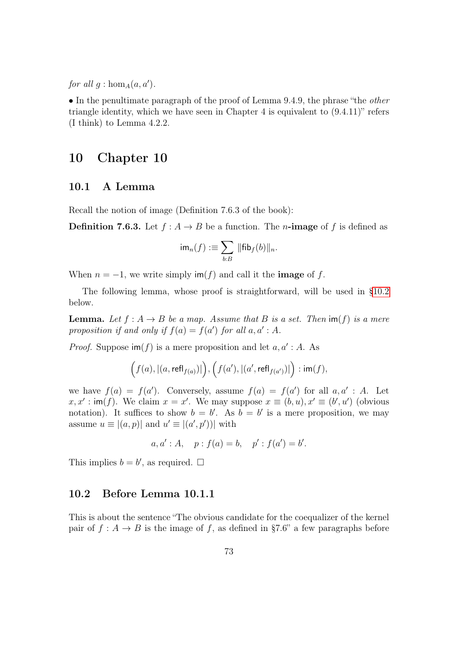for all  $g: \hom_A(a, a')$ .

• In the penultimate paragraph of the proof of Lemma 9.4.9, the phrase "the other triangle identity, which we have seen in Chapter 4 is equivalent to (9.4.11)" refers (I think) to Lemma 4.2.2.

# 10 Chapter 10

#### <span id="page-72-1"></span>10.1 A Lemma

Recall the notion of image (Definition 7.6.3 of the book):

**Definition 7.6.3.** Let  $f : A \rightarrow B$  be a function. The *n*-image of f is defined as

$$
\mathsf{im}_n(f) := \sum_{b:B} \|\mathsf{fib}_f(b)\|_n.
$$

When  $n = -1$ , we write simply  $\text{im}(f)$  and call it the **image** of f.

The following lemma, whose proof is straightforward, will be used in [§10.2](#page-72-0) below.

**Lemma.** Let  $f : A \rightarrow B$  be a map. Assume that B is a set. Then  $\text{im}(f)$  is a mere proposition if and only if  $f(a) = f(a')$  for all  $a, a' : A$ .

*Proof.* Suppose  $\text{im}(f)$  is a mere proposition and let  $a, a' : A$ . As

$$
\Big(f(a),\vert (a,\mathsf{refl}_{f(a)})\vert\Big), \Big(f(a'),\vert (a',\mathsf{refl}_{f(a')})\vert\Big) : \mathsf{im}(f),
$$

we have  $f(a) = f(a')$ . Conversely, assume  $f(a) = f(a')$  for all  $a, a' : A$ . Let  $x, x' : \text{im}(f)$ . We claim  $x = x'$ . We may suppose  $x \equiv (b, u), x' \equiv (b', u')$  (obvious notation). It suffices to show  $b = b'$ . As  $b = b'$  is a mere proposition, we may assume  $u \equiv |(a, p)|$  and  $u' \equiv |(a', p')|$  with

$$
a, a' : A, p : f(a) = b, p' : f(a') = b'.
$$

This implies  $b = b'$ , as required.  $\square$ 

### <span id="page-72-0"></span>10.2 Before Lemma 10.1.1

This is about the sentence "The obvious candidate for the coequalizer of the kernel pair of  $f : A \to B$  is the image of f, as defined in §7.6" a few paragraphs before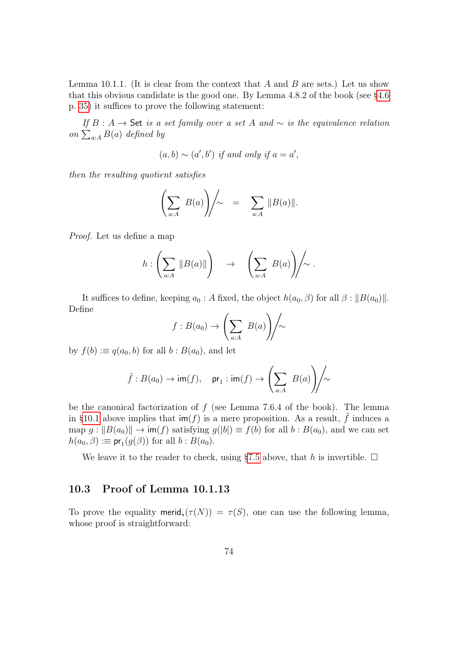Lemma 10.1.1. (It is clear from the context that A and B are sets.) Let us show that this obvious candidate is the good one. By Lemma 4.8.2 of the book (see [§4.6](#page-34-0) p. [35\)](#page-34-0) it suffices to prove the following statement:

If B : A  $\rightarrow$  Set is a set family over a set A and  $\sim$  is the equivalence relation on  $\sum_{a:A} B(a)$  defined by

$$
(a,b) \sim (a',b') \text{ if and only if } a = a',
$$

then the resulting quotient satisfies

$$
\left(\sum_{a:A} B(a)\right)\Bigg/\sim \quad = \quad \sum_{a:A} \|B(a)\|.
$$

Proof. Let us define a map

$$
h:\left(\sum_{a:A}||B(a)||\right) \rightarrow \left(\sum_{a:A}B(a)\right)\middle/\sim.
$$

It suffices to define, keeping  $a_0 : A$  fixed, the object  $h(a_0, \beta)$  for all  $\beta : ||B(a_0)||$ . Define

$$
f: B(a_0) \to \left(\sum_{a:A} B(a)\right) \sim
$$

by  $f(b) := q(a_0, b)$  for all  $b : B(a_0)$ , and let

$$
\tilde{f}: B(a_0)\to {\rm im}(f), \quad \operatorname{pr}_1: {\rm im}(f)\to \left(\sum_{a:A}\ B(a)\right)\!\!\Bigg/\!\!\!\sim
$$

be the canonical factorization of  $f$  (see Lemma 7.6.4 of the book). The lemma in [§10.1](#page-72-1) above implies that  $\mathsf{im}(f)$  is a mere proposition. As a result,  $\tilde{f}$  induces a map  $g: ||B(a_0)|| \to \text{im}(f)$  satisfying  $g(|b|) \equiv f(b)$  for all  $b: B(a_0)$ , and we can set  $h(a_0, \beta) := \mathsf{pr}_1(g(\beta))$  for all  $b : B(a_0)$ .

We leave it to the reader to check, using [§7.5](#page-54-0) above, that h is invertible.  $\Box$ 

#### 10.3 Proof of Lemma 10.1.13

To prove the equality merid<sub> $\star(\tau(N)) = \tau(S)$ , one can use the following lemma,</sub> whose proof is straightforward: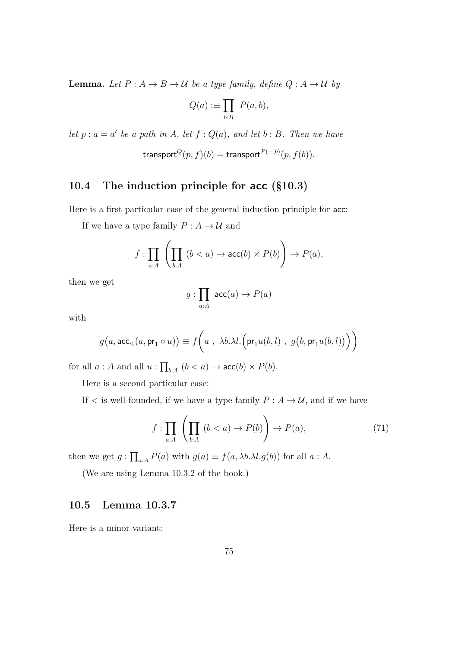**Lemma.** Let  $P: A \to B \to U$  be a type family, define  $Q: A \to U$  by

$$
Q(a) := \prod_{b:B} P(a,b),
$$

let  $p : a = a'$  be a path in A, let  $f : Q(a)$ , and let  $b : B$ . Then we have

$$
\mathsf{transport}^Q(p,f)(b) = \mathsf{transport}^{P(-,b)}(p,f(b)).
$$

## 10.4 The induction principle for acc (§10.3)

Here is a first particular case of the general induction principle for acc:

If we have a type family  $P : A \to U$  and

$$
f: \prod_{a:A} \left( \prod_{b:A} (b
$$

then we get

$$
g: \prod_{a:A} \mathsf{acc}(a) \to P(a)
$$

with

$$
g(a,\mathsf{acc}_{\leq}(a,\mathsf{pr}_1 \circ u)) \equiv f\bigg(a\ ,\ \lambda b.\lambda l.\Big(\mathsf{pr}_1u(b,l)\ ,\ g\big(b,\mathsf{pr}_1u(b,l)\big)\Big)\bigg)
$$

for all  $a : A$  and all  $u : \prod_{b:A} (b < a) \rightarrow \text{acc}(b) \times P(b)$ .

Here is a second particular case:

If  $\lt$  is well-founded, if we have a type family  $P : A \to U$ , and if we have

<span id="page-74-0"></span>
$$
f: \prod_{a:A} \left( \prod_{b:A} (b
$$

then we get  $g: \prod_{a:A} P(a)$  with  $g(a) \equiv f(a, \lambda b. \lambda l. g(b))$  for all  $a: A$ .

(We are using Lemma 10.3.2 of the book.)

## 10.5 Lemma 10.3.7

Here is a minor variant: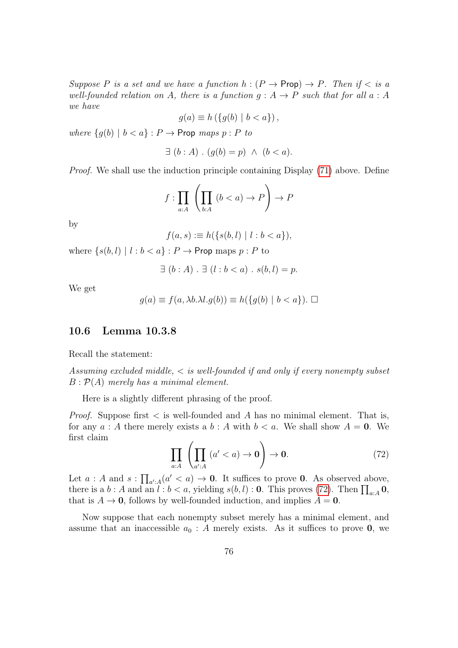Suppose P is a set and we have a function  $h : (P \to \text{Prop}) \to P$ . Then if  $\lt$  is a well-founded relation on A, there is a function  $g : A \rightarrow P$  such that for all  $a : A$ we have

$$
g(a) \equiv h\left(\{g(b) \mid b < a\}\right),
$$

where  $\{g(b) \mid b < a\} : P \to \text{Prop maps } p : P$  to

$$
\exists (b:A) \cdot (g(b) = p) \land (b < a).
$$

Proof. We shall use the induction principle containing Display [\(71\)](#page-74-0) above. Define

$$
f: \prod_{a:A} \left( \prod_{b:A} (b
$$

by

$$
f(a, s) := h(\{s(b, l) \mid l : b < a\}),
$$

where  $\{s(b, l) | l : b < a\} : P \to \text{Prop maps } p : P$  to

$$
\exists (b:A) . \exists (l:b
$$

We get

$$
g(a) \equiv f(a, \lambda b. \lambda l. g(b)) \equiv h(\lbrace g(b) \mid b < a \rbrace). \ \Box
$$

#### 10.6 Lemma 10.3.8

Recall the statement:

Assuming excluded middle,  $\lt$  is well-founded if and only if every nonempty subset  $B: \mathcal{P}(A)$  merely has a minimal element.

Here is a slightly different phrasing of the proof.

*Proof.* Suppose first  $\lt$  is well-founded and A has no minimal element. That is, for any  $a : A$  there merely exists a  $b : A$  with  $b < a$ . We shall show  $A = 0$ . We first claim

<span id="page-75-0"></span>
$$
\prod_{a:A} \left( \prod_{a':A} (a' < a) \to \mathbf{0} \right) \to \mathbf{0}.\tag{72}
$$

Let  $a : A$  and  $s : \prod_{a':A} (a' < a) \to \mathbf{0}$ . It suffices to prove  $\mathbf{0}$ . As observed above, there is a b: A and an  $l : b < a$ , yielding  $s(b, l) : \mathbf{0}$ . This proves [\(72\)](#page-75-0). Then  $\prod_{a:A} \mathbf{0}$ , that is  $A \to 0$ , follows by well-founded induction, and implies  $A = 0$ .

Now suppose that each nonempty subset merely has a minimal element, and assume that an inaccessible  $a_0 : A$  merely exists. As it suffices to prove 0, we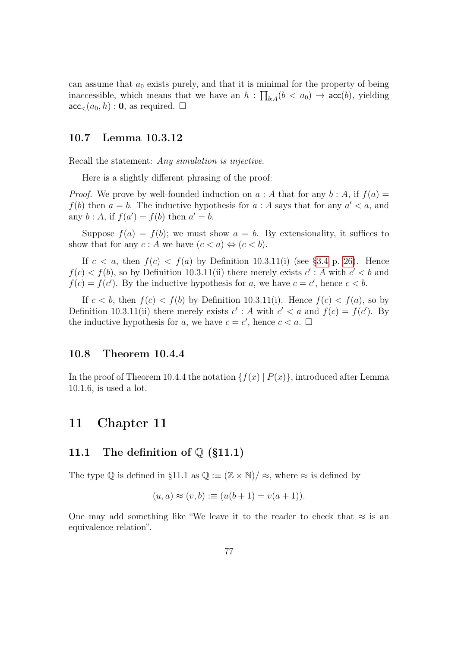can assume that  $a_0$  exists purely, and that it is minimal for the property of being inaccessible, which means that we have an  $h: \prod_{b:A} (b < a_0) \rightarrow acc(b)$ , yielding  $\mathsf{acc}_{\leq}(a_0, h): \mathbf{0}$ , as required.  $\square$ 

#### 10.7 Lemma 10.3.12

Recall the statement: Any simulation is injective.

Here is a slightly different phrasing of the proof:

*Proof.* We prove by well-founded induction on  $a : A$  that for any  $b : A$ , if  $f(a) =$  $f(b)$  then  $a = b$ . The inductive hypothesis for  $a : A$  says that for any  $a' < a$ , and any  $b: A$ , if  $f(a') = f(b)$  then  $a' = b$ .

Suppose  $f(a) = f(b)$ ; we must show  $a = b$ . By extensionality, it suffices to show that for any  $c : A$  we have  $(c < a) \Leftrightarrow (c < b)$ .

If  $c < a$ , then  $f(c) < f(a)$  by Definition 10.3.11(i) (see [§3.4](#page-25-0) p. [26\)](#page-25-0). Hence  $f(c) < f(b)$ , so by Definition 10.3.11(ii) there merely exists  $c' : A$  with  $c' < b$  and  $f(c) = f(c')$ . By the inductive hypothesis for a, we have  $c = c'$ , hence  $c < b$ .

If  $c < b$ , then  $f(c) < f(b)$  by Definition 10.3.11(i). Hence  $f(c) < f(a)$ , so by Definition 10.3.11(ii) there merely exists  $c'$ : A with  $c' < a$  and  $f(c) = f(c')$ . By the inductive hypothesis for a, we have  $c = c'$ , hence  $c < a$ .  $\square$ 

#### 10.8 Theorem 10.4.4

In the proof of Theorem 10.4.4 the notation  $\{f(x) | P(x)\}$ , introduced after Lemma 10.1.6, is used a lot.

## 11 Chapter 11

#### 11.1 The definition of  $\mathbb{Q}$  (§11.1)

The type  $\mathbb Q$  is defined in §11.1 as  $\mathbb Q := (\mathbb Z \times \mathbb N)/\approx$ , where  $\approx$  is defined by

$$
(u, a) \approx (v, b) := (u(b + 1) = v(a + 1)).
$$

One may add something like "We leave it to the reader to check that  $\approx$  is an equivalence relation".